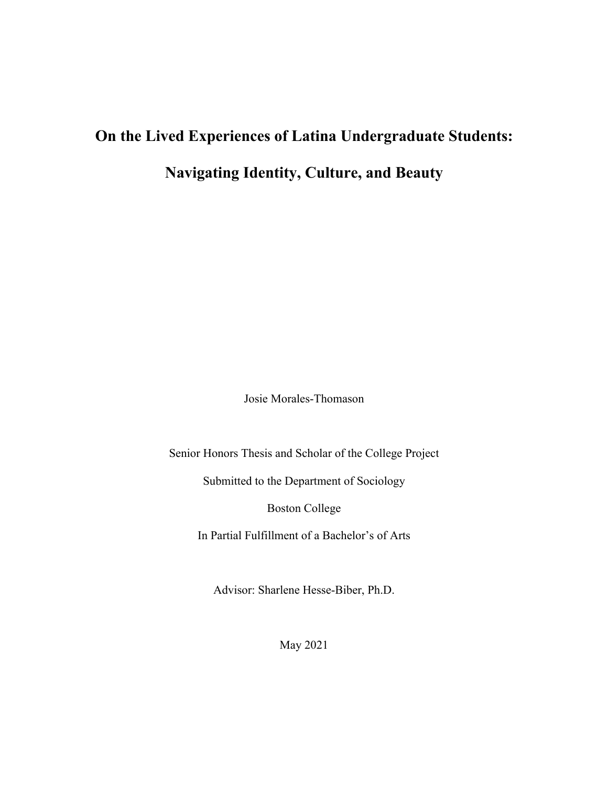# **On the Lived Experiences of Latina Undergraduate Students: Navigating Identity, Culture, and Beauty**

Josie Morales-Thomason

Senior Honors Thesis and Scholar of the College Project

Submitted to the Department of Sociology

Boston College

In Partial Fulfillment of a Bachelor's of Arts

Advisor: Sharlene Hesse-Biber, Ph.D.

May 2021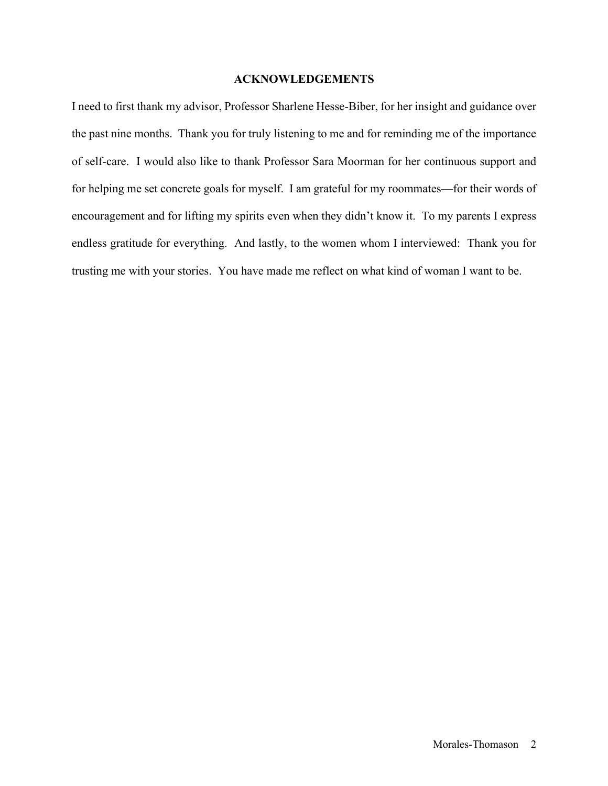#### **ACKNOWLEDGEMENTS**

I need to first thank my advisor, Professor Sharlene Hesse-Biber, for her insight and guidance over the past nine months. Thank you for truly listening to me and for reminding me of the importance of self-care. I would also like to thank Professor Sara Moorman for her continuous support and for helping me set concrete goals for myself. I am grateful for my roommates—for their words of encouragement and for lifting my spirits even when they didn't know it. To my parents I express endless gratitude for everything. And lastly, to the women whom I interviewed: Thank you for trusting me with your stories. You have made me reflect on what kind of woman I want to be.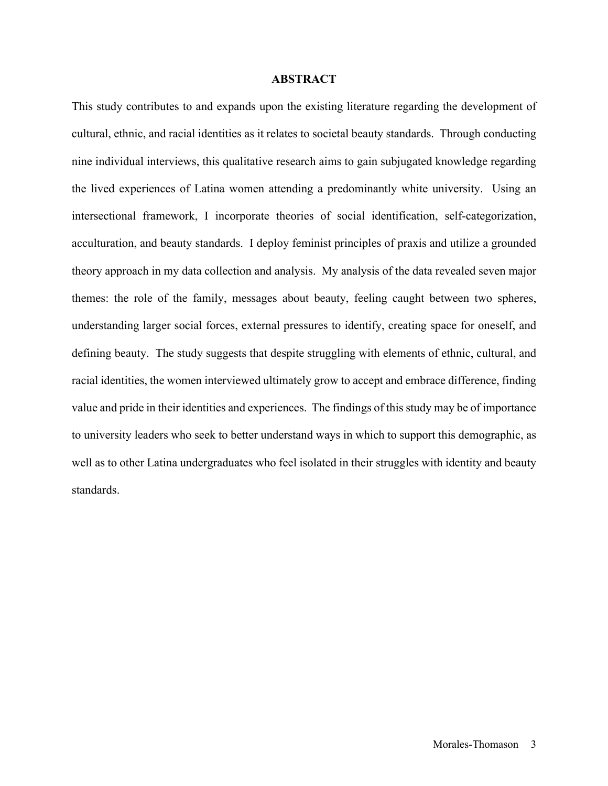#### **ABSTRACT**

This study contributes to and expands upon the existing literature regarding the development of cultural, ethnic, and racial identities as it relates to societal beauty standards. Through conducting nine individual interviews, this qualitative research aims to gain subjugated knowledge regarding the lived experiences of Latina women attending a predominantly white university. Using an intersectional framework, I incorporate theories of social identification, self-categorization, acculturation, and beauty standards. I deploy feminist principles of praxis and utilize a grounded theory approach in my data collection and analysis. My analysis of the data revealed seven major themes: the role of the family, messages about beauty, feeling caught between two spheres, understanding larger social forces, external pressures to identify, creating space for oneself, and defining beauty. The study suggests that despite struggling with elements of ethnic, cultural, and racial identities, the women interviewed ultimately grow to accept and embrace difference, finding value and pride in their identities and experiences. The findings of this study may be of importance to university leaders who seek to better understand ways in which to support this demographic, as well as to other Latina undergraduates who feel isolated in their struggles with identity and beauty standards.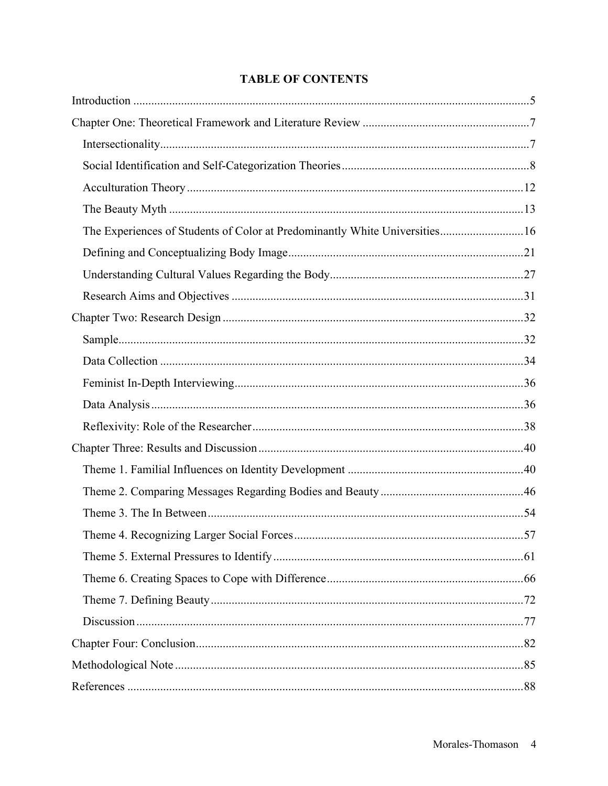## **TABLE OF CONTENTS**

| The Experiences of Students of Color at Predominantly White Universities 16 |  |
|-----------------------------------------------------------------------------|--|
|                                                                             |  |
|                                                                             |  |
|                                                                             |  |
|                                                                             |  |
|                                                                             |  |
|                                                                             |  |
|                                                                             |  |
|                                                                             |  |
|                                                                             |  |
|                                                                             |  |
|                                                                             |  |
|                                                                             |  |
|                                                                             |  |
|                                                                             |  |
|                                                                             |  |
|                                                                             |  |
|                                                                             |  |
|                                                                             |  |
|                                                                             |  |
|                                                                             |  |
|                                                                             |  |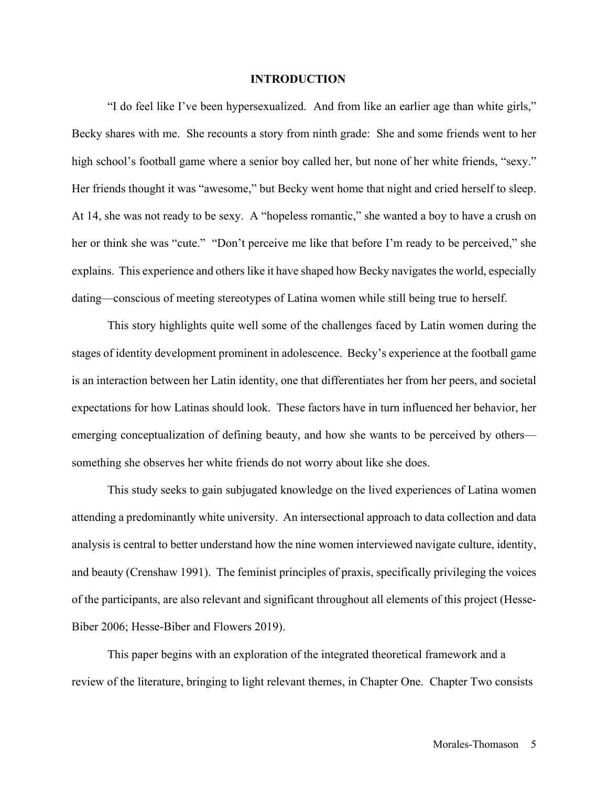#### **INTRODUCTION**

"I do feel like I've been hypersexualized. And from like an earlier age than white girls," Becky shares with me. She recounts a story from ninth grade: She and some friends went to her high school's football game where a senior boy called her, but none of her white friends, "sexy." Her friends thought it was "awesome," but Becky went home that night and cried herself to sleep. At 14, she was not ready to be sexy. A "hopeless romantic," she wanted a boy to have a crush on her or think she was "cute." "Don't perceive me like that before I'm ready to be perceived," she explains. This experience and others like it have shaped how Becky navigates the world, especially dating—conscious of meeting stereotypes of Latina women while still being true to herself.

This story highlights quite well some of the challenges faced by Latin women during the stages of identity development prominent in adolescence. Becky's experience at the football game is an interaction between her Latin identity, one that differentiates her from her peers, and societal expectations for how Latinas should look. These factors have in turn influenced her behavior, her emerging conceptualization of defining beauty, and how she wants to be perceived by others something she observes her white friends do not worry about like she does.

This study seeks to gain subjugated knowledge on the lived experiences of Latina women attending a predominantly white university. An intersectional approach to data collection and data analysis is central to better understand how the nine women interviewed navigate culture, identity, and beauty (Crenshaw 1991). The feminist principles of praxis, specifically privileging the voices of the participants, are also relevant and significant throughout all elements of this project (Hesse-Biber 2006; Hesse-Biber and Flowers 2019).

This paper begins with an exploration of the integrated theoretical framework and a review of the literature, bringing to light relevant themes, in Chapter One. Chapter Two consists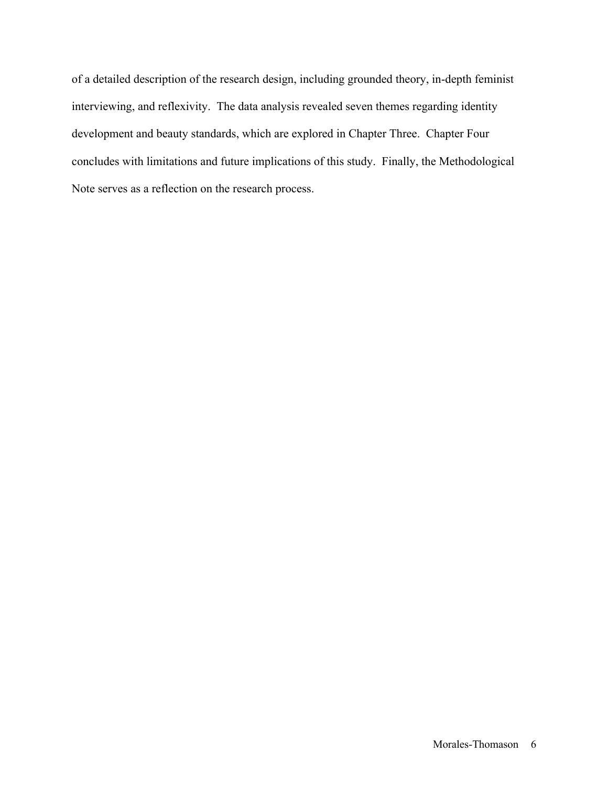of a detailed description of the research design, including grounded theory, in-depth feminist interviewing, and reflexivity. The data analysis revealed seven themes regarding identity development and beauty standards, which are explored in Chapter Three. Chapter Four concludes with limitations and future implications of this study. Finally, the Methodological Note serves as a reflection on the research process.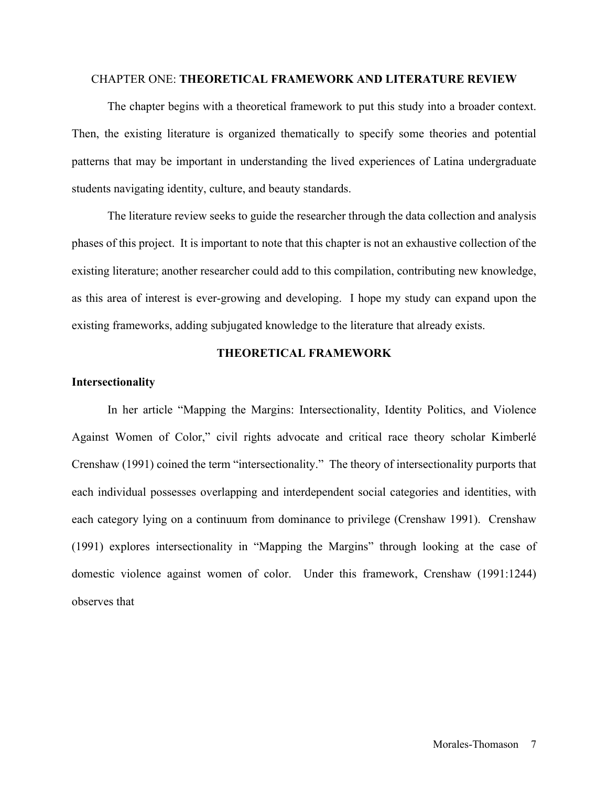#### CHAPTER ONE: **THEORETICAL FRAMEWORK AND LITERATURE REVIEW**

The chapter begins with a theoretical framework to put this study into a broader context. Then, the existing literature is organized thematically to specify some theories and potential patterns that may be important in understanding the lived experiences of Latina undergraduate students navigating identity, culture, and beauty standards.

The literature review seeks to guide the researcher through the data collection and analysis phases of this project. It is important to note that this chapter is not an exhaustive collection of the existing literature; another researcher could add to this compilation, contributing new knowledge, as this area of interest is ever-growing and developing. I hope my study can expand upon the existing frameworks, adding subjugated knowledge to the literature that already exists.

#### **THEORETICAL FRAMEWORK**

#### **Intersectionality**

In her article "Mapping the Margins: Intersectionality, Identity Politics, and Violence Against Women of Color," civil rights advocate and critical race theory scholar Kimberlé Crenshaw (1991) coined the term "intersectionality." The theory of intersectionality purports that each individual possesses overlapping and interdependent social categories and identities, with each category lying on a continuum from dominance to privilege (Crenshaw 1991). Crenshaw (1991) explores intersectionality in "Mapping the Margins" through looking at the case of domestic violence against women of color. Under this framework, Crenshaw (1991:1244) observes that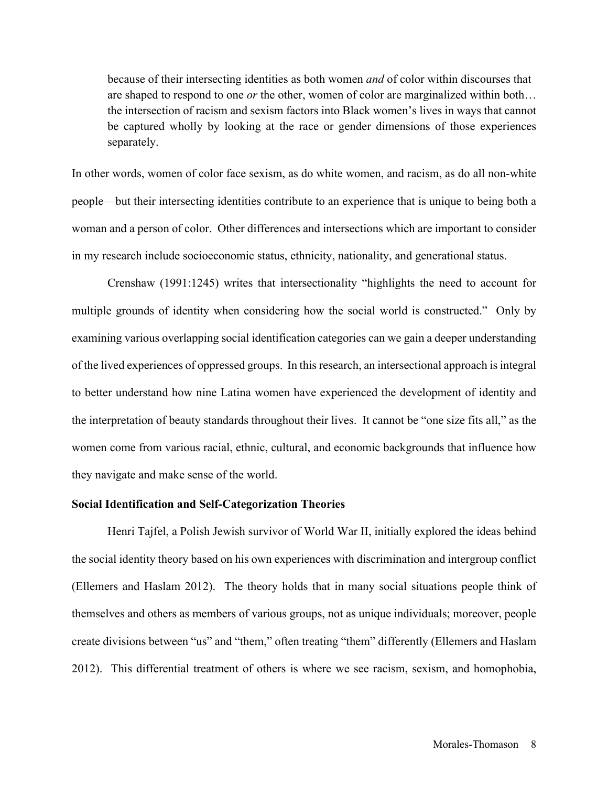because of their intersecting identities as both women *and* of color within discourses that are shaped to respond to one *or* the other, women of color are marginalized within both… the intersection of racism and sexism factors into Black women's lives in ways that cannot be captured wholly by looking at the race or gender dimensions of those experiences separately.

In other words, women of color face sexism, as do white women, and racism, as do all non-white people—but their intersecting identities contribute to an experience that is unique to being both a woman and a person of color. Other differences and intersections which are important to consider in my research include socioeconomic status, ethnicity, nationality, and generational status.

Crenshaw (1991:1245) writes that intersectionality "highlights the need to account for multiple grounds of identity when considering how the social world is constructed." Only by examining various overlapping social identification categories can we gain a deeper understanding of the lived experiences of oppressed groups. In this research, an intersectional approach is integral to better understand how nine Latina women have experienced the development of identity and the interpretation of beauty standards throughout their lives. It cannot be "one size fits all," as the women come from various racial, ethnic, cultural, and economic backgrounds that influence how they navigate and make sense of the world.

#### **Social Identification and Self-Categorization Theories**

Henri Tajfel, a Polish Jewish survivor of World War II, initially explored the ideas behind the social identity theory based on his own experiences with discrimination and intergroup conflict (Ellemers and Haslam 2012). The theory holds that in many social situations people think of themselves and others as members of various groups, not as unique individuals; moreover, people create divisions between "us" and "them," often treating "them" differently (Ellemers and Haslam 2012). This differential treatment of others is where we see racism, sexism, and homophobia,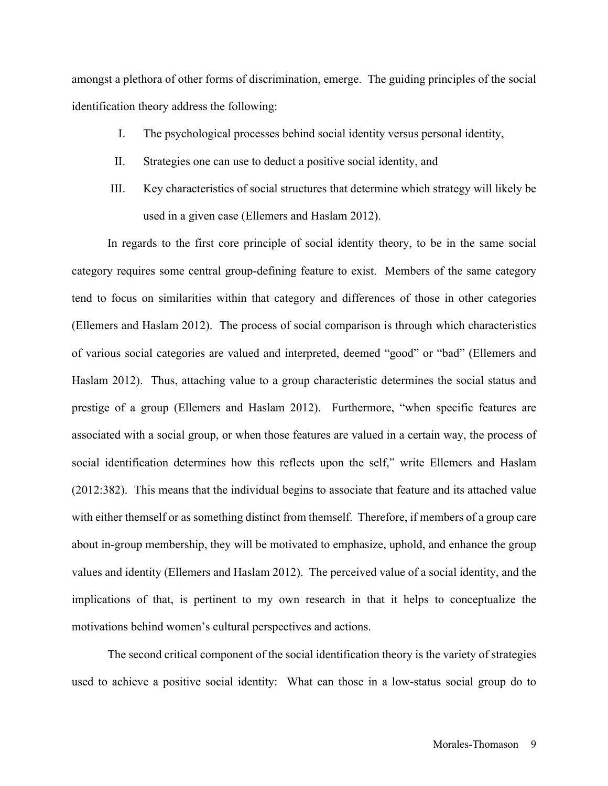amongst a plethora of other forms of discrimination, emerge. The guiding principles of the social identification theory address the following:

- I. The psychological processes behind social identity versus personal identity,
- II. Strategies one can use to deduct a positive social identity, and
- III. Key characteristics of social structures that determine which strategy will likely be used in a given case (Ellemers and Haslam 2012).

In regards to the first core principle of social identity theory, to be in the same social category requires some central group-defining feature to exist. Members of the same category tend to focus on similarities within that category and differences of those in other categories (Ellemers and Haslam 2012). The process of social comparison is through which characteristics of various social categories are valued and interpreted, deemed "good" or "bad" (Ellemers and Haslam 2012). Thus, attaching value to a group characteristic determines the social status and prestige of a group (Ellemers and Haslam 2012). Furthermore, "when specific features are associated with a social group, or when those features are valued in a certain way, the process of social identification determines how this reflects upon the self," write Ellemers and Haslam (2012:382). This means that the individual begins to associate that feature and its attached value with either themself or as something distinct from themself. Therefore, if members of a group care about in-group membership, they will be motivated to emphasize, uphold, and enhance the group values and identity (Ellemers and Haslam 2012). The perceived value of a social identity, and the implications of that, is pertinent to my own research in that it helps to conceptualize the motivations behind women's cultural perspectives and actions.

The second critical component of the social identification theory is the variety of strategies used to achieve a positive social identity: What can those in a low-status social group do to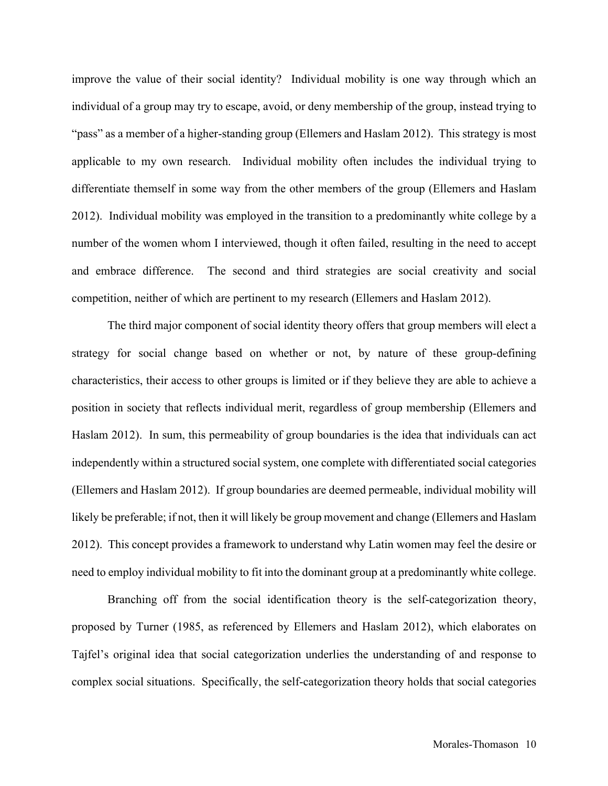improve the value of their social identity? Individual mobility is one way through which an individual of a group may try to escape, avoid, or deny membership of the group, instead trying to "pass" as a member of a higher-standing group (Ellemers and Haslam 2012). This strategy is most applicable to my own research. Individual mobility often includes the individual trying to differentiate themself in some way from the other members of the group (Ellemers and Haslam 2012). Individual mobility was employed in the transition to a predominantly white college by a number of the women whom I interviewed, though it often failed, resulting in the need to accept and embrace difference. The second and third strategies are social creativity and social competition, neither of which are pertinent to my research (Ellemers and Haslam 2012).

The third major component of social identity theory offers that group members will elect a strategy for social change based on whether or not, by nature of these group-defining characteristics, their access to other groups is limited or if they believe they are able to achieve a position in society that reflects individual merit, regardless of group membership (Ellemers and Haslam 2012). In sum, this permeability of group boundaries is the idea that individuals can act independently within a structured social system, one complete with differentiated social categories (Ellemers and Haslam 2012). If group boundaries are deemed permeable, individual mobility will likely be preferable; if not, then it will likely be group movement and change (Ellemers and Haslam 2012). This concept provides a framework to understand why Latin women may feel the desire or need to employ individual mobility to fit into the dominant group at a predominantly white college.

Branching off from the social identification theory is the self-categorization theory, proposed by Turner (1985, as referenced by Ellemers and Haslam 2012), which elaborates on Tajfel's original idea that social categorization underlies the understanding of and response to complex social situations. Specifically, the self-categorization theory holds that social categories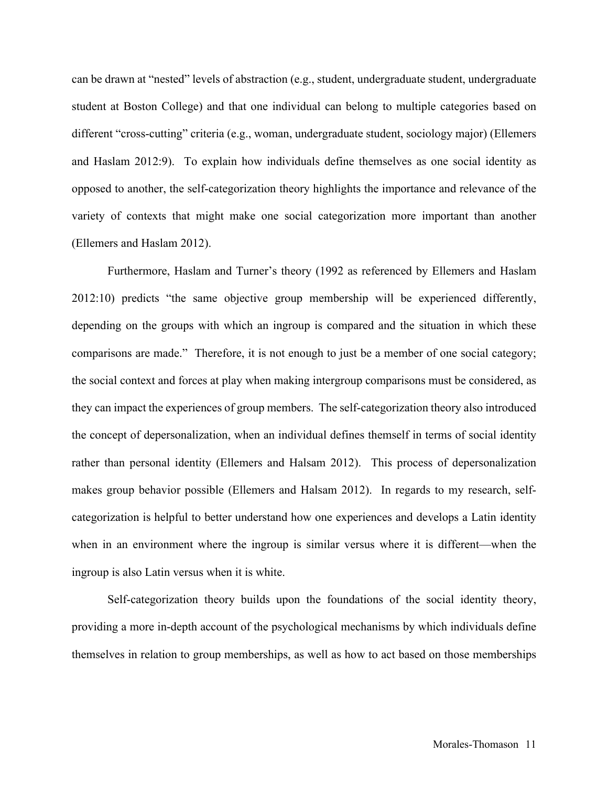can be drawn at "nested" levels of abstraction (e.g., student, undergraduate student, undergraduate student at Boston College) and that one individual can belong to multiple categories based on different "cross-cutting" criteria (e.g., woman, undergraduate student, sociology major) (Ellemers and Haslam 2012:9). To explain how individuals define themselves as one social identity as opposed to another, the self-categorization theory highlights the importance and relevance of the variety of contexts that might make one social categorization more important than another (Ellemers and Haslam 2012).

Furthermore, Haslam and Turner's theory (1992 as referenced by Ellemers and Haslam 2012:10) predicts "the same objective group membership will be experienced differently, depending on the groups with which an ingroup is compared and the situation in which these comparisons are made." Therefore, it is not enough to just be a member of one social category; the social context and forces at play when making intergroup comparisons must be considered, as they can impact the experiences of group members. The self-categorization theory also introduced the concept of depersonalization, when an individual defines themself in terms of social identity rather than personal identity (Ellemers and Halsam 2012). This process of depersonalization makes group behavior possible (Ellemers and Halsam 2012). In regards to my research, selfcategorization is helpful to better understand how one experiences and develops a Latin identity when in an environment where the ingroup is similar versus where it is different—when the ingroup is also Latin versus when it is white.

Self-categorization theory builds upon the foundations of the social identity theory, providing a more in-depth account of the psychological mechanisms by which individuals define themselves in relation to group memberships, as well as how to act based on those memberships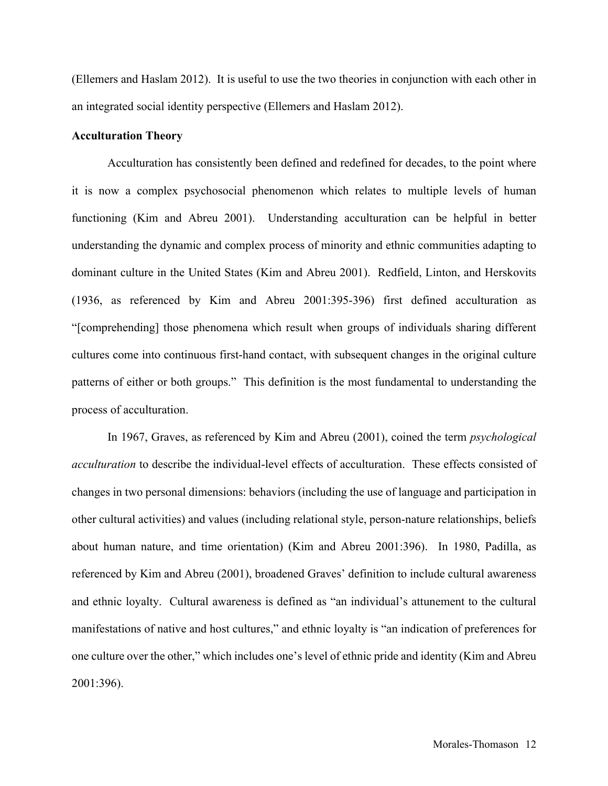(Ellemers and Haslam 2012). It is useful to use the two theories in conjunction with each other in an integrated social identity perspective (Ellemers and Haslam 2012).

#### **Acculturation Theory**

Acculturation has consistently been defined and redefined for decades, to the point where it is now a complex psychosocial phenomenon which relates to multiple levels of human functioning (Kim and Abreu 2001). Understanding acculturation can be helpful in better understanding the dynamic and complex process of minority and ethnic communities adapting to dominant culture in the United States (Kim and Abreu 2001). Redfield, Linton, and Herskovits (1936, as referenced by Kim and Abreu 2001:395-396) first defined acculturation as "[comprehending] those phenomena which result when groups of individuals sharing different cultures come into continuous first-hand contact, with subsequent changes in the original culture patterns of either or both groups." This definition is the most fundamental to understanding the process of acculturation.

In 1967, Graves, as referenced by Kim and Abreu (2001), coined the term *psychological acculturation* to describe the individual-level effects of acculturation. These effects consisted of changes in two personal dimensions: behaviors (including the use of language and participation in other cultural activities) and values (including relational style, person-nature relationships, beliefs about human nature, and time orientation) (Kim and Abreu 2001:396). In 1980, Padilla, as referenced by Kim and Abreu (2001), broadened Graves' definition to include cultural awareness and ethnic loyalty. Cultural awareness is defined as "an individual's attunement to the cultural manifestations of native and host cultures," and ethnic loyalty is "an indication of preferences for one culture over the other," which includes one's level of ethnic pride and identity (Kim and Abreu 2001:396).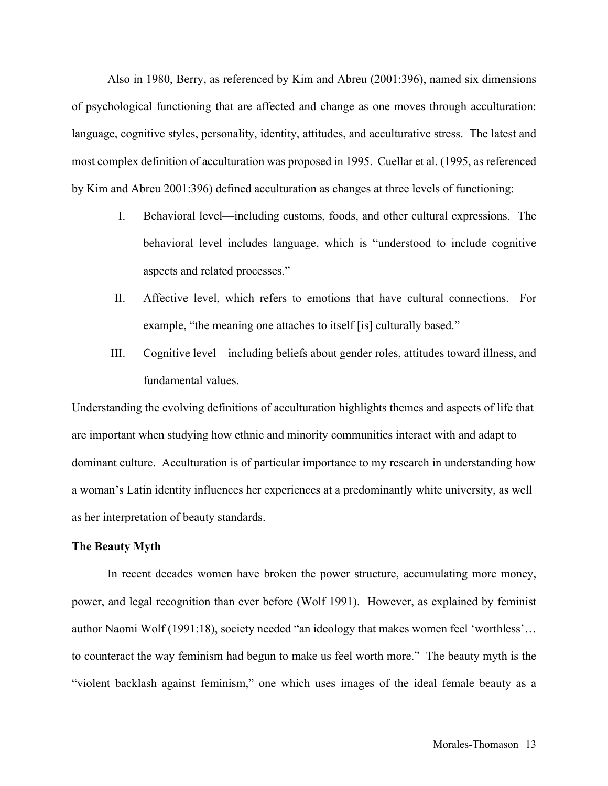Also in 1980, Berry, as referenced by Kim and Abreu (2001:396), named six dimensions of psychological functioning that are affected and change as one moves through acculturation: language, cognitive styles, personality, identity, attitudes, and acculturative stress. The latest and most complex definition of acculturation was proposed in 1995. Cuellar et al. (1995, as referenced by Kim and Abreu 2001:396) defined acculturation as changes at three levels of functioning:

- I. Behavioral level—including customs, foods, and other cultural expressions. The behavioral level includes language, which is "understood to include cognitive aspects and related processes."
- II. Affective level, which refers to emotions that have cultural connections. For example, "the meaning one attaches to itself [is] culturally based."
- III. Cognitive level—including beliefs about gender roles, attitudes toward illness, and fundamental values.

Understanding the evolving definitions of acculturation highlights themes and aspects of life that are important when studying how ethnic and minority communities interact with and adapt to dominant culture. Acculturation is of particular importance to my research in understanding how a woman's Latin identity influences her experiences at a predominantly white university, as well as her interpretation of beauty standards.

#### **The Beauty Myth**

In recent decades women have broken the power structure, accumulating more money, power, and legal recognition than ever before (Wolf 1991). However, as explained by feminist author Naomi Wolf (1991:18), society needed "an ideology that makes women feel 'worthless'… to counteract the way feminism had begun to make us feel worth more." The beauty myth is the "violent backlash against feminism," one which uses images of the ideal female beauty as a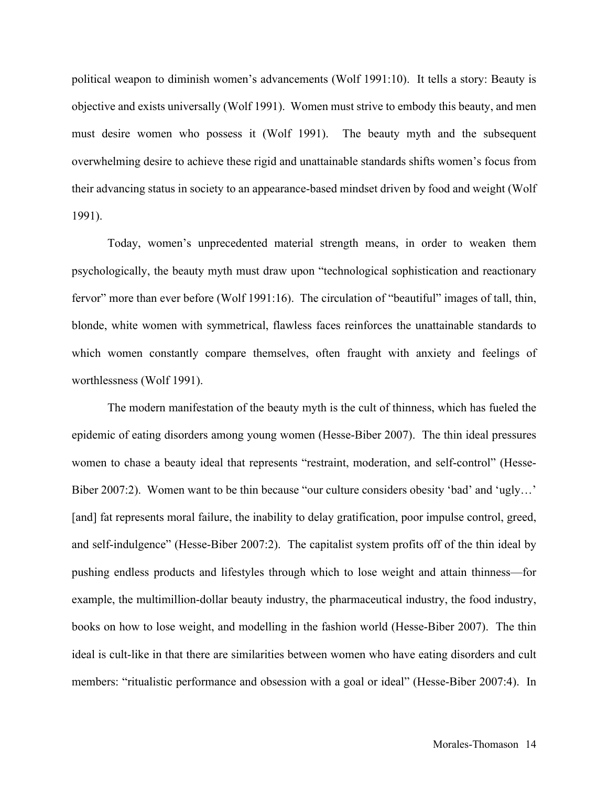political weapon to diminish women's advancements (Wolf 1991:10). It tells a story: Beauty is objective and exists universally (Wolf 1991). Women must strive to embody this beauty, and men must desire women who possess it (Wolf 1991). The beauty myth and the subsequent overwhelming desire to achieve these rigid and unattainable standards shifts women's focus from their advancing status in society to an appearance-based mindset driven by food and weight (Wolf 1991).

Today, women's unprecedented material strength means, in order to weaken them psychologically, the beauty myth must draw upon "technological sophistication and reactionary fervor" more than ever before (Wolf 1991:16). The circulation of "beautiful" images of tall, thin, blonde, white women with symmetrical, flawless faces reinforces the unattainable standards to which women constantly compare themselves, often fraught with anxiety and feelings of worthlessness (Wolf 1991).

The modern manifestation of the beauty myth is the cult of thinness, which has fueled the epidemic of eating disorders among young women (Hesse-Biber 2007). The thin ideal pressures women to chase a beauty ideal that represents "restraint, moderation, and self-control" (Hesse-Biber 2007:2). Women want to be thin because "our culture considers obesity 'bad' and 'ugly…' [and] fat represents moral failure, the inability to delay gratification, poor impulse control, greed, and self-indulgence" (Hesse-Biber 2007:2). The capitalist system profits off of the thin ideal by pushing endless products and lifestyles through which to lose weight and attain thinness—for example, the multimillion-dollar beauty industry, the pharmaceutical industry, the food industry, books on how to lose weight, and modelling in the fashion world (Hesse-Biber 2007). The thin ideal is cult-like in that there are similarities between women who have eating disorders and cult members: "ritualistic performance and obsession with a goal or ideal" (Hesse-Biber 2007:4). In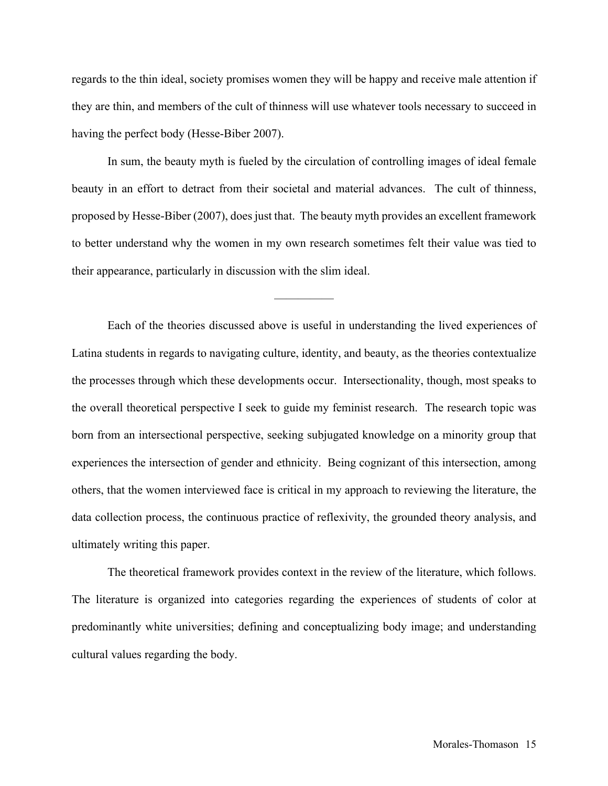regards to the thin ideal, society promises women they will be happy and receive male attention if they are thin, and members of the cult of thinness will use whatever tools necessary to succeed in having the perfect body (Hesse-Biber 2007).

In sum, the beauty myth is fueled by the circulation of controlling images of ideal female beauty in an effort to detract from their societal and material advances. The cult of thinness, proposed by Hesse-Biber (2007), does just that. The beauty myth provides an excellent framework to better understand why the women in my own research sometimes felt their value was tied to their appearance, particularly in discussion with the slim ideal.

—————

Each of the theories discussed above is useful in understanding the lived experiences of Latina students in regards to navigating culture, identity, and beauty, as the theories contextualize the processes through which these developments occur. Intersectionality, though, most speaks to the overall theoretical perspective I seek to guide my feminist research. The research topic was born from an intersectional perspective, seeking subjugated knowledge on a minority group that experiences the intersection of gender and ethnicity. Being cognizant of this intersection, among others, that the women interviewed face is critical in my approach to reviewing the literature, the data collection process, the continuous practice of reflexivity, the grounded theory analysis, and ultimately writing this paper.

The theoretical framework provides context in the review of the literature, which follows. The literature is organized into categories regarding the experiences of students of color at predominantly white universities; defining and conceptualizing body image; and understanding cultural values regarding the body.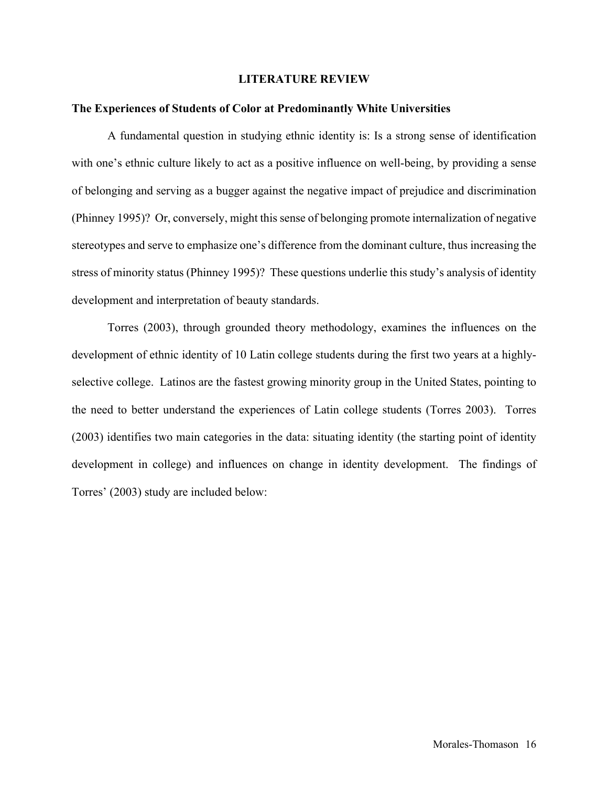#### **LITERATURE REVIEW**

#### **The Experiences of Students of Color at Predominantly White Universities**

A fundamental question in studying ethnic identity is: Is a strong sense of identification with one's ethnic culture likely to act as a positive influence on well-being, by providing a sense of belonging and serving as a bugger against the negative impact of prejudice and discrimination (Phinney 1995)? Or, conversely, might this sense of belonging promote internalization of negative stereotypes and serve to emphasize one's difference from the dominant culture, thus increasing the stress of minority status (Phinney 1995)? These questions underlie this study's analysis of identity development and interpretation of beauty standards.

Torres (2003), through grounded theory methodology, examines the influences on the development of ethnic identity of 10 Latin college students during the first two years at a highlyselective college. Latinos are the fastest growing minority group in the United States, pointing to the need to better understand the experiences of Latin college students (Torres 2003). Torres (2003) identifies two main categories in the data: situating identity (the starting point of identity development in college) and influences on change in identity development. The findings of Torres' (2003) study are included below: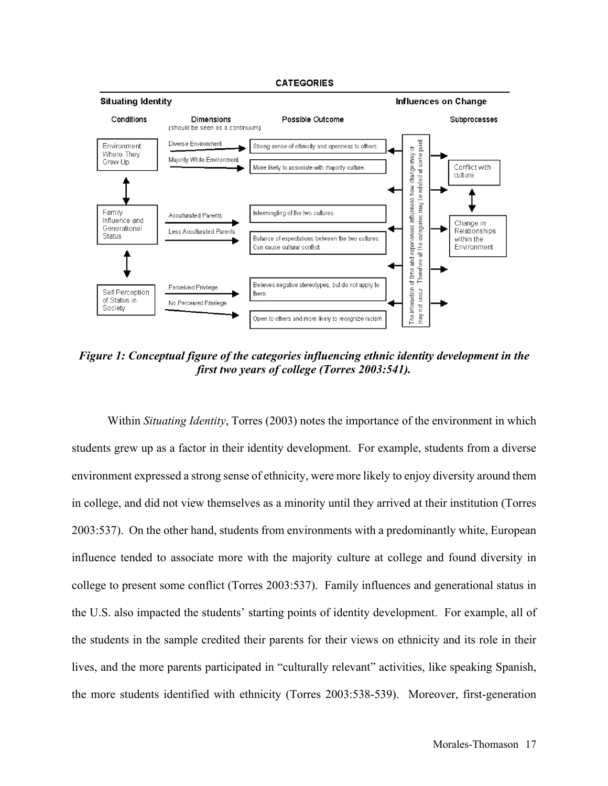#### **CATEGORIES**



*Figure 1: Conceptual figure of the categories influencing ethnic identity development in the first two years of college (Torres 2003:541).*

Within *Situating Identity*, Torres (2003) notes the importance of the environment in which students grew up as a factor in their identity development. For example, students from a diverse environment expressed a strong sense of ethnicity, were more likely to enjoy diversity around them in college, and did not view themselves as a minority until they arrived at their institution (Torres 2003:537). On the other hand, students from environments with a predominantly white, European influence tended to associate more with the majority culture at college and found diversity in college to present some conflict (Torres 2003:537). Family influences and generational status in the U.S. also impacted the students' starting points of identity development. For example, all of the students in the sample credited their parents for their views on ethnicity and its role in their lives, and the more parents participated in "culturally relevant" activities, like speaking Spanish, the more students identified with ethnicity (Torres 2003:538-539). Moreover, first-generation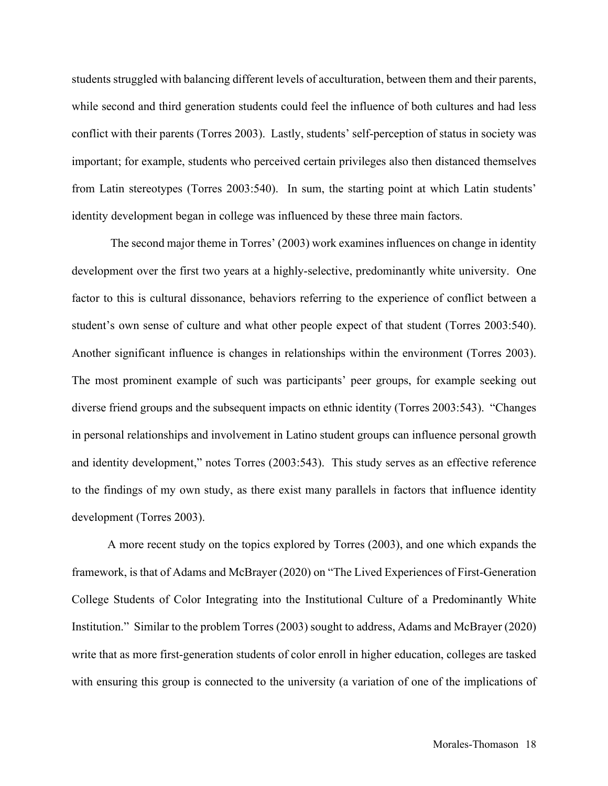students struggled with balancing different levels of acculturation, between them and their parents, while second and third generation students could feel the influence of both cultures and had less conflict with their parents (Torres 2003). Lastly, students' self-perception of status in society was important; for example, students who perceived certain privileges also then distanced themselves from Latin stereotypes (Torres 2003:540). In sum, the starting point at which Latin students' identity development began in college was influenced by these three main factors.

The second major theme in Torres' (2003) work examines influences on change in identity development over the first two years at a highly-selective, predominantly white university. One factor to this is cultural dissonance, behaviors referring to the experience of conflict between a student's own sense of culture and what other people expect of that student (Torres 2003:540). Another significant influence is changes in relationships within the environment (Torres 2003). The most prominent example of such was participants' peer groups, for example seeking out diverse friend groups and the subsequent impacts on ethnic identity (Torres 2003:543). "Changes in personal relationships and involvement in Latino student groups can influence personal growth and identity development," notes Torres (2003:543). This study serves as an effective reference to the findings of my own study, as there exist many parallels in factors that influence identity development (Torres 2003).

A more recent study on the topics explored by Torres (2003), and one which expands the framework, is that of Adams and McBrayer (2020) on "The Lived Experiences of First-Generation College Students of Color Integrating into the Institutional Culture of a Predominantly White Institution." Similar to the problem Torres (2003) sought to address, Adams and McBrayer (2020) write that as more first-generation students of color enroll in higher education, colleges are tasked with ensuring this group is connected to the university (a variation of one of the implications of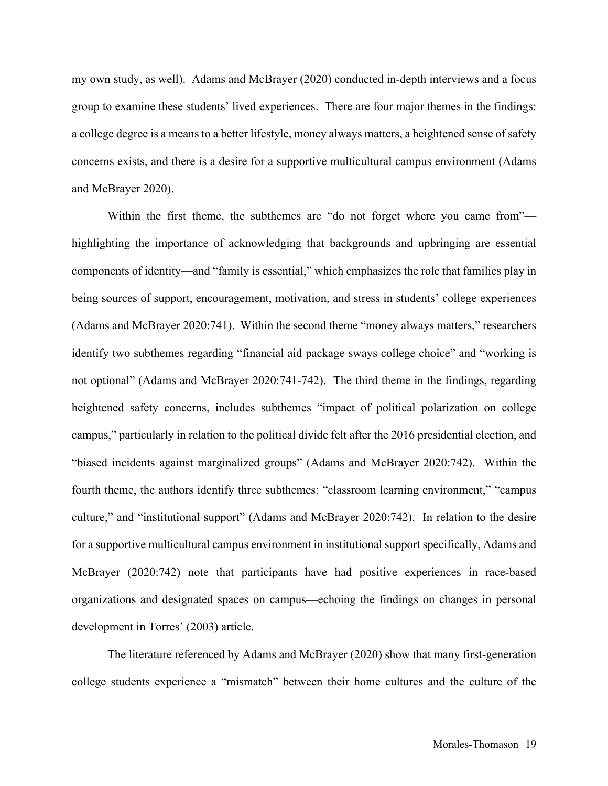my own study, as well). Adams and McBrayer (2020) conducted in-depth interviews and a focus group to examine these students' lived experiences. There are four major themes in the findings: a college degree is a means to a better lifestyle, money always matters, a heightened sense of safety concerns exists, and there is a desire for a supportive multicultural campus environment (Adams and McBrayer 2020).

Within the first theme, the subthemes are "do not forget where you came from" highlighting the importance of acknowledging that backgrounds and upbringing are essential components of identity—and "family is essential," which emphasizes the role that families play in being sources of support, encouragement, motivation, and stress in students' college experiences (Adams and McBrayer 2020:741). Within the second theme "money always matters," researchers identify two subthemes regarding "financial aid package sways college choice" and "working is not optional" (Adams and McBrayer 2020:741-742). The third theme in the findings, regarding heightened safety concerns, includes subthemes "impact of political polarization on college campus," particularly in relation to the political divide felt after the 2016 presidential election, and "biased incidents against marginalized groups" (Adams and McBrayer 2020:742). Within the fourth theme, the authors identify three subthemes: "classroom learning environment," "campus culture," and "institutional support" (Adams and McBrayer 2020:742). In relation to the desire for a supportive multicultural campus environment in institutional support specifically, Adams and McBrayer (2020:742) note that participants have had positive experiences in race-based organizations and designated spaces on campus—echoing the findings on changes in personal development in Torres' (2003) article.

The literature referenced by Adams and McBrayer (2020) show that many first-generation college students experience a "mismatch" between their home cultures and the culture of the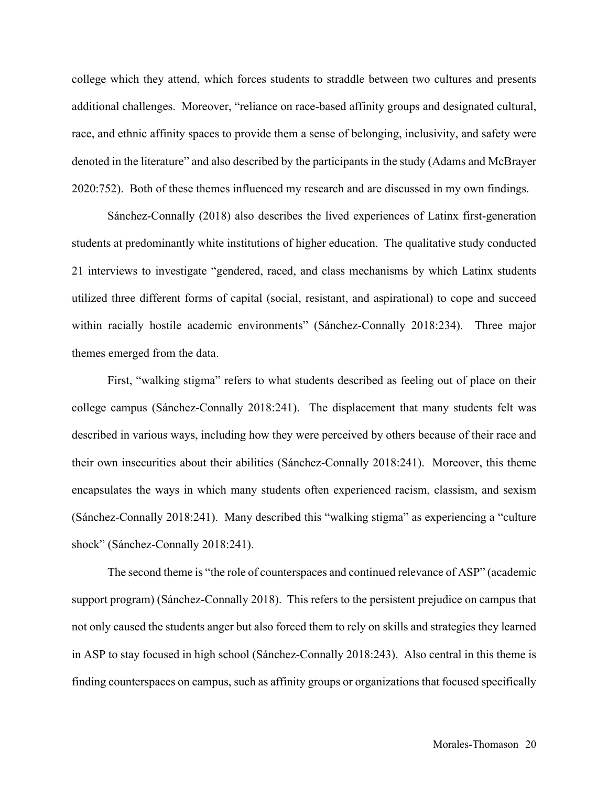college which they attend, which forces students to straddle between two cultures and presents additional challenges. Moreover, "reliance on race-based affinity groups and designated cultural, race, and ethnic affinity spaces to provide them a sense of belonging, inclusivity, and safety were denoted in the literature" and also described by the participants in the study (Adams and McBrayer 2020:752). Both of these themes influenced my research and are discussed in my own findings.

Sánchez-Connally (2018) also describes the lived experiences of Latinx first-generation students at predominantly white institutions of higher education. The qualitative study conducted 21 interviews to investigate "gendered, raced, and class mechanisms by which Latinx students utilized three different forms of capital (social, resistant, and aspirational) to cope and succeed within racially hostile academic environments" (Sánchez-Connally 2018:234). Three major themes emerged from the data.

First, "walking stigma" refers to what students described as feeling out of place on their college campus (Sánchez-Connally 2018:241). The displacement that many students felt was described in various ways, including how they were perceived by others because of their race and their own insecurities about their abilities (Sánchez-Connally 2018:241). Moreover, this theme encapsulates the ways in which many students often experienced racism, classism, and sexism (Sánchez-Connally 2018:241). Many described this "walking stigma" as experiencing a "culture shock" (Sánchez-Connally 2018:241).

The second theme is "the role of counterspaces and continued relevance of ASP" (academic support program) (Sánchez-Connally 2018). This refers to the persistent prejudice on campus that not only caused the students anger but also forced them to rely on skills and strategies they learned in ASP to stay focused in high school (Sánchez-Connally 2018:243). Also central in this theme is finding counterspaces on campus, such as affinity groups or organizations that focused specifically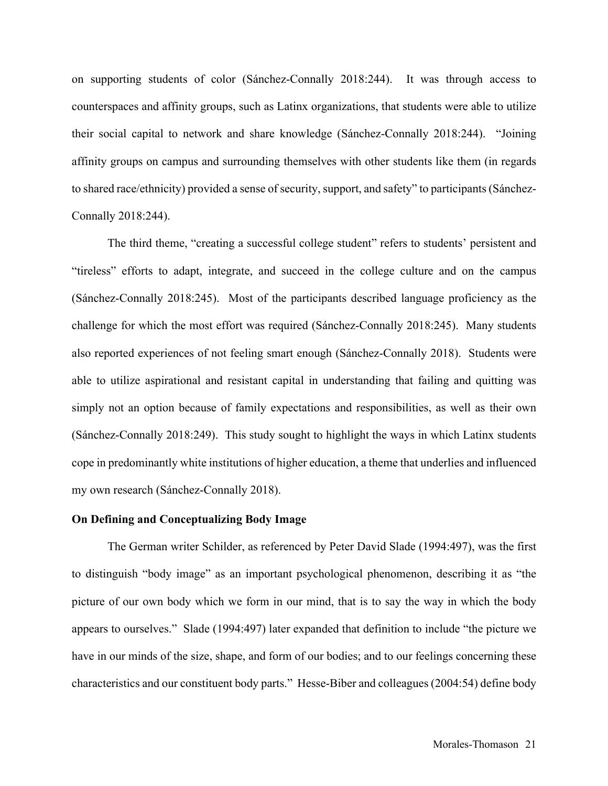on supporting students of color (Sánchez-Connally 2018:244). It was through access to counterspaces and affinity groups, such as Latinx organizations, that students were able to utilize their social capital to network and share knowledge (Sánchez-Connally 2018:244). "Joining affinity groups on campus and surrounding themselves with other students like them (in regards to shared race/ethnicity) provided a sense of security, support, and safety" to participants (Sánchez-Connally 2018:244).

The third theme, "creating a successful college student" refers to students' persistent and "tireless" efforts to adapt, integrate, and succeed in the college culture and on the campus (Sánchez-Connally 2018:245). Most of the participants described language proficiency as the challenge for which the most effort was required (Sánchez-Connally 2018:245). Many students also reported experiences of not feeling smart enough (Sánchez-Connally 2018). Students were able to utilize aspirational and resistant capital in understanding that failing and quitting was simply not an option because of family expectations and responsibilities, as well as their own (Sánchez-Connally 2018:249). This study sought to highlight the ways in which Latinx students cope in predominantly white institutions of higher education, a theme that underlies and influenced my own research (Sánchez-Connally 2018).

#### **On Defining and Conceptualizing Body Image**

The German writer Schilder, as referenced by Peter David Slade (1994:497), was the first to distinguish "body image" as an important psychological phenomenon, describing it as "the picture of our own body which we form in our mind, that is to say the way in which the body appears to ourselves." Slade (1994:497) later expanded that definition to include "the picture we have in our minds of the size, shape, and form of our bodies; and to our feelings concerning these characteristics and our constituent body parts." Hesse-Biber and colleagues (2004:54) define body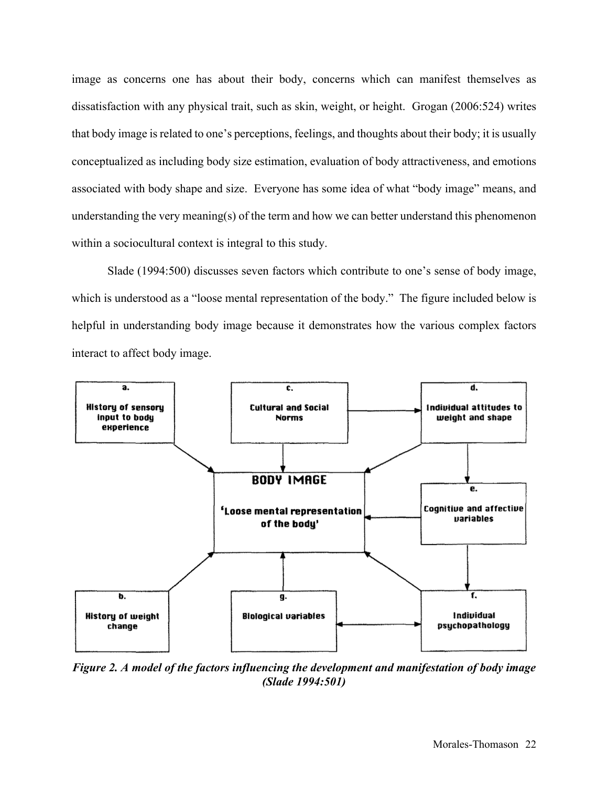image as concerns one has about their body, concerns which can manifest themselves as dissatisfaction with any physical trait, such as skin, weight, or height. Grogan (2006:524) writes that body image is related to one's perceptions, feelings, and thoughts about their body; it is usually conceptualized as including body size estimation, evaluation of body attractiveness, and emotions associated with body shape and size. Everyone has some idea of what "body image" means, and understanding the very meaning(s) of the term and how we can better understand this phenomenon within a sociocultural context is integral to this study.

Slade (1994:500) discusses seven factors which contribute to one's sense of body image, which is understood as a "loose mental representation of the body." The figure included below is helpful in understanding body image because it demonstrates how the various complex factors interact to affect body image.



*Figure 2. A model of the factors influencing the development and manifestation of body image (Slade 1994:501)*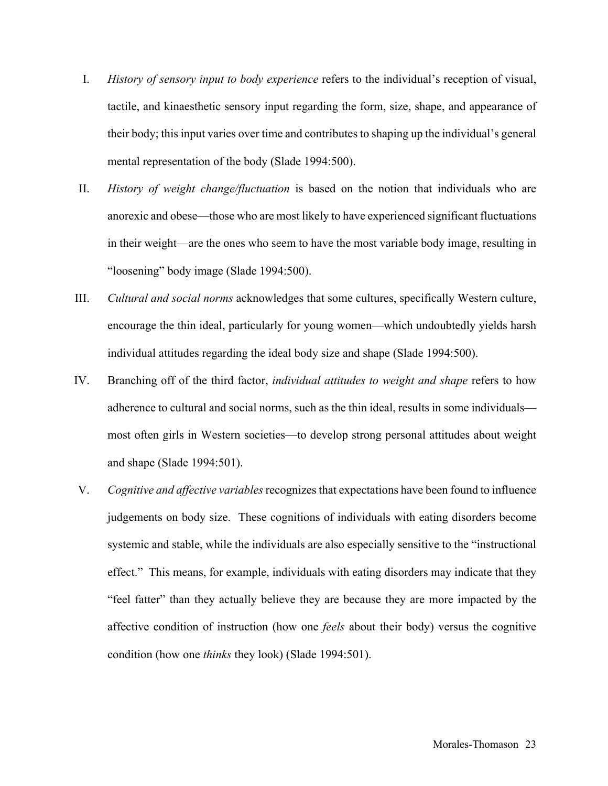- I. *History of sensory input to body experience* refers to the individual's reception of visual, tactile, and kinaesthetic sensory input regarding the form, size, shape, and appearance of their body; this input varies over time and contributes to shaping up the individual's general mental representation of the body (Slade 1994:500).
- II. *History of weight change/fluctuation* is based on the notion that individuals who are anorexic and obese—those who are most likely to have experienced significant fluctuations in their weight—are the ones who seem to have the most variable body image, resulting in "loosening" body image (Slade 1994:500).
- III. *Cultural and social norms* acknowledges that some cultures, specifically Western culture, encourage the thin ideal, particularly for young women—which undoubtedly yields harsh individual attitudes regarding the ideal body size and shape (Slade 1994:500).
- IV. Branching off of the third factor, *individual attitudes to weight and shape* refers to how adherence to cultural and social norms, such as the thin ideal, results in some individuals most often girls in Western societies—to develop strong personal attitudes about weight and shape (Slade 1994:501).
- V. *Cognitive and affective variables* recognizes that expectations have been found to influence judgements on body size. These cognitions of individuals with eating disorders become systemic and stable, while the individuals are also especially sensitive to the "instructional effect." This means, for example, individuals with eating disorders may indicate that they "feel fatter" than they actually believe they are because they are more impacted by the affective condition of instruction (how one *feels* about their body) versus the cognitive condition (how one *thinks* they look) (Slade 1994:501).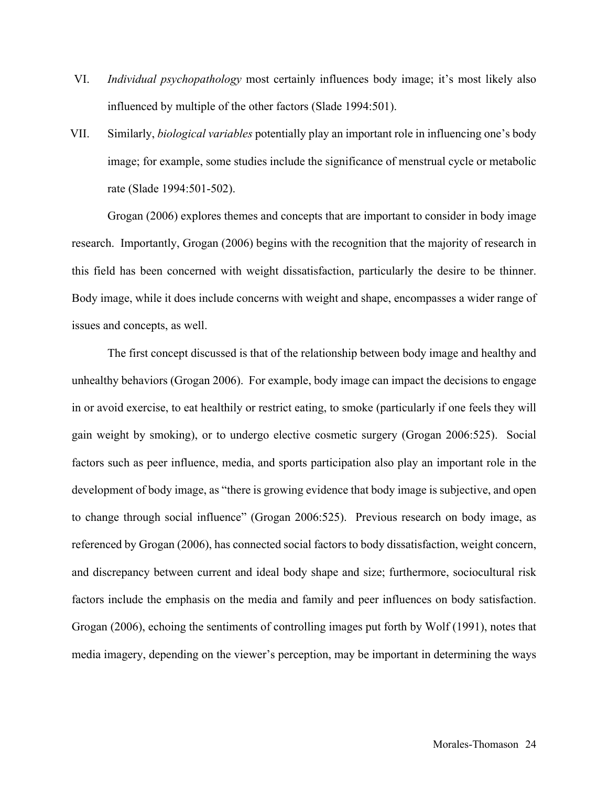- VI. *Individual psychopathology* most certainly influences body image; it's most likely also influenced by multiple of the other factors (Slade 1994:501).
- VII. Similarly, *biological variables* potentially play an important role in influencing one's body image; for example, some studies include the significance of menstrual cycle or metabolic rate (Slade 1994:501-502).

Grogan (2006) explores themes and concepts that are important to consider in body image research. Importantly, Grogan (2006) begins with the recognition that the majority of research in this field has been concerned with weight dissatisfaction, particularly the desire to be thinner. Body image, while it does include concerns with weight and shape, encompasses a wider range of issues and concepts, as well.

The first concept discussed is that of the relationship between body image and healthy and unhealthy behaviors (Grogan 2006). For example, body image can impact the decisions to engage in or avoid exercise, to eat healthily or restrict eating, to smoke (particularly if one feels they will gain weight by smoking), or to undergo elective cosmetic surgery (Grogan 2006:525). Social factors such as peer influence, media, and sports participation also play an important role in the development of body image, as "there is growing evidence that body image is subjective, and open to change through social influence" (Grogan 2006:525). Previous research on body image, as referenced by Grogan (2006), has connected social factors to body dissatisfaction, weight concern, and discrepancy between current and ideal body shape and size; furthermore, sociocultural risk factors include the emphasis on the media and family and peer influences on body satisfaction. Grogan (2006), echoing the sentiments of controlling images put forth by Wolf (1991), notes that media imagery, depending on the viewer's perception, may be important in determining the ways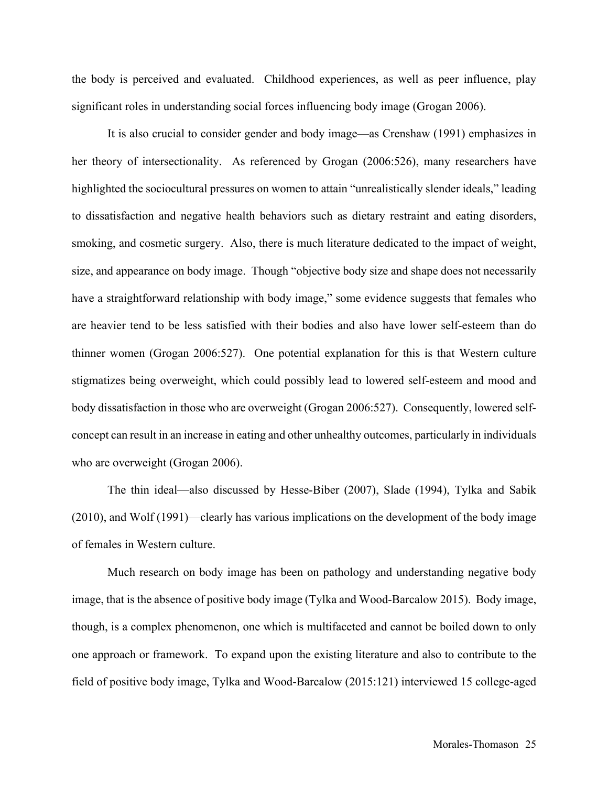the body is perceived and evaluated. Childhood experiences, as well as peer influence, play significant roles in understanding social forces influencing body image (Grogan 2006).

It is also crucial to consider gender and body image—as Crenshaw (1991) emphasizes in her theory of intersectionality. As referenced by Grogan (2006:526), many researchers have highlighted the sociocultural pressures on women to attain "unrealistically slender ideals," leading to dissatisfaction and negative health behaviors such as dietary restraint and eating disorders, smoking, and cosmetic surgery. Also, there is much literature dedicated to the impact of weight, size, and appearance on body image. Though "objective body size and shape does not necessarily have a straightforward relationship with body image," some evidence suggests that females who are heavier tend to be less satisfied with their bodies and also have lower self-esteem than do thinner women (Grogan 2006:527). One potential explanation for this is that Western culture stigmatizes being overweight, which could possibly lead to lowered self-esteem and mood and body dissatisfaction in those who are overweight (Grogan 2006:527). Consequently, lowered selfconcept can result in an increase in eating and other unhealthy outcomes, particularly in individuals who are overweight (Grogan 2006).

The thin ideal—also discussed by Hesse-Biber (2007), Slade (1994), Tylka and Sabik (2010), and Wolf (1991)—clearly has various implications on the development of the body image of females in Western culture.

Much research on body image has been on pathology and understanding negative body image, that is the absence of positive body image (Tylka and Wood-Barcalow 2015). Body image, though, is a complex phenomenon, one which is multifaceted and cannot be boiled down to only one approach or framework. To expand upon the existing literature and also to contribute to the field of positive body image, Tylka and Wood-Barcalow (2015:121) interviewed 15 college-aged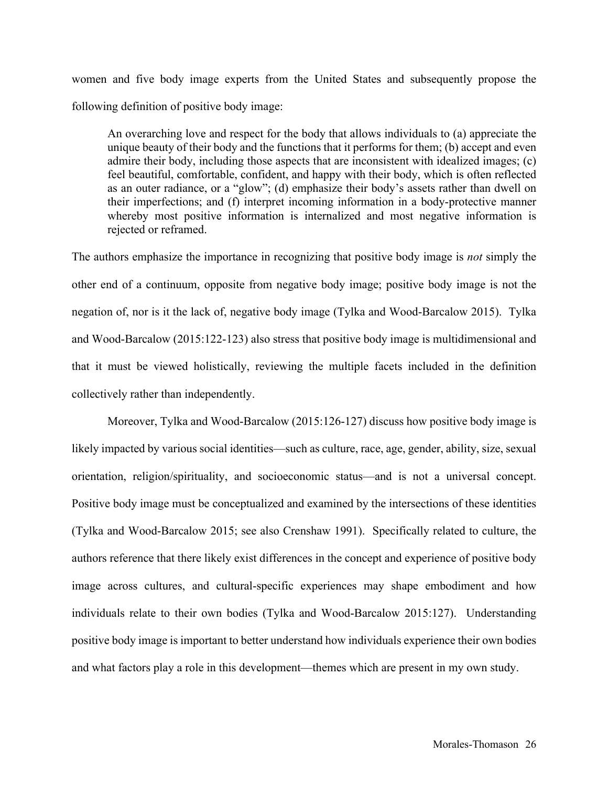women and five body image experts from the United States and subsequently propose the following definition of positive body image:

An overarching love and respect for the body that allows individuals to (a) appreciate the unique beauty of their body and the functions that it performs for them; (b) accept and even admire their body, including those aspects that are inconsistent with idealized images; (c) feel beautiful, comfortable, confident, and happy with their body, which is often reflected as an outer radiance, or a "glow"; (d) emphasize their body's assets rather than dwell on their imperfections; and (f) interpret incoming information in a body-protective manner whereby most positive information is internalized and most negative information is rejected or reframed.

The authors emphasize the importance in recognizing that positive body image is *not* simply the other end of a continuum, opposite from negative body image; positive body image is not the negation of, nor is it the lack of, negative body image (Tylka and Wood-Barcalow 2015). Tylka and Wood-Barcalow (2015:122-123) also stress that positive body image is multidimensional and that it must be viewed holistically, reviewing the multiple facets included in the definition collectively rather than independently.

Moreover, Tylka and Wood-Barcalow (2015:126-127) discuss how positive body image is likely impacted by various social identities—such as culture, race, age, gender, ability, size, sexual orientation, religion/spirituality, and socioeconomic status—and is not a universal concept. Positive body image must be conceptualized and examined by the intersections of these identities (Tylka and Wood-Barcalow 2015; see also Crenshaw 1991). Specifically related to culture, the authors reference that there likely exist differences in the concept and experience of positive body image across cultures, and cultural-specific experiences may shape embodiment and how individuals relate to their own bodies (Tylka and Wood-Barcalow 2015:127). Understanding positive body image is important to better understand how individuals experience their own bodies and what factors play a role in this development—themes which are present in my own study.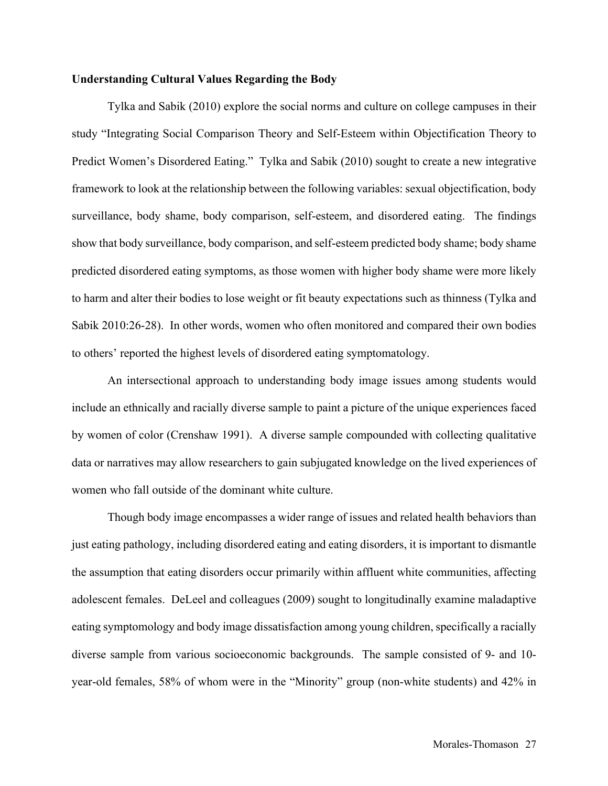#### **Understanding Cultural Values Regarding the Body**

Tylka and Sabik (2010) explore the social norms and culture on college campuses in their study "Integrating Social Comparison Theory and Self-Esteem within Objectification Theory to Predict Women's Disordered Eating." Tylka and Sabik (2010) sought to create a new integrative framework to look at the relationship between the following variables: sexual objectification, body surveillance, body shame, body comparison, self-esteem, and disordered eating. The findings show that body surveillance, body comparison, and self-esteem predicted body shame; body shame predicted disordered eating symptoms, as those women with higher body shame were more likely to harm and alter their bodies to lose weight or fit beauty expectations such as thinness (Tylka and Sabik 2010:26-28). In other words, women who often monitored and compared their own bodies to others' reported the highest levels of disordered eating symptomatology.

An intersectional approach to understanding body image issues among students would include an ethnically and racially diverse sample to paint a picture of the unique experiences faced by women of color (Crenshaw 1991). A diverse sample compounded with collecting qualitative data or narratives may allow researchers to gain subjugated knowledge on the lived experiences of women who fall outside of the dominant white culture.

Though body image encompasses a wider range of issues and related health behaviors than just eating pathology, including disordered eating and eating disorders, it is important to dismantle the assumption that eating disorders occur primarily within affluent white communities, affecting adolescent females. DeLeel and colleagues (2009) sought to longitudinally examine maladaptive eating symptomology and body image dissatisfaction among young children, specifically a racially diverse sample from various socioeconomic backgrounds. The sample consisted of 9- and 10 year-old females, 58% of whom were in the "Minority" group (non-white students) and 42% in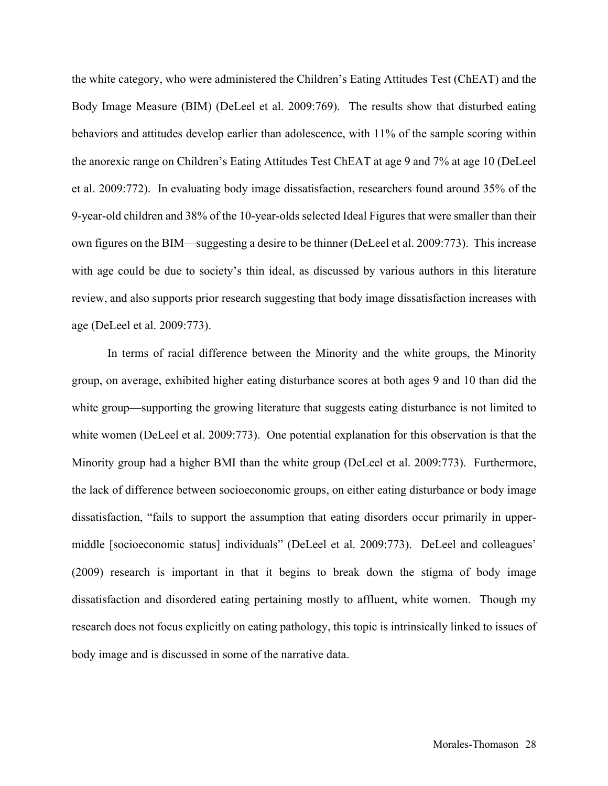the white category, who were administered the Children's Eating Attitudes Test (ChEAT) and the Body Image Measure (BIM) (DeLeel et al. 2009:769). The results show that disturbed eating behaviors and attitudes develop earlier than adolescence, with 11% of the sample scoring within the anorexic range on Children's Eating Attitudes Test ChEAT at age 9 and 7% at age 10 (DeLeel et al. 2009:772). In evaluating body image dissatisfaction, researchers found around 35% of the 9-year-old children and 38% of the 10-year-olds selected Ideal Figures that were smaller than their own figures on the BIM—suggesting a desire to be thinner (DeLeel et al. 2009:773). This increase with age could be due to society's thin ideal, as discussed by various authors in this literature review, and also supports prior research suggesting that body image dissatisfaction increases with age (DeLeel et al. 2009:773).

In terms of racial difference between the Minority and the white groups, the Minority group, on average, exhibited higher eating disturbance scores at both ages 9 and 10 than did the white group—supporting the growing literature that suggests eating disturbance is not limited to white women (DeLeel et al. 2009:773). One potential explanation for this observation is that the Minority group had a higher BMI than the white group (DeLeel et al. 2009:773). Furthermore, the lack of difference between socioeconomic groups, on either eating disturbance or body image dissatisfaction, "fails to support the assumption that eating disorders occur primarily in uppermiddle [socioeconomic status] individuals" (DeLeel et al. 2009:773). DeLeel and colleagues' (2009) research is important in that it begins to break down the stigma of body image dissatisfaction and disordered eating pertaining mostly to affluent, white women. Though my research does not focus explicitly on eating pathology, this topic is intrinsically linked to issues of body image and is discussed in some of the narrative data.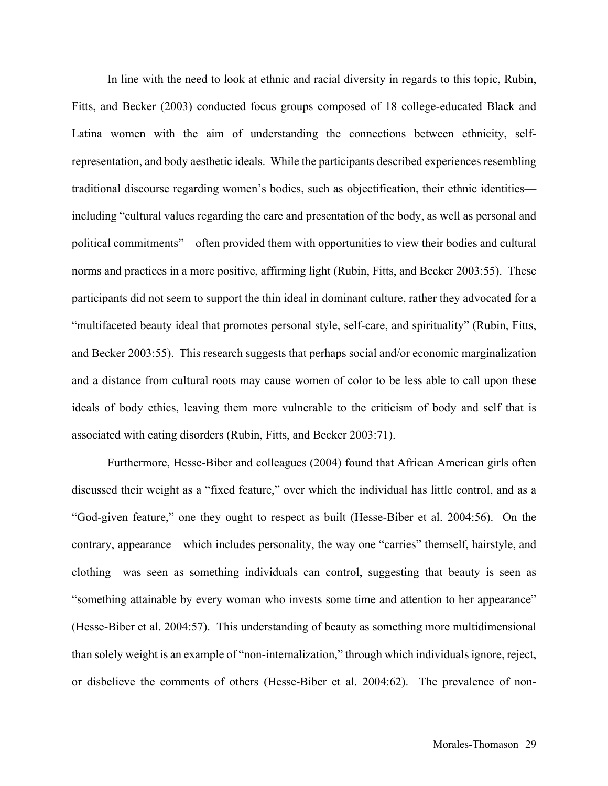In line with the need to look at ethnic and racial diversity in regards to this topic, Rubin, Fitts, and Becker (2003) conducted focus groups composed of 18 college-educated Black and Latina women with the aim of understanding the connections between ethnicity, selfrepresentation, and body aesthetic ideals. While the participants described experiences resembling traditional discourse regarding women's bodies, such as objectification, their ethnic identities including "cultural values regarding the care and presentation of the body, as well as personal and political commitments"—often provided them with opportunities to view their bodies and cultural norms and practices in a more positive, affirming light (Rubin, Fitts, and Becker 2003:55). These participants did not seem to support the thin ideal in dominant culture, rather they advocated for a "multifaceted beauty ideal that promotes personal style, self-care, and spirituality" (Rubin, Fitts, and Becker 2003:55). This research suggests that perhaps social and/or economic marginalization and a distance from cultural roots may cause women of color to be less able to call upon these ideals of body ethics, leaving them more vulnerable to the criticism of body and self that is associated with eating disorders (Rubin, Fitts, and Becker 2003:71).

Furthermore, Hesse-Biber and colleagues (2004) found that African American girls often discussed their weight as a "fixed feature," over which the individual has little control, and as a "God-given feature," one they ought to respect as built (Hesse-Biber et al. 2004:56). On the contrary, appearance—which includes personality, the way one "carries" themself, hairstyle, and clothing—was seen as something individuals can control, suggesting that beauty is seen as "something attainable by every woman who invests some time and attention to her appearance" (Hesse-Biber et al. 2004:57). This understanding of beauty as something more multidimensional than solely weight is an example of "non-internalization," through which individuals ignore, reject, or disbelieve the comments of others (Hesse-Biber et al. 2004:62). The prevalence of non-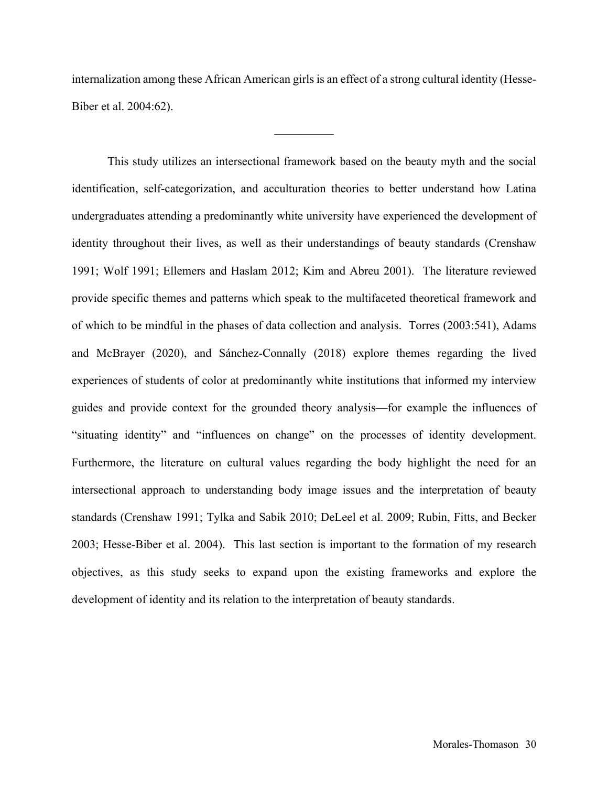internalization among these African American girls is an effect of a strong cultural identity (Hesse-Biber et al. 2004:62).

—————

This study utilizes an intersectional framework based on the beauty myth and the social identification, self-categorization, and acculturation theories to better understand how Latina undergraduates attending a predominantly white university have experienced the development of identity throughout their lives, as well as their understandings of beauty standards (Crenshaw 1991; Wolf 1991; Ellemers and Haslam 2012; Kim and Abreu 2001). The literature reviewed provide specific themes and patterns which speak to the multifaceted theoretical framework and of which to be mindful in the phases of data collection and analysis. Torres (2003:541), Adams and McBrayer (2020), and Sánchez-Connally (2018) explore themes regarding the lived experiences of students of color at predominantly white institutions that informed my interview guides and provide context for the grounded theory analysis—for example the influences of "situating identity" and "influences on change" on the processes of identity development. Furthermore, the literature on cultural values regarding the body highlight the need for an intersectional approach to understanding body image issues and the interpretation of beauty standards (Crenshaw 1991; Tylka and Sabik 2010; DeLeel et al. 2009; Rubin, Fitts, and Becker 2003; Hesse-Biber et al. 2004). This last section is important to the formation of my research objectives, as this study seeks to expand upon the existing frameworks and explore the development of identity and its relation to the interpretation of beauty standards.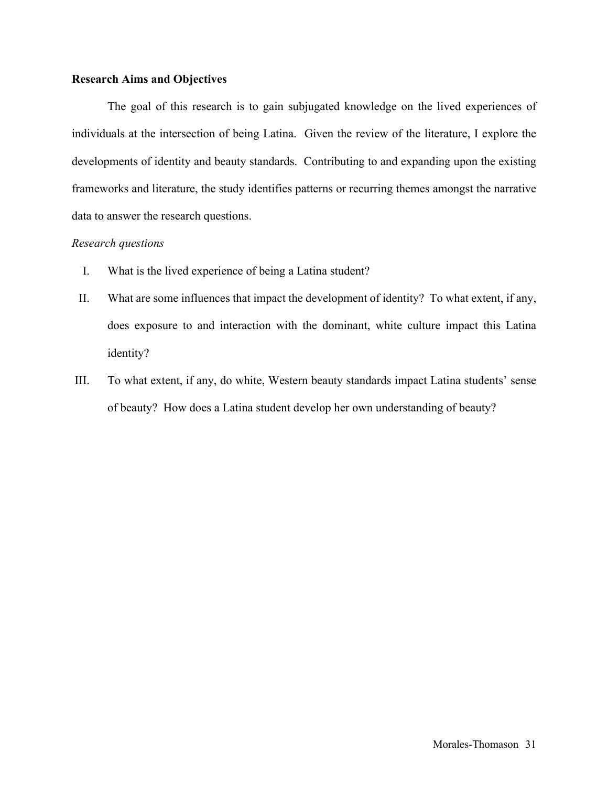#### **Research Aims and Objectives**

The goal of this research is to gain subjugated knowledge on the lived experiences of individuals at the intersection of being Latina. Given the review of the literature, I explore the developments of identity and beauty standards. Contributing to and expanding upon the existing frameworks and literature, the study identifies patterns or recurring themes amongst the narrative data to answer the research questions.

### *Research questions*

- I. What is the lived experience of being a Latina student?
- II. What are some influences that impact the development of identity? To what extent, if any, does exposure to and interaction with the dominant, white culture impact this Latina identity?
- III. To what extent, if any, do white, Western beauty standards impact Latina students' sense of beauty? How does a Latina student develop her own understanding of beauty?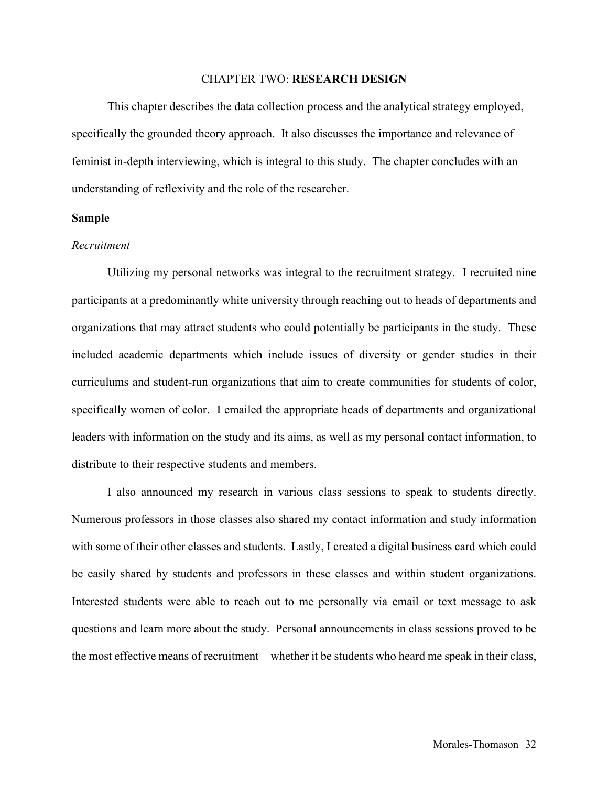#### CHAPTER TWO: **RESEARCH DESIGN**

This chapter describes the data collection process and the analytical strategy employed, specifically the grounded theory approach. It also discusses the importance and relevance of feminist in-depth interviewing, which is integral to this study. The chapter concludes with an understanding of reflexivity and the role of the researcher.

#### **Sample**

#### *Recruitment*

Utilizing my personal networks was integral to the recruitment strategy. I recruited nine participants at a predominantly white university through reaching out to heads of departments and organizations that may attract students who could potentially be participants in the study. These included academic departments which include issues of diversity or gender studies in their curriculums and student-run organizations that aim to create communities for students of color, specifically women of color. I emailed the appropriate heads of departments and organizational leaders with information on the study and its aims, as well as my personal contact information, to distribute to their respective students and members.

I also announced my research in various class sessions to speak to students directly. Numerous professors in those classes also shared my contact information and study information with some of their other classes and students. Lastly, I created a digital business card which could be easily shared by students and professors in these classes and within student organizations. Interested students were able to reach out to me personally via email or text message to ask questions and learn more about the study. Personal announcements in class sessions proved to be the most effective means of recruitment—whether it be students who heard me speak in their class,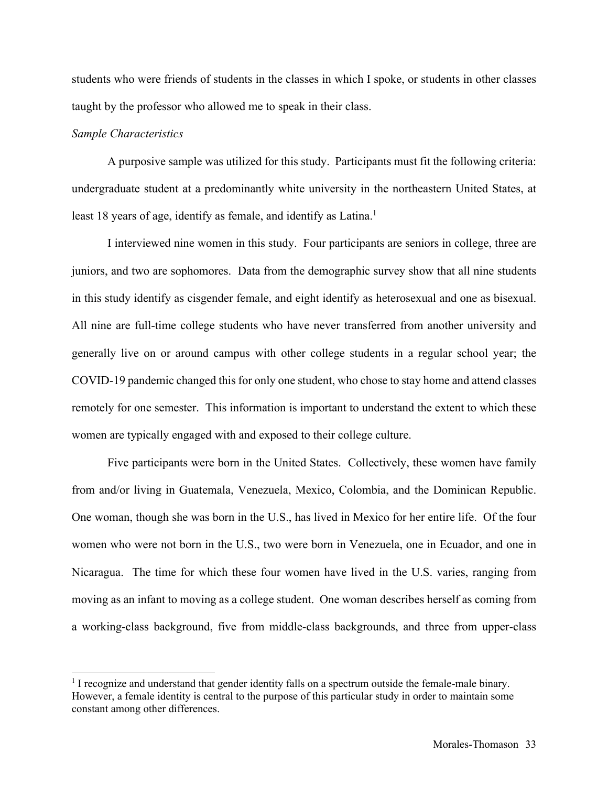students who were friends of students in the classes in which I spoke, or students in other classes taught by the professor who allowed me to speak in their class.

#### *Sample Characteristics*

A purposive sample was utilized for this study. Participants must fit the following criteria: undergraduate student at a predominantly white university in the northeastern United States, at least 18 years of age, identify as female, and identify as Latina.<sup>1</sup>

I interviewed nine women in this study. Four participants are seniors in college, three are juniors, and two are sophomores. Data from the demographic survey show that all nine students in this study identify as cisgender female, and eight identify as heterosexual and one as bisexual. All nine are full-time college students who have never transferred from another university and generally live on or around campus with other college students in a regular school year; the COVID-19 pandemic changed this for only one student, who chose to stay home and attend classes remotely for one semester. This information is important to understand the extent to which these women are typically engaged with and exposed to their college culture.

Five participants were born in the United States. Collectively, these women have family from and/or living in Guatemala, Venezuela, Mexico, Colombia, and the Dominican Republic. One woman, though she was born in the U.S., has lived in Mexico for her entire life. Of the four women who were not born in the U.S., two were born in Venezuela, one in Ecuador, and one in Nicaragua. The time for which these four women have lived in the U.S. varies, ranging from moving as an infant to moving as a college student. One woman describes herself as coming from a working-class background, five from middle-class backgrounds, and three from upper-class

<sup>&</sup>lt;sup>1</sup> I recognize and understand that gender identity falls on a spectrum outside the female-male binary. However, a female identity is central to the purpose of this particular study in order to maintain some constant among other differences.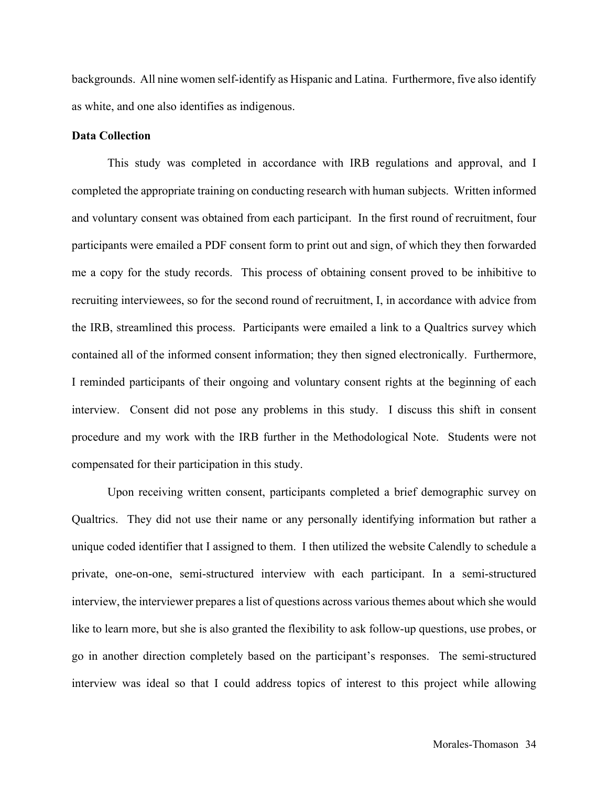backgrounds. All nine women self-identify as Hispanic and Latina. Furthermore, five also identify as white, and one also identifies as indigenous.

#### **Data Collection**

This study was completed in accordance with IRB regulations and approval, and I completed the appropriate training on conducting research with human subjects. Written informed and voluntary consent was obtained from each participant. In the first round of recruitment, four participants were emailed a PDF consent form to print out and sign, of which they then forwarded me a copy for the study records. This process of obtaining consent proved to be inhibitive to recruiting interviewees, so for the second round of recruitment, I, in accordance with advice from the IRB, streamlined this process. Participants were emailed a link to a Qualtrics survey which contained all of the informed consent information; they then signed electronically. Furthermore, I reminded participants of their ongoing and voluntary consent rights at the beginning of each interview. Consent did not pose any problems in this study. I discuss this shift in consent procedure and my work with the IRB further in the Methodological Note. Students were not compensated for their participation in this study.

Upon receiving written consent, participants completed a brief demographic survey on Qualtrics. They did not use their name or any personally identifying information but rather a unique coded identifier that I assigned to them. I then utilized the website Calendly to schedule a private, one-on-one, semi-structured interview with each participant. In a semi-structured interview, the interviewer prepares a list of questions across various themes about which she would like to learn more, but she is also granted the flexibility to ask follow-up questions, use probes, or go in another direction completely based on the participant's responses. The semi-structured interview was ideal so that I could address topics of interest to this project while allowing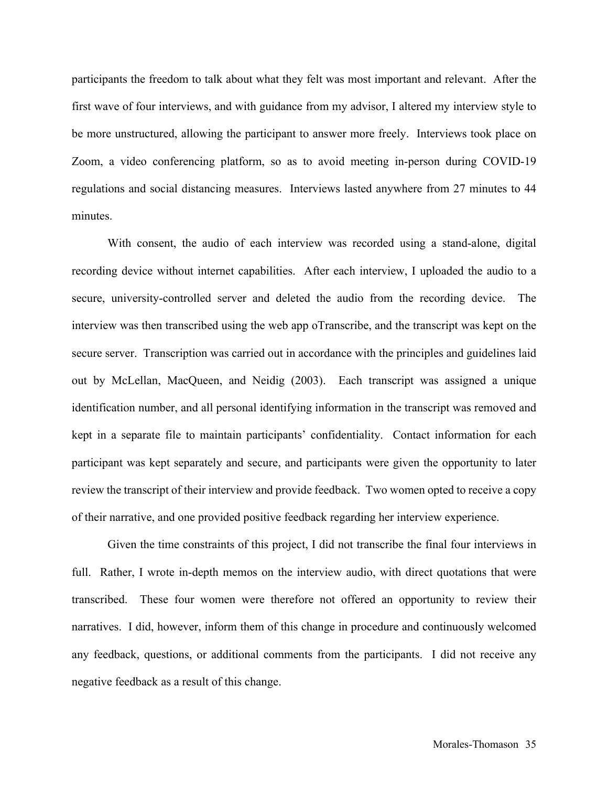participants the freedom to talk about what they felt was most important and relevant. After the first wave of four interviews, and with guidance from my advisor, I altered my interview style to be more unstructured, allowing the participant to answer more freely. Interviews took place on Zoom, a video conferencing platform, so as to avoid meeting in-person during COVID-19 regulations and social distancing measures. Interviews lasted anywhere from 27 minutes to 44 minutes.

With consent, the audio of each interview was recorded using a stand-alone, digital recording device without internet capabilities. After each interview, I uploaded the audio to a secure, university-controlled server and deleted the audio from the recording device. The interview was then transcribed using the web app oTranscribe, and the transcript was kept on the secure server. Transcription was carried out in accordance with the principles and guidelines laid out by McLellan, MacQueen, and Neidig (2003). Each transcript was assigned a unique identification number, and all personal identifying information in the transcript was removed and kept in a separate file to maintain participants' confidentiality. Contact information for each participant was kept separately and secure, and participants were given the opportunity to later review the transcript of their interview and provide feedback. Two women opted to receive a copy of their narrative, and one provided positive feedback regarding her interview experience.

Given the time constraints of this project, I did not transcribe the final four interviews in full. Rather, I wrote in-depth memos on the interview audio, with direct quotations that were transcribed. These four women were therefore not offered an opportunity to review their narratives. I did, however, inform them of this change in procedure and continuously welcomed any feedback, questions, or additional comments from the participants. I did not receive any negative feedback as a result of this change.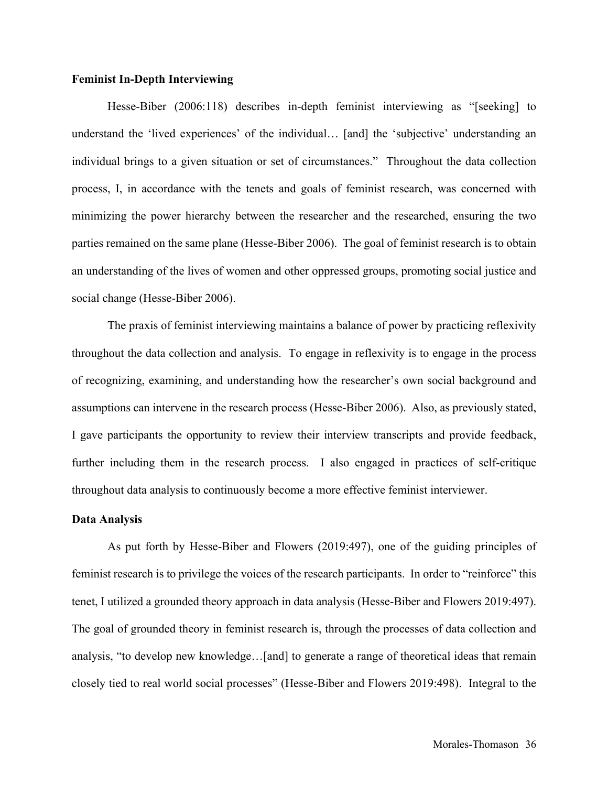#### **Feminist In-Depth Interviewing**

Hesse-Biber (2006:118) describes in-depth feminist interviewing as "[seeking] to understand the 'lived experiences' of the individual… [and] the 'subjective' understanding an individual brings to a given situation or set of circumstances." Throughout the data collection process, I, in accordance with the tenets and goals of feminist research, was concerned with minimizing the power hierarchy between the researcher and the researched, ensuring the two parties remained on the same plane (Hesse-Biber 2006). The goal of feminist research is to obtain an understanding of the lives of women and other oppressed groups, promoting social justice and social change (Hesse-Biber 2006).

The praxis of feminist interviewing maintains a balance of power by practicing reflexivity throughout the data collection and analysis. To engage in reflexivity is to engage in the process of recognizing, examining, and understanding how the researcher's own social background and assumptions can intervene in the research process (Hesse-Biber 2006). Also, as previously stated, I gave participants the opportunity to review their interview transcripts and provide feedback, further including them in the research process. I also engaged in practices of self-critique throughout data analysis to continuously become a more effective feminist interviewer.

## **Data Analysis**

As put forth by Hesse-Biber and Flowers (2019:497), one of the guiding principles of feminist research is to privilege the voices of the research participants. In order to "reinforce" this tenet, I utilized a grounded theory approach in data analysis (Hesse-Biber and Flowers 2019:497). The goal of grounded theory in feminist research is, through the processes of data collection and analysis, "to develop new knowledge…[and] to generate a range of theoretical ideas that remain closely tied to real world social processes" (Hesse-Biber and Flowers 2019:498). Integral to the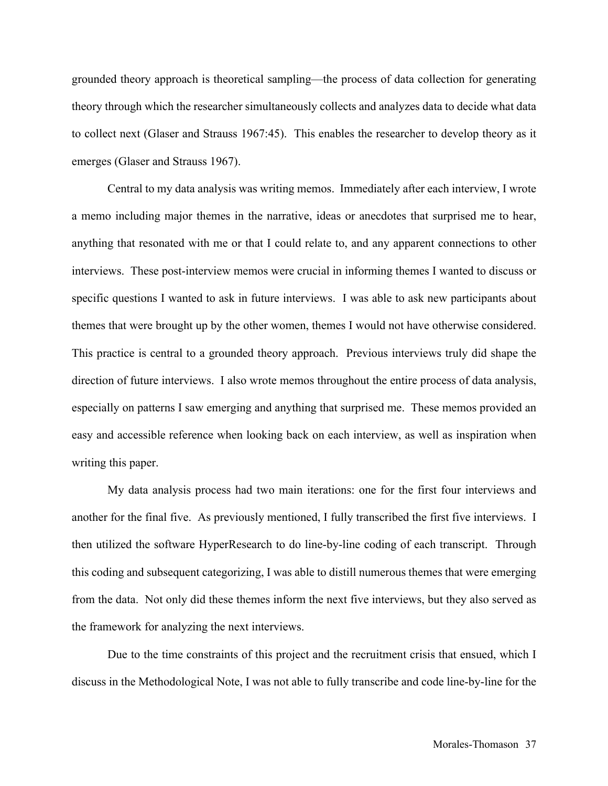grounded theory approach is theoretical sampling—the process of data collection for generating theory through which the researcher simultaneously collects and analyzes data to decide what data to collect next (Glaser and Strauss 1967:45). This enables the researcher to develop theory as it emerges (Glaser and Strauss 1967).

Central to my data analysis was writing memos. Immediately after each interview, I wrote a memo including major themes in the narrative, ideas or anecdotes that surprised me to hear, anything that resonated with me or that I could relate to, and any apparent connections to other interviews. These post-interview memos were crucial in informing themes I wanted to discuss or specific questions I wanted to ask in future interviews. I was able to ask new participants about themes that were brought up by the other women, themes I would not have otherwise considered. This practice is central to a grounded theory approach. Previous interviews truly did shape the direction of future interviews. I also wrote memos throughout the entire process of data analysis, especially on patterns I saw emerging and anything that surprised me. These memos provided an easy and accessible reference when looking back on each interview, as well as inspiration when writing this paper.

My data analysis process had two main iterations: one for the first four interviews and another for the final five. As previously mentioned, I fully transcribed the first five interviews. I then utilized the software HyperResearch to do line-by-line coding of each transcript. Through this coding and subsequent categorizing, I was able to distill numerous themes that were emerging from the data. Not only did these themes inform the next five interviews, but they also served as the framework for analyzing the next interviews.

Due to the time constraints of this project and the recruitment crisis that ensued, which I discuss in the Methodological Note, I was not able to fully transcribe and code line-by-line for the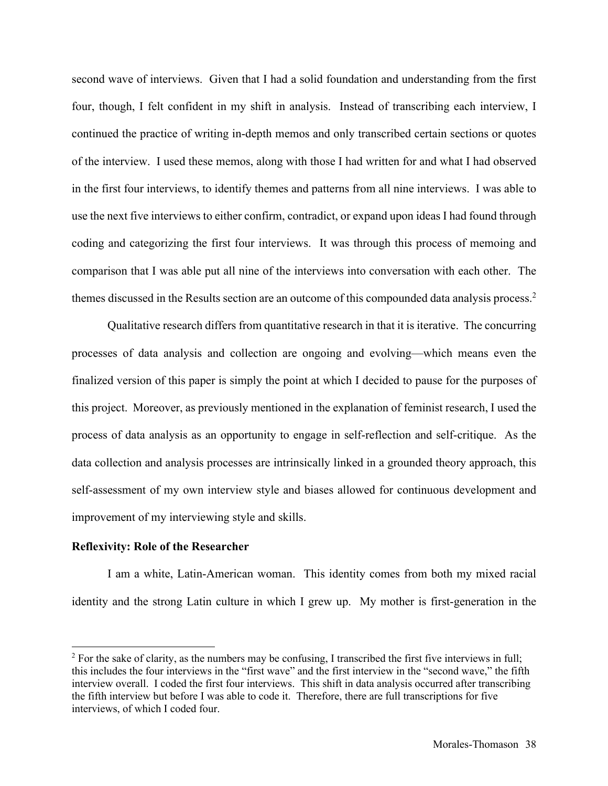second wave of interviews. Given that I had a solid foundation and understanding from the first four, though, I felt confident in my shift in analysis. Instead of transcribing each interview, I continued the practice of writing in-depth memos and only transcribed certain sections or quotes of the interview. I used these memos, along with those I had written for and what I had observed in the first four interviews, to identify themes and patterns from all nine interviews. I was able to use the next five interviews to either confirm, contradict, or expand upon ideas I had found through coding and categorizing the first four interviews. It was through this process of memoing and comparison that I was able put all nine of the interviews into conversation with each other. The themes discussed in the Results section are an outcome of this compounded data analysis process. 2

Qualitative research differs from quantitative research in that it is iterative. The concurring processes of data analysis and collection are ongoing and evolving—which means even the finalized version of this paper is simply the point at which I decided to pause for the purposes of this project. Moreover, as previously mentioned in the explanation of feminist research, I used the process of data analysis as an opportunity to engage in self-reflection and self-critique. As the data collection and analysis processes are intrinsically linked in a grounded theory approach, this self-assessment of my own interview style and biases allowed for continuous development and improvement of my interviewing style and skills.

# **Reflexivity: Role of the Researcher**

I am a white, Latin-American woman. This identity comes from both my mixed racial identity and the strong Latin culture in which I grew up. My mother is first-generation in the

<sup>&</sup>lt;sup>2</sup> For the sake of clarity, as the numbers may be confusing, I transcribed the first five interviews in full; this includes the four interviews in the "first wave" and the first interview in the "second wave," the fifth interview overall. I coded the first four interviews. This shift in data analysis occurred after transcribing the fifth interview but before I was able to code it. Therefore, there are full transcriptions for five interviews, of which I coded four.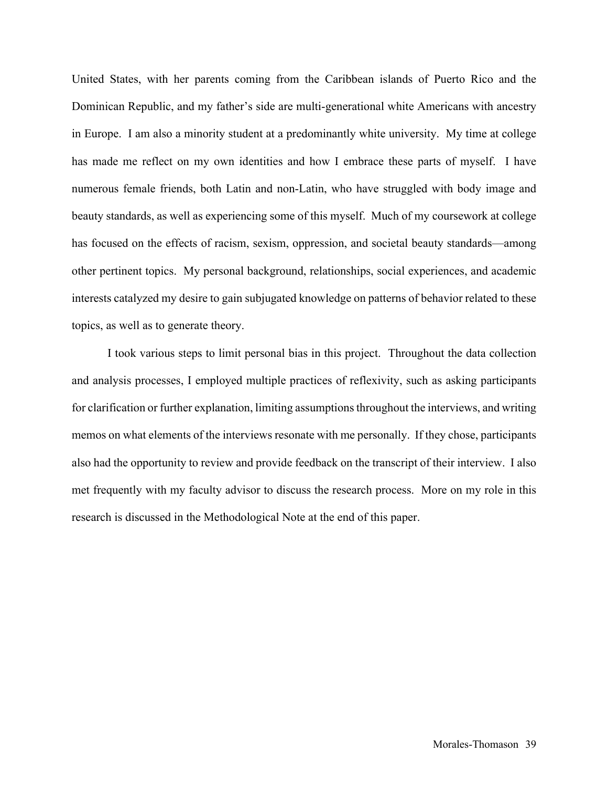United States, with her parents coming from the Caribbean islands of Puerto Rico and the Dominican Republic, and my father's side are multi-generational white Americans with ancestry in Europe. I am also a minority student at a predominantly white university. My time at college has made me reflect on my own identities and how I embrace these parts of myself. I have numerous female friends, both Latin and non-Latin, who have struggled with body image and beauty standards, as well as experiencing some of this myself. Much of my coursework at college has focused on the effects of racism, sexism, oppression, and societal beauty standards—among other pertinent topics. My personal background, relationships, social experiences, and academic interests catalyzed my desire to gain subjugated knowledge on patterns of behavior related to these topics, as well as to generate theory.

I took various steps to limit personal bias in this project. Throughout the data collection and analysis processes, I employed multiple practices of reflexivity, such as asking participants for clarification or further explanation, limiting assumptions throughout the interviews, and writing memos on what elements of the interviews resonate with me personally. If they chose, participants also had the opportunity to review and provide feedback on the transcript of their interview. I also met frequently with my faculty advisor to discuss the research process. More on my role in this research is discussed in the Methodological Note at the end of this paper.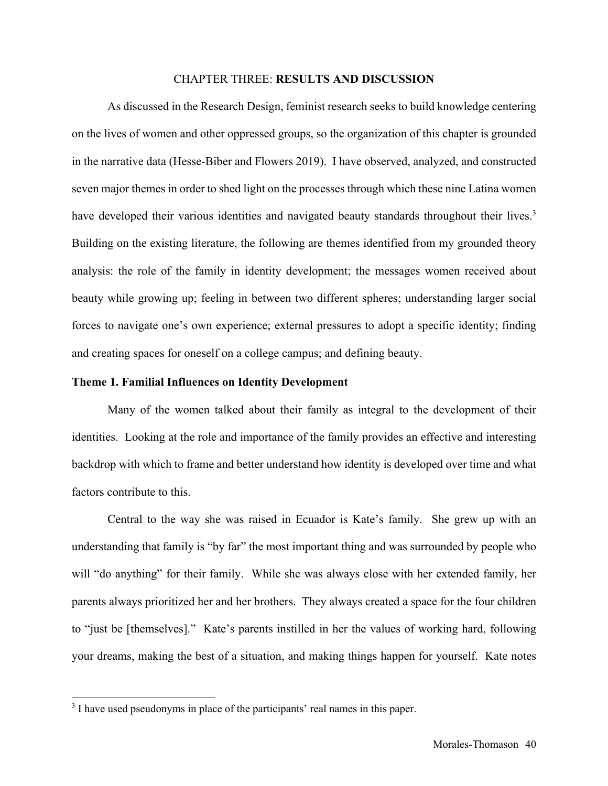#### CHAPTER THREE: **RESULTS AND DISCUSSION**

As discussed in the Research Design, feminist research seeks to build knowledge centering on the lives of women and other oppressed groups, so the organization of this chapter is grounded in the narrative data (Hesse-Biber and Flowers 2019). I have observed, analyzed, and constructed seven major themes in order to shed light on the processes through which these nine Latina women have developed their various identities and navigated beauty standards throughout their lives.<sup>3</sup> Building on the existing literature, the following are themes identified from my grounded theory analysis: the role of the family in identity development; the messages women received about beauty while growing up; feeling in between two different spheres; understanding larger social forces to navigate one's own experience; external pressures to adopt a specific identity; finding and creating spaces for oneself on a college campus; and defining beauty.

## **Theme 1. Familial Influences on Identity Development**

Many of the women talked about their family as integral to the development of their identities. Looking at the role and importance of the family provides an effective and interesting backdrop with which to frame and better understand how identity is developed over time and what factors contribute to this.

Central to the way she was raised in Ecuador is Kate's family. She grew up with an understanding that family is "by far" the most important thing and was surrounded by people who will "do anything" for their family. While she was always close with her extended family, her parents always prioritized her and her brothers. They always created a space for the four children to "just be [themselves]." Kate's parents instilled in her the values of working hard, following your dreams, making the best of a situation, and making things happen for yourself. Kate notes

<sup>&</sup>lt;sup>3</sup> I have used pseudonyms in place of the participants' real names in this paper.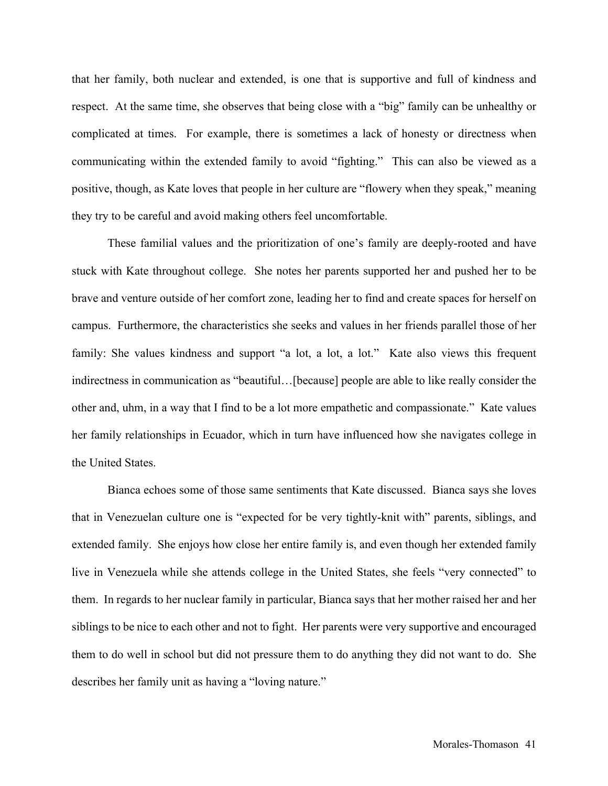that her family, both nuclear and extended, is one that is supportive and full of kindness and respect. At the same time, she observes that being close with a "big" family can be unhealthy or complicated at times. For example, there is sometimes a lack of honesty or directness when communicating within the extended family to avoid "fighting." This can also be viewed as a positive, though, as Kate loves that people in her culture are "flowery when they speak," meaning they try to be careful and avoid making others feel uncomfortable.

These familial values and the prioritization of one's family are deeply-rooted and have stuck with Kate throughout college. She notes her parents supported her and pushed her to be brave and venture outside of her comfort zone, leading her to find and create spaces for herself on campus. Furthermore, the characteristics she seeks and values in her friends parallel those of her family: She values kindness and support "a lot, a lot, a lot." Kate also views this frequent indirectness in communication as "beautiful…[because] people are able to like really consider the other and, uhm, in a way that I find to be a lot more empathetic and compassionate." Kate values her family relationships in Ecuador, which in turn have influenced how she navigates college in the United States.

Bianca echoes some of those same sentiments that Kate discussed. Bianca says she loves that in Venezuelan culture one is "expected for be very tightly-knit with" parents, siblings, and extended family. She enjoys how close her entire family is, and even though her extended family live in Venezuela while she attends college in the United States, she feels "very connected" to them. In regards to her nuclear family in particular, Bianca says that her mother raised her and her siblings to be nice to each other and not to fight. Her parents were very supportive and encouraged them to do well in school but did not pressure them to do anything they did not want to do. She describes her family unit as having a "loving nature."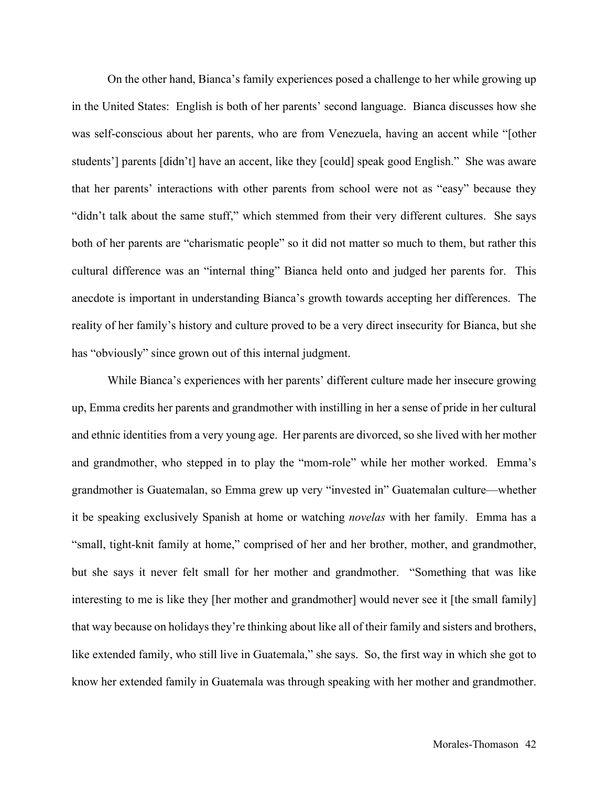On the other hand, Bianca's family experiences posed a challenge to her while growing up in the United States: English is both of her parents' second language. Bianca discusses how she was self-conscious about her parents, who are from Venezuela, having an accent while "[other students'] parents [didn't] have an accent, like they [could] speak good English." She was aware that her parents' interactions with other parents from school were not as "easy" because they "didn't talk about the same stuff," which stemmed from their very different cultures. She says both of her parents are "charismatic people" so it did not matter so much to them, but rather this cultural difference was an "internal thing" Bianca held onto and judged her parents for. This anecdote is important in understanding Bianca's growth towards accepting her differences. The reality of her family's history and culture proved to be a very direct insecurity for Bianca, but she has "obviously" since grown out of this internal judgment.

While Bianca's experiences with her parents' different culture made her insecure growing up, Emma credits her parents and grandmother with instilling in her a sense of pride in her cultural and ethnic identities from a very young age. Her parents are divorced, so she lived with her mother and grandmother, who stepped in to play the "mom-role" while her mother worked. Emma's grandmother is Guatemalan, so Emma grew up very "invested in" Guatemalan culture—whether it be speaking exclusively Spanish at home or watching *novelas* with her family. Emma has a "small, tight-knit family at home," comprised of her and her brother, mother, and grandmother, but she says it never felt small for her mother and grandmother. "Something that was like interesting to me is like they [her mother and grandmother] would never see it [the small family] that way because on holidays they're thinking about like all of their family and sisters and brothers, like extended family, who still live in Guatemala," she says. So, the first way in which she got to know her extended family in Guatemala was through speaking with her mother and grandmother.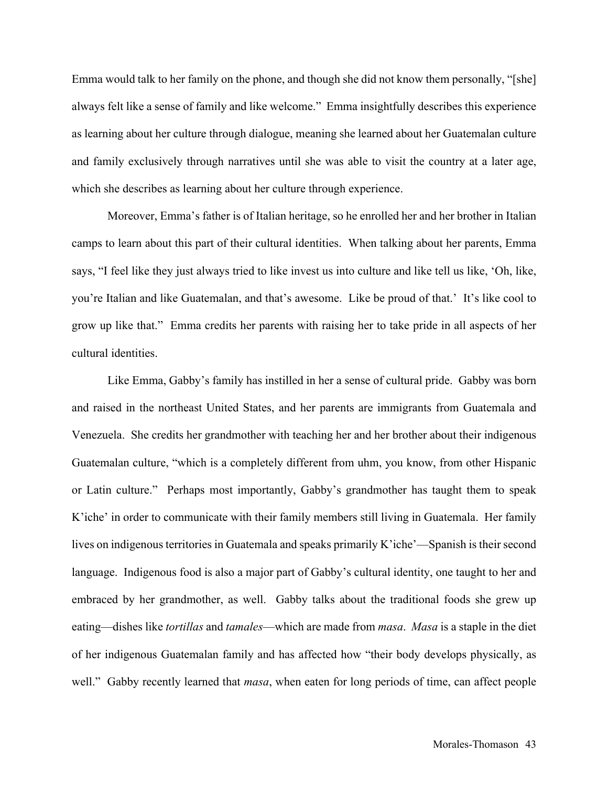Emma would talk to her family on the phone, and though she did not know them personally, "[she] always felt like a sense of family and like welcome." Emma insightfully describes this experience as learning about her culture through dialogue, meaning she learned about her Guatemalan culture and family exclusively through narratives until she was able to visit the country at a later age, which she describes as learning about her culture through experience.

Moreover, Emma's father is of Italian heritage, so he enrolled her and her brother in Italian camps to learn about this part of their cultural identities. When talking about her parents, Emma says, "I feel like they just always tried to like invest us into culture and like tell us like, 'Oh, like, you're Italian and like Guatemalan, and that's awesome. Like be proud of that.' It's like cool to grow up like that." Emma credits her parents with raising her to take pride in all aspects of her cultural identities.

Like Emma, Gabby's family has instilled in her a sense of cultural pride. Gabby was born and raised in the northeast United States, and her parents are immigrants from Guatemala and Venezuela. She credits her grandmother with teaching her and her brother about their indigenous Guatemalan culture, "which is a completely different from uhm, you know, from other Hispanic or Latin culture." Perhaps most importantly, Gabby's grandmother has taught them to speak K'iche' in order to communicate with their family members still living in Guatemala. Her family lives on indigenous territories in Guatemala and speaks primarily K'iche'—Spanish is their second language. Indigenous food is also a major part of Gabby's cultural identity, one taught to her and embraced by her grandmother, as well. Gabby talks about the traditional foods she grew up eating—dishes like *tortillas* and *tamales*—which are made from *masa*. *Masa* is a staple in the diet of her indigenous Guatemalan family and has affected how "their body develops physically, as well." Gabby recently learned that *masa*, when eaten for long periods of time, can affect people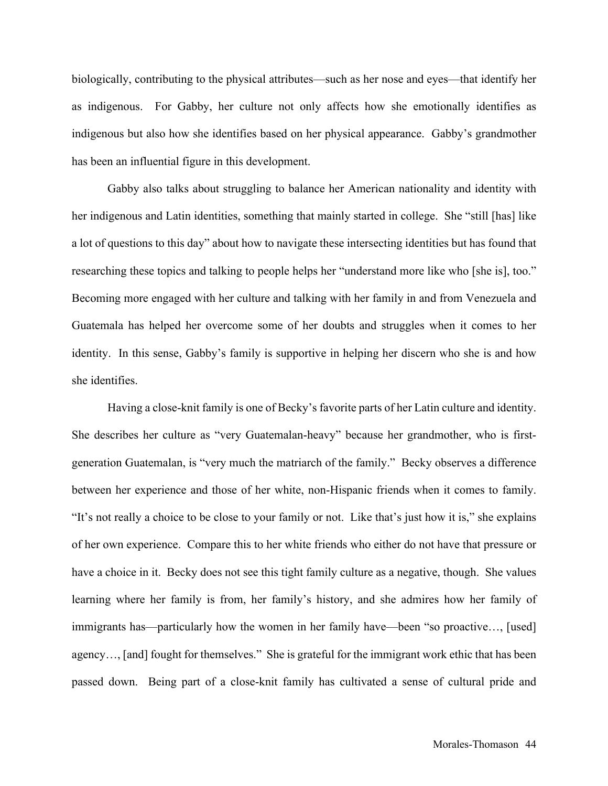biologically, contributing to the physical attributes—such as her nose and eyes—that identify her as indigenous. For Gabby, her culture not only affects how she emotionally identifies as indigenous but also how she identifies based on her physical appearance. Gabby's grandmother has been an influential figure in this development.

Gabby also talks about struggling to balance her American nationality and identity with her indigenous and Latin identities, something that mainly started in college. She "still [has] like a lot of questions to this day" about how to navigate these intersecting identities but has found that researching these topics and talking to people helps her "understand more like who [she is], too." Becoming more engaged with her culture and talking with her family in and from Venezuela and Guatemala has helped her overcome some of her doubts and struggles when it comes to her identity. In this sense, Gabby's family is supportive in helping her discern who she is and how she identifies.

Having a close-knit family is one of Becky's favorite parts of her Latin culture and identity. She describes her culture as "very Guatemalan-heavy" because her grandmother, who is firstgeneration Guatemalan, is "very much the matriarch of the family." Becky observes a difference between her experience and those of her white, non-Hispanic friends when it comes to family. "It's not really a choice to be close to your family or not. Like that's just how it is," she explains of her own experience. Compare this to her white friends who either do not have that pressure or have a choice in it. Becky does not see this tight family culture as a negative, though. She values learning where her family is from, her family's history, and she admires how her family of immigrants has—particularly how the women in her family have—been "so proactive…, [used] agency…, [and] fought for themselves." She is grateful for the immigrant work ethic that has been passed down. Being part of a close-knit family has cultivated a sense of cultural pride and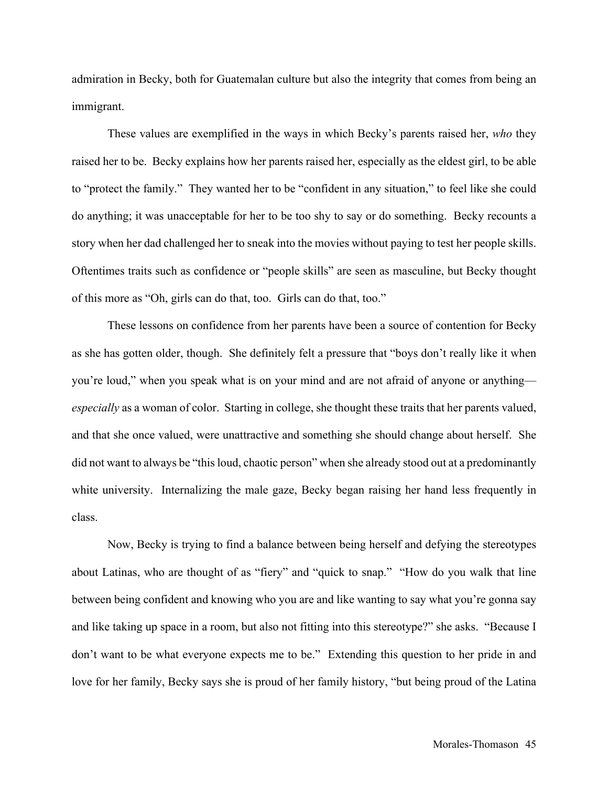admiration in Becky, both for Guatemalan culture but also the integrity that comes from being an immigrant.

These values are exemplified in the ways in which Becky's parents raised her, *who* they raised her to be. Becky explains how her parents raised her, especially as the eldest girl, to be able to "protect the family." They wanted her to be "confident in any situation," to feel like she could do anything; it was unacceptable for her to be too shy to say or do something. Becky recounts a story when her dad challenged her to sneak into the movies without paying to test her people skills. Oftentimes traits such as confidence or "people skills" are seen as masculine, but Becky thought of this more as "Oh, girls can do that, too. Girls can do that, too."

These lessons on confidence from her parents have been a source of contention for Becky as she has gotten older, though. She definitely felt a pressure that "boys don't really like it when you're loud," when you speak what is on your mind and are not afraid of anyone or anything *especially* as a woman of color. Starting in college, she thought these traits that her parents valued, and that she once valued, were unattractive and something she should change about herself. She did not want to always be "this loud, chaotic person" when she already stood out at a predominantly white university. Internalizing the male gaze, Becky began raising her hand less frequently in class.

Now, Becky is trying to find a balance between being herself and defying the stereotypes about Latinas, who are thought of as "fiery" and "quick to snap." "How do you walk that line between being confident and knowing who you are and like wanting to say what you're gonna say and like taking up space in a room, but also not fitting into this stereotype?" she asks. "Because I don't want to be what everyone expects me to be." Extending this question to her pride in and love for her family, Becky says she is proud of her family history, "but being proud of the Latina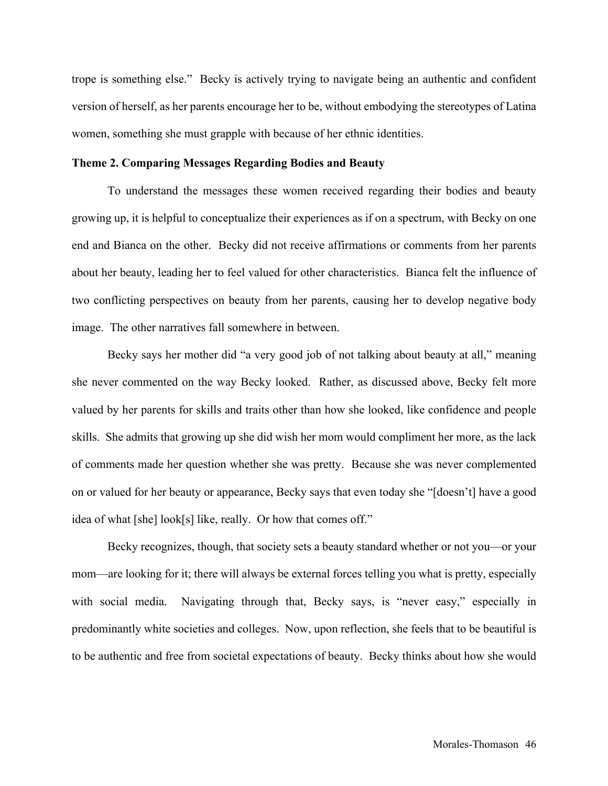trope is something else." Becky is actively trying to navigate being an authentic and confident version of herself, as her parents encourage her to be, without embodying the stereotypes of Latina women, something she must grapple with because of her ethnic identities.

## **Theme 2. Comparing Messages Regarding Bodies and Beauty**

To understand the messages these women received regarding their bodies and beauty growing up, it is helpful to conceptualize their experiences as if on a spectrum, with Becky on one end and Bianca on the other. Becky did not receive affirmations or comments from her parents about her beauty, leading her to feel valued for other characteristics. Bianca felt the influence of two conflicting perspectives on beauty from her parents, causing her to develop negative body image. The other narratives fall somewhere in between.

Becky says her mother did "a very good job of not talking about beauty at all," meaning she never commented on the way Becky looked. Rather, as discussed above, Becky felt more valued by her parents for skills and traits other than how she looked, like confidence and people skills. She admits that growing up she did wish her mom would compliment her more, as the lack of comments made her question whether she was pretty. Because she was never complemented on or valued for her beauty or appearance, Becky says that even today she "[doesn't] have a good idea of what [she] look[s] like, really. Or how that comes off."

Becky recognizes, though, that society sets a beauty standard whether or not you—or your mom—are looking for it; there will always be external forces telling you what is pretty, especially with social media. Navigating through that, Becky says, is "never easy," especially in predominantly white societies and colleges. Now, upon reflection, she feels that to be beautiful is to be authentic and free from societal expectations of beauty. Becky thinks about how she would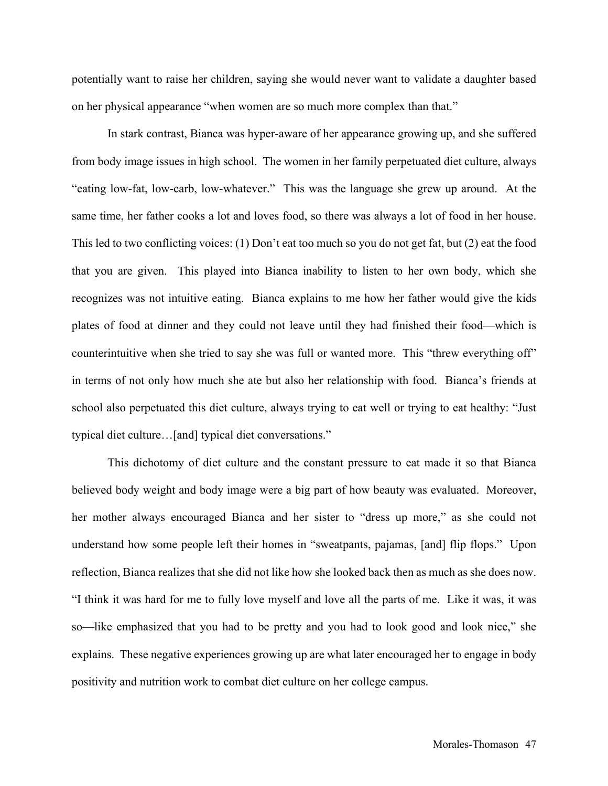potentially want to raise her children, saying she would never want to validate a daughter based on her physical appearance "when women are so much more complex than that."

In stark contrast, Bianca was hyper-aware of her appearance growing up, and she suffered from body image issues in high school. The women in her family perpetuated diet culture, always "eating low-fat, low-carb, low-whatever." This was the language she grew up around. At the same time, her father cooks a lot and loves food, so there was always a lot of food in her house. This led to two conflicting voices: (1) Don't eat too much so you do not get fat, but (2) eat the food that you are given. This played into Bianca inability to listen to her own body, which she recognizes was not intuitive eating. Bianca explains to me how her father would give the kids plates of food at dinner and they could not leave until they had finished their food—which is counterintuitive when she tried to say she was full or wanted more. This "threw everything off" in terms of not only how much she ate but also her relationship with food. Bianca's friends at school also perpetuated this diet culture, always trying to eat well or trying to eat healthy: "Just typical diet culture…[and] typical diet conversations."

This dichotomy of diet culture and the constant pressure to eat made it so that Bianca believed body weight and body image were a big part of how beauty was evaluated. Moreover, her mother always encouraged Bianca and her sister to "dress up more," as she could not understand how some people left their homes in "sweatpants, pajamas, [and] flip flops." Upon reflection, Bianca realizes that she did not like how she looked back then as much as she does now. "I think it was hard for me to fully love myself and love all the parts of me. Like it was, it was so—like emphasized that you had to be pretty and you had to look good and look nice," she explains. These negative experiences growing up are what later encouraged her to engage in body positivity and nutrition work to combat diet culture on her college campus.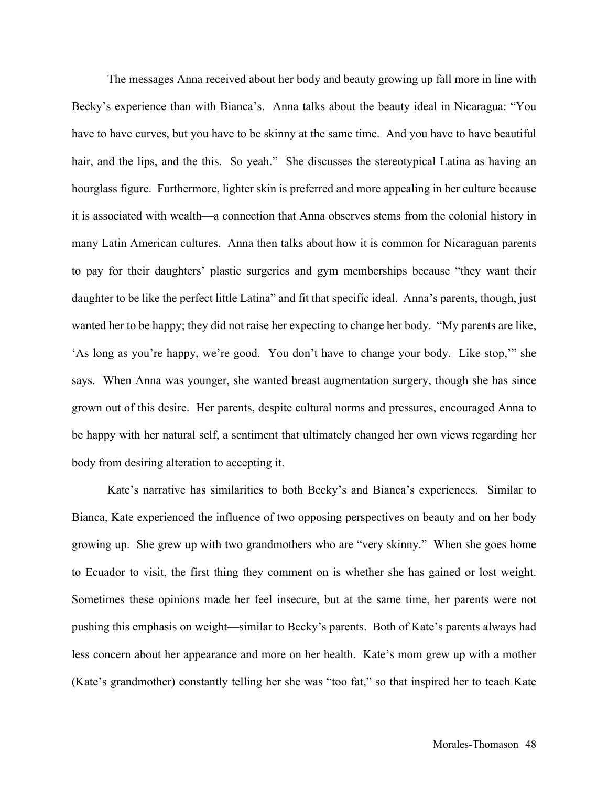The messages Anna received about her body and beauty growing up fall more in line with Becky's experience than with Bianca's. Anna talks about the beauty ideal in Nicaragua: "You have to have curves, but you have to be skinny at the same time. And you have to have beautiful hair, and the lips, and the this. So yeah." She discusses the stereotypical Latina as having an hourglass figure. Furthermore, lighter skin is preferred and more appealing in her culture because it is associated with wealth—a connection that Anna observes stems from the colonial history in many Latin American cultures. Anna then talks about how it is common for Nicaraguan parents to pay for their daughters' plastic surgeries and gym memberships because "they want their daughter to be like the perfect little Latina" and fit that specific ideal. Anna's parents, though, just wanted her to be happy; they did not raise her expecting to change her body. "My parents are like, 'As long as you're happy, we're good. You don't have to change your body. Like stop,'" she says. When Anna was younger, she wanted breast augmentation surgery, though she has since grown out of this desire. Her parents, despite cultural norms and pressures, encouraged Anna to be happy with her natural self, a sentiment that ultimately changed her own views regarding her body from desiring alteration to accepting it.

Kate's narrative has similarities to both Becky's and Bianca's experiences. Similar to Bianca, Kate experienced the influence of two opposing perspectives on beauty and on her body growing up. She grew up with two grandmothers who are "very skinny." When she goes home to Ecuador to visit, the first thing they comment on is whether she has gained or lost weight. Sometimes these opinions made her feel insecure, but at the same time, her parents were not pushing this emphasis on weight—similar to Becky's parents. Both of Kate's parents always had less concern about her appearance and more on her health. Kate's mom grew up with a mother (Kate's grandmother) constantly telling her she was "too fat," so that inspired her to teach Kate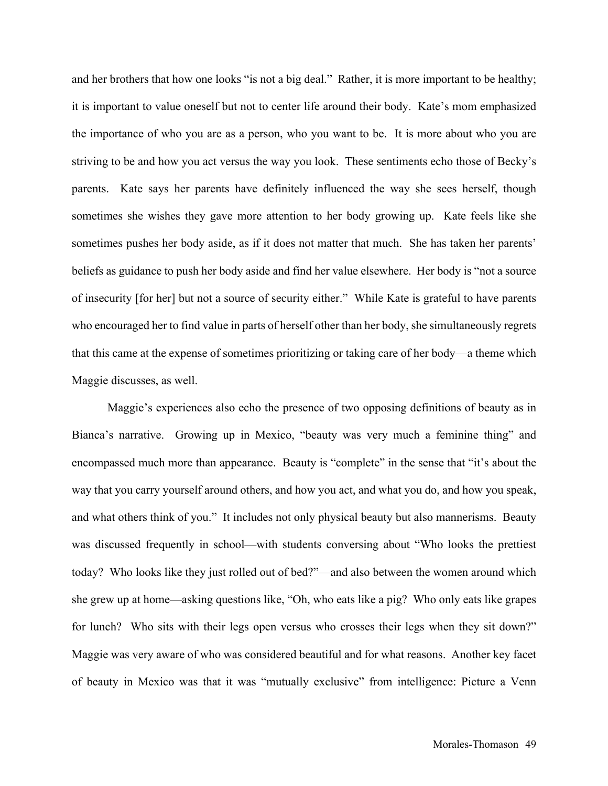and her brothers that how one looks "is not a big deal." Rather, it is more important to be healthy; it is important to value oneself but not to center life around their body. Kate's mom emphasized the importance of who you are as a person, who you want to be. It is more about who you are striving to be and how you act versus the way you look. These sentiments echo those of Becky's parents. Kate says her parents have definitely influenced the way she sees herself, though sometimes she wishes they gave more attention to her body growing up. Kate feels like she sometimes pushes her body aside, as if it does not matter that much. She has taken her parents' beliefs as guidance to push her body aside and find her value elsewhere. Her body is "not a source of insecurity [for her] but not a source of security either." While Kate is grateful to have parents who encouraged her to find value in parts of herself other than her body, she simultaneously regrets that this came at the expense of sometimes prioritizing or taking care of her body—a theme which Maggie discusses, as well.

Maggie's experiences also echo the presence of two opposing definitions of beauty as in Bianca's narrative. Growing up in Mexico, "beauty was very much a feminine thing" and encompassed much more than appearance. Beauty is "complete" in the sense that "it's about the way that you carry yourself around others, and how you act, and what you do, and how you speak, and what others think of you." It includes not only physical beauty but also mannerisms. Beauty was discussed frequently in school—with students conversing about "Who looks the prettiest today? Who looks like they just rolled out of bed?"—and also between the women around which she grew up at home—asking questions like, "Oh, who eats like a pig? Who only eats like grapes for lunch? Who sits with their legs open versus who crosses their legs when they sit down?" Maggie was very aware of who was considered beautiful and for what reasons. Another key facet of beauty in Mexico was that it was "mutually exclusive" from intelligence: Picture a Venn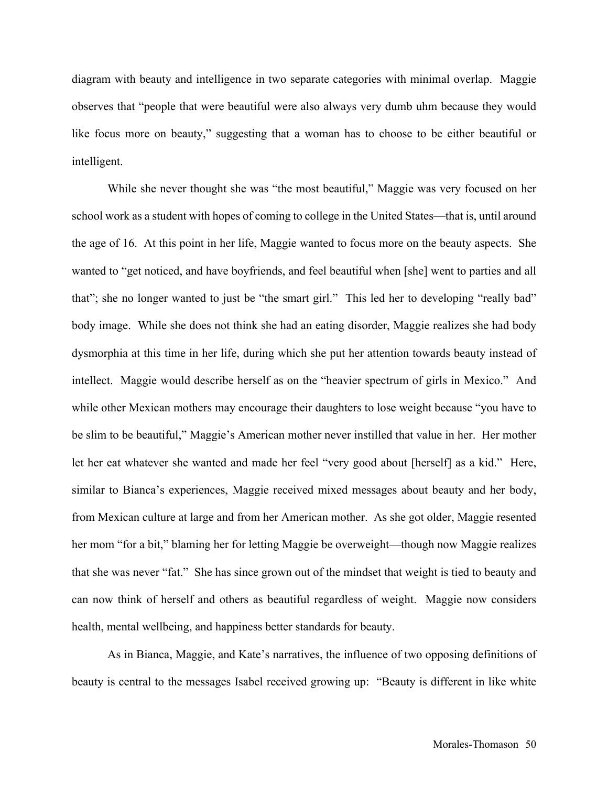diagram with beauty and intelligence in two separate categories with minimal overlap. Maggie observes that "people that were beautiful were also always very dumb uhm because they would like focus more on beauty," suggesting that a woman has to choose to be either beautiful or intelligent.

While she never thought she was "the most beautiful," Maggie was very focused on her school work as a student with hopes of coming to college in the United States—that is, until around the age of 16. At this point in her life, Maggie wanted to focus more on the beauty aspects. She wanted to "get noticed, and have boyfriends, and feel beautiful when [she] went to parties and all that"; she no longer wanted to just be "the smart girl." This led her to developing "really bad" body image. While she does not think she had an eating disorder, Maggie realizes she had body dysmorphia at this time in her life, during which she put her attention towards beauty instead of intellect. Maggie would describe herself as on the "heavier spectrum of girls in Mexico." And while other Mexican mothers may encourage their daughters to lose weight because "you have to be slim to be beautiful," Maggie's American mother never instilled that value in her. Her mother let her eat whatever she wanted and made her feel "very good about [herself] as a kid." Here, similar to Bianca's experiences, Maggie received mixed messages about beauty and her body, from Mexican culture at large and from her American mother. As she got older, Maggie resented her mom "for a bit," blaming her for letting Maggie be overweight—though now Maggie realizes that she was never "fat." She has since grown out of the mindset that weight is tied to beauty and can now think of herself and others as beautiful regardless of weight. Maggie now considers health, mental wellbeing, and happiness better standards for beauty.

As in Bianca, Maggie, and Kate's narratives, the influence of two opposing definitions of beauty is central to the messages Isabel received growing up: "Beauty is different in like white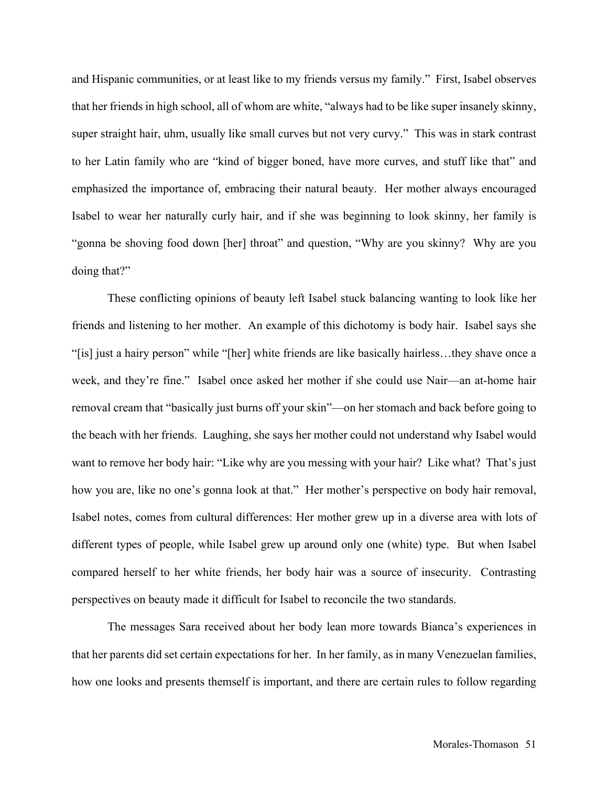and Hispanic communities, or at least like to my friends versus my family." First, Isabel observes that her friends in high school, all of whom are white, "always had to be like super insanely skinny, super straight hair, uhm, usually like small curves but not very curvy." This was in stark contrast to her Latin family who are "kind of bigger boned, have more curves, and stuff like that" and emphasized the importance of, embracing their natural beauty. Her mother always encouraged Isabel to wear her naturally curly hair, and if she was beginning to look skinny, her family is "gonna be shoving food down [her] throat" and question, "Why are you skinny? Why are you doing that?"

These conflicting opinions of beauty left Isabel stuck balancing wanting to look like her friends and listening to her mother. An example of this dichotomy is body hair. Isabel says she "[is] just a hairy person" while "[her] white friends are like basically hairless…they shave once a week, and they're fine." Isabel once asked her mother if she could use Nair—an at-home hair removal cream that "basically just burns off your skin"—on her stomach and back before going to the beach with her friends. Laughing, she says her mother could not understand why Isabel would want to remove her body hair: "Like why are you messing with your hair? Like what? That's just how you are, like no one's gonna look at that." Her mother's perspective on body hair removal, Isabel notes, comes from cultural differences: Her mother grew up in a diverse area with lots of different types of people, while Isabel grew up around only one (white) type. But when Isabel compared herself to her white friends, her body hair was a source of insecurity. Contrasting perspectives on beauty made it difficult for Isabel to reconcile the two standards.

The messages Sara received about her body lean more towards Bianca's experiences in that her parents did set certain expectations for her. In her family, as in many Venezuelan families, how one looks and presents themself is important, and there are certain rules to follow regarding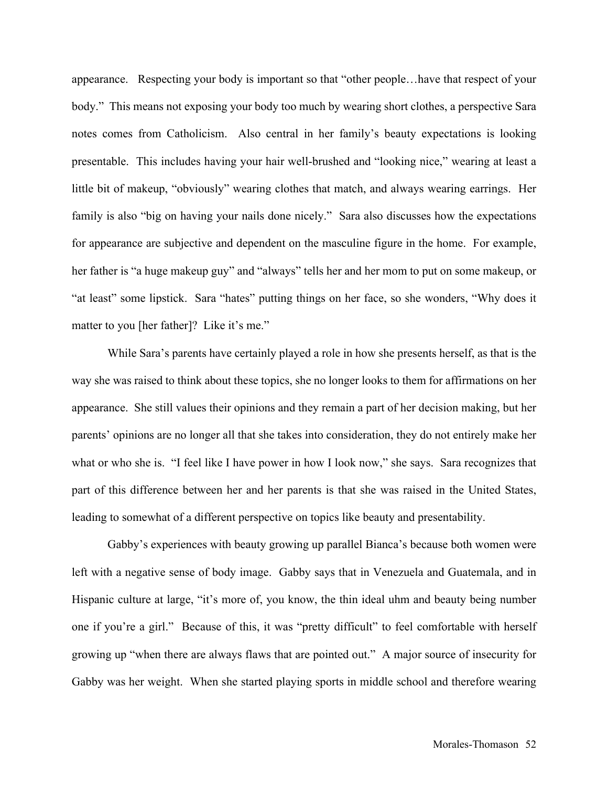appearance. Respecting your body is important so that "other people…have that respect of your body." This means not exposing your body too much by wearing short clothes, a perspective Sara notes comes from Catholicism. Also central in her family's beauty expectations is looking presentable. This includes having your hair well-brushed and "looking nice," wearing at least a little bit of makeup, "obviously" wearing clothes that match, and always wearing earrings. Her family is also "big on having your nails done nicely." Sara also discusses how the expectations for appearance are subjective and dependent on the masculine figure in the home. For example, her father is "a huge makeup guy" and "always" tells her and her mom to put on some makeup, or "at least" some lipstick. Sara "hates" putting things on her face, so she wonders, "Why does it matter to you [her father]? Like it's me."

While Sara's parents have certainly played a role in how she presents herself, as that is the way she was raised to think about these topics, she no longer looks to them for affirmations on her appearance. She still values their opinions and they remain a part of her decision making, but her parents' opinions are no longer all that she takes into consideration, they do not entirely make her what or who she is. "I feel like I have power in how I look now," she says. Sara recognizes that part of this difference between her and her parents is that she was raised in the United States, leading to somewhat of a different perspective on topics like beauty and presentability.

Gabby's experiences with beauty growing up parallel Bianca's because both women were left with a negative sense of body image. Gabby says that in Venezuela and Guatemala, and in Hispanic culture at large, "it's more of, you know, the thin ideal uhm and beauty being number one if you're a girl." Because of this, it was "pretty difficult" to feel comfortable with herself growing up "when there are always flaws that are pointed out." A major source of insecurity for Gabby was her weight. When she started playing sports in middle school and therefore wearing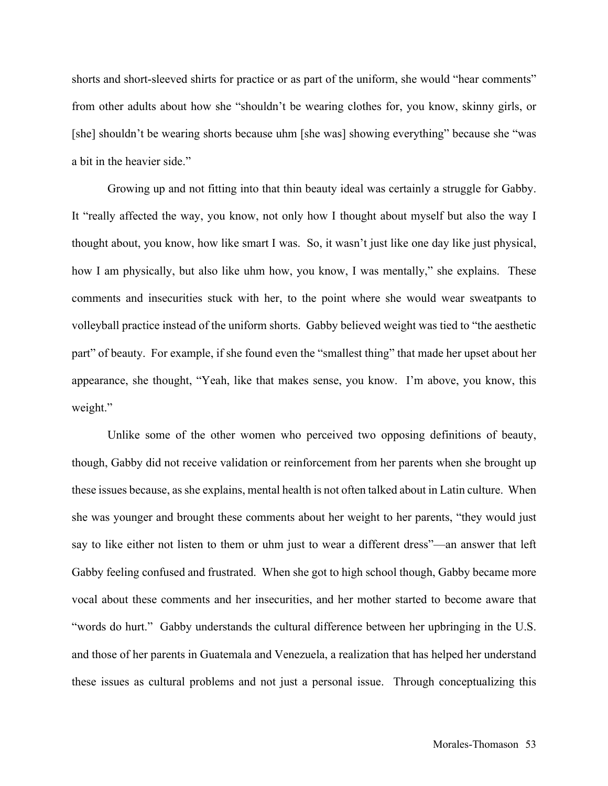shorts and short-sleeved shirts for practice or as part of the uniform, she would "hear comments" from other adults about how she "shouldn't be wearing clothes for, you know, skinny girls, or [she] shouldn't be wearing shorts because uhm [she was] showing everything" because she "was a bit in the heavier side."

Growing up and not fitting into that thin beauty ideal was certainly a struggle for Gabby. It "really affected the way, you know, not only how I thought about myself but also the way I thought about, you know, how like smart I was. So, it wasn't just like one day like just physical, how I am physically, but also like uhm how, you know, I was mentally," she explains. These comments and insecurities stuck with her, to the point where she would wear sweatpants to volleyball practice instead of the uniform shorts. Gabby believed weight was tied to "the aesthetic part" of beauty. For example, if she found even the "smallest thing" that made her upset about her appearance, she thought, "Yeah, like that makes sense, you know. I'm above, you know, this weight."

Unlike some of the other women who perceived two opposing definitions of beauty, though, Gabby did not receive validation or reinforcement from her parents when she brought up these issues because, as she explains, mental health is not often talked about in Latin culture. When she was younger and brought these comments about her weight to her parents, "they would just say to like either not listen to them or uhm just to wear a different dress"—an answer that left Gabby feeling confused and frustrated. When she got to high school though, Gabby became more vocal about these comments and her insecurities, and her mother started to become aware that "words do hurt." Gabby understands the cultural difference between her upbringing in the U.S. and those of her parents in Guatemala and Venezuela, a realization that has helped her understand these issues as cultural problems and not just a personal issue. Through conceptualizing this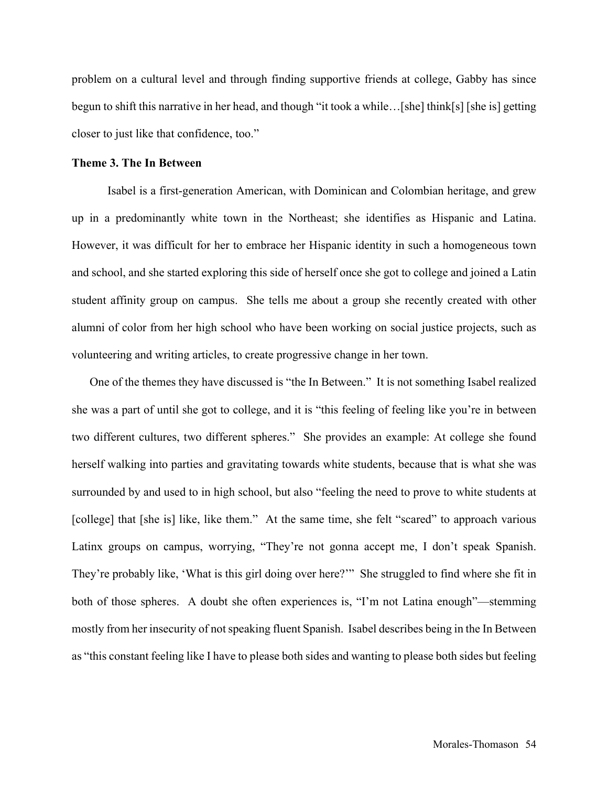problem on a cultural level and through finding supportive friends at college, Gabby has since begun to shift this narrative in her head, and though "it took a while…[she] think[s] [she is] getting closer to just like that confidence, too."

## **Theme 3. The In Between**

Isabel is a first-generation American, with Dominican and Colombian heritage, and grew up in a predominantly white town in the Northeast; she identifies as Hispanic and Latina. However, it was difficult for her to embrace her Hispanic identity in such a homogeneous town and school, and she started exploring this side of herself once she got to college and joined a Latin student affinity group on campus. She tells me about a group she recently created with other alumni of color from her high school who have been working on social justice projects, such as volunteering and writing articles, to create progressive change in her town.

One of the themes they have discussed is "the In Between." It is not something Isabel realized she was a part of until she got to college, and it is "this feeling of feeling like you're in between two different cultures, two different spheres." She provides an example: At college she found herself walking into parties and gravitating towards white students, because that is what she was surrounded by and used to in high school, but also "feeling the need to prove to white students at [college] that [she is] like, like them." At the same time, she felt "scared" to approach various Latinx groups on campus, worrying, "They're not gonna accept me, I don't speak Spanish. They're probably like, 'What is this girl doing over here?'" She struggled to find where she fit in both of those spheres. A doubt she often experiences is, "I'm not Latina enough"—stemming mostly from her insecurity of not speaking fluent Spanish. Isabel describes being in the In Between as "this constant feeling like I have to please both sides and wanting to please both sides but feeling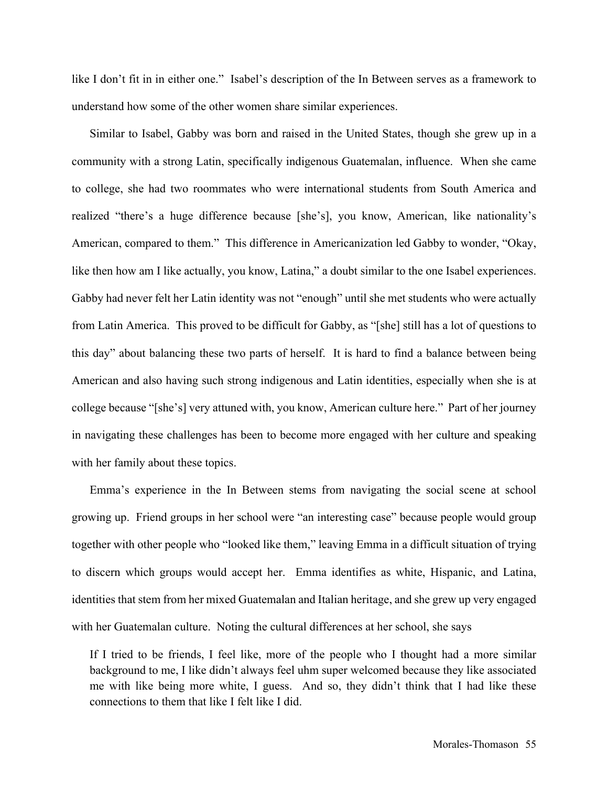like I don't fit in in either one." Isabel's description of the In Between serves as a framework to understand how some of the other women share similar experiences.

Similar to Isabel, Gabby was born and raised in the United States, though she grew up in a community with a strong Latin, specifically indigenous Guatemalan, influence. When she came to college, she had two roommates who were international students from South America and realized "there's a huge difference because [she's], you know, American, like nationality's American, compared to them." This difference in Americanization led Gabby to wonder, "Okay, like then how am I like actually, you know, Latina," a doubt similar to the one Isabel experiences. Gabby had never felt her Latin identity was not "enough" until she met students who were actually from Latin America. This proved to be difficult for Gabby, as "[she] still has a lot of questions to this day" about balancing these two parts of herself. It is hard to find a balance between being American and also having such strong indigenous and Latin identities, especially when she is at college because "[she's] very attuned with, you know, American culture here." Part of her journey in navigating these challenges has been to become more engaged with her culture and speaking with her family about these topics.

Emma's experience in the In Between stems from navigating the social scene at school growing up. Friend groups in her school were "an interesting case" because people would group together with other people who "looked like them," leaving Emma in a difficult situation of trying to discern which groups would accept her. Emma identifies as white, Hispanic, and Latina, identities that stem from her mixed Guatemalan and Italian heritage, and she grew up very engaged with her Guatemalan culture. Noting the cultural differences at her school, she says

If I tried to be friends, I feel like, more of the people who I thought had a more similar background to me, I like didn't always feel uhm super welcomed because they like associated me with like being more white, I guess. And so, they didn't think that I had like these connections to them that like I felt like I did.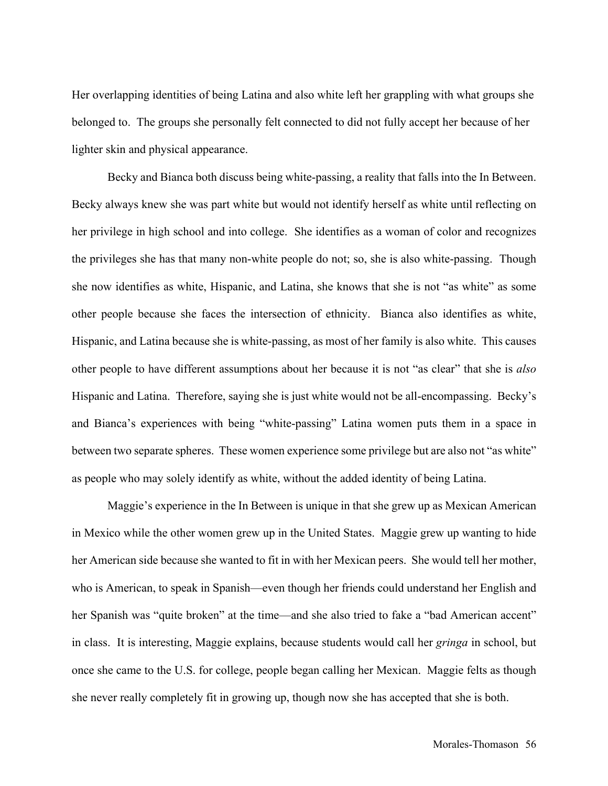Her overlapping identities of being Latina and also white left her grappling with what groups she belonged to. The groups she personally felt connected to did not fully accept her because of her lighter skin and physical appearance.

Becky and Bianca both discuss being white-passing, a reality that falls into the In Between. Becky always knew she was part white but would not identify herself as white until reflecting on her privilege in high school and into college. She identifies as a woman of color and recognizes the privileges she has that many non-white people do not; so, she is also white-passing. Though she now identifies as white, Hispanic, and Latina, she knows that she is not "as white" as some other people because she faces the intersection of ethnicity. Bianca also identifies as white, Hispanic, and Latina because she is white-passing, as most of her family is also white. This causes other people to have different assumptions about her because it is not "as clear" that she is *also* Hispanic and Latina. Therefore, saying she is just white would not be all-encompassing. Becky's and Bianca's experiences with being "white-passing" Latina women puts them in a space in between two separate spheres. These women experience some privilege but are also not "as white" as people who may solely identify as white, without the added identity of being Latina.

Maggie's experience in the In Between is unique in that she grew up as Mexican American in Mexico while the other women grew up in the United States. Maggie grew up wanting to hide her American side because she wanted to fit in with her Mexican peers. She would tell her mother, who is American, to speak in Spanish—even though her friends could understand her English and her Spanish was "quite broken" at the time—and she also tried to fake a "bad American accent" in class. It is interesting, Maggie explains, because students would call her *gringa* in school, but once she came to the U.S. for college, people began calling her Mexican. Maggie felts as though she never really completely fit in growing up, though now she has accepted that she is both.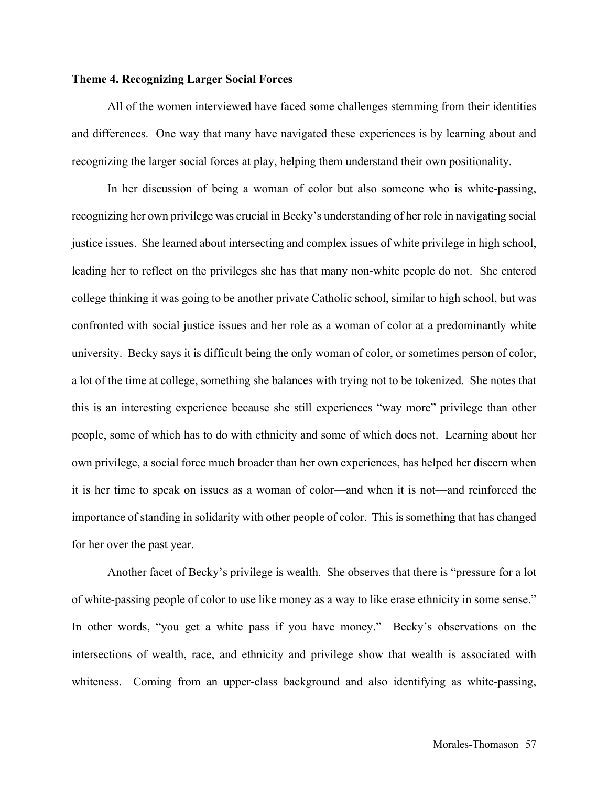#### **Theme 4. Recognizing Larger Social Forces**

All of the women interviewed have faced some challenges stemming from their identities and differences. One way that many have navigated these experiences is by learning about and recognizing the larger social forces at play, helping them understand their own positionality.

In her discussion of being a woman of color but also someone who is white-passing, recognizing her own privilege was crucial in Becky's understanding of her role in navigating social justice issues. She learned about intersecting and complex issues of white privilege in high school, leading her to reflect on the privileges she has that many non-white people do not. She entered college thinking it was going to be another private Catholic school, similar to high school, but was confronted with social justice issues and her role as a woman of color at a predominantly white university. Becky says it is difficult being the only woman of color, or sometimes person of color, a lot of the time at college, something she balances with trying not to be tokenized. She notes that this is an interesting experience because she still experiences "way more" privilege than other people, some of which has to do with ethnicity and some of which does not. Learning about her own privilege, a social force much broader than her own experiences, has helped her discern when it is her time to speak on issues as a woman of color—and when it is not—and reinforced the importance of standing in solidarity with other people of color. This is something that has changed for her over the past year.

Another facet of Becky's privilege is wealth. She observes that there is "pressure for a lot of white-passing people of color to use like money as a way to like erase ethnicity in some sense." In other words, "you get a white pass if you have money." Becky's observations on the intersections of wealth, race, and ethnicity and privilege show that wealth is associated with whiteness. Coming from an upper-class background and also identifying as white-passing,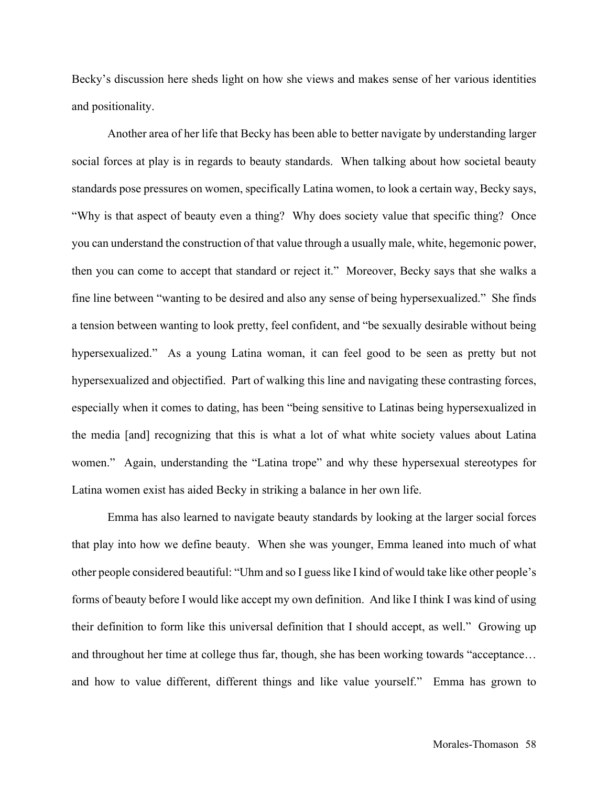Becky's discussion here sheds light on how she views and makes sense of her various identities and positionality.

Another area of her life that Becky has been able to better navigate by understanding larger social forces at play is in regards to beauty standards. When talking about how societal beauty standards pose pressures on women, specifically Latina women, to look a certain way, Becky says, "Why is that aspect of beauty even a thing? Why does society value that specific thing? Once you can understand the construction of that value through a usually male, white, hegemonic power, then you can come to accept that standard or reject it." Moreover, Becky says that she walks a fine line between "wanting to be desired and also any sense of being hypersexualized." She finds a tension between wanting to look pretty, feel confident, and "be sexually desirable without being hypersexualized." As a young Latina woman, it can feel good to be seen as pretty but not hypersexualized and objectified. Part of walking this line and navigating these contrasting forces, especially when it comes to dating, has been "being sensitive to Latinas being hypersexualized in the media [and] recognizing that this is what a lot of what white society values about Latina women." Again, understanding the "Latina trope" and why these hypersexual stereotypes for Latina women exist has aided Becky in striking a balance in her own life.

Emma has also learned to navigate beauty standards by looking at the larger social forces that play into how we define beauty. When she was younger, Emma leaned into much of what other people considered beautiful: "Uhm and so I guess like I kind of would take like other people's forms of beauty before I would like accept my own definition. And like I think I was kind of using their definition to form like this universal definition that I should accept, as well." Growing up and throughout her time at college thus far, though, she has been working towards "acceptance… and how to value different, different things and like value yourself." Emma has grown to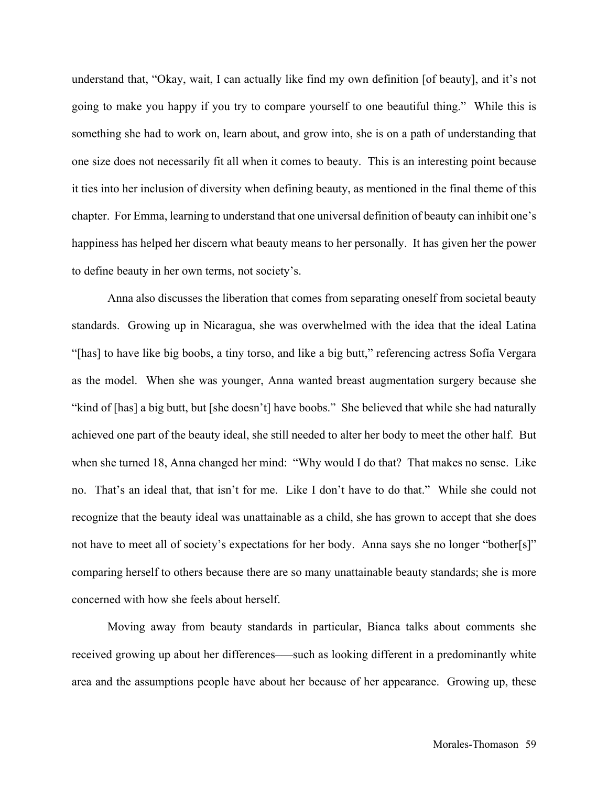understand that, "Okay, wait, I can actually like find my own definition [of beauty], and it's not going to make you happy if you try to compare yourself to one beautiful thing." While this is something she had to work on, learn about, and grow into, she is on a path of understanding that one size does not necessarily fit all when it comes to beauty. This is an interesting point because it ties into her inclusion of diversity when defining beauty, as mentioned in the final theme of this chapter. For Emma, learning to understand that one universal definition of beauty can inhibit one's happiness has helped her discern what beauty means to her personally. It has given her the power to define beauty in her own terms, not society's.

Anna also discusses the liberation that comes from separating oneself from societal beauty standards. Growing up in Nicaragua, she was overwhelmed with the idea that the ideal Latina "[has] to have like big boobs, a tiny torso, and like a big butt," referencing actress Sofía Vergara as the model. When she was younger, Anna wanted breast augmentation surgery because she "kind of [has] a big butt, but [she doesn't] have boobs." She believed that while she had naturally achieved one part of the beauty ideal, she still needed to alter her body to meet the other half. But when she turned 18, Anna changed her mind: "Why would I do that? That makes no sense. Like no. That's an ideal that, that isn't for me. Like I don't have to do that." While she could not recognize that the beauty ideal was unattainable as a child, she has grown to accept that she does not have to meet all of society's expectations for her body. Anna says she no longer "bother[s]" comparing herself to others because there are so many unattainable beauty standards; she is more concerned with how she feels about herself.

Moving away from beauty standards in particular, Bianca talks about comments she received growing up about her differences—such as looking different in a predominantly white area and the assumptions people have about her because of her appearance. Growing up, these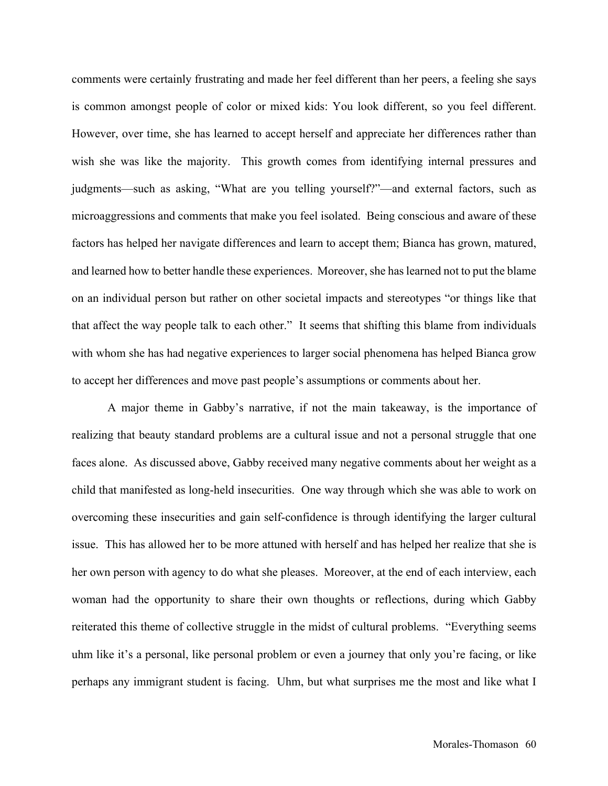comments were certainly frustrating and made her feel different than her peers, a feeling she says is common amongst people of color or mixed kids: You look different, so you feel different. However, over time, she has learned to accept herself and appreciate her differences rather than wish she was like the majority. This growth comes from identifying internal pressures and judgments—such as asking, "What are you telling yourself?"—and external factors, such as microaggressions and comments that make you feel isolated. Being conscious and aware of these factors has helped her navigate differences and learn to accept them; Bianca has grown, matured, and learned how to better handle these experiences. Moreover, she has learned not to put the blame on an individual person but rather on other societal impacts and stereotypes "or things like that that affect the way people talk to each other." It seems that shifting this blame from individuals with whom she has had negative experiences to larger social phenomena has helped Bianca grow to accept her differences and move past people's assumptions or comments about her.

A major theme in Gabby's narrative, if not the main takeaway, is the importance of realizing that beauty standard problems are a cultural issue and not a personal struggle that one faces alone. As discussed above, Gabby received many negative comments about her weight as a child that manifested as long-held insecurities. One way through which she was able to work on overcoming these insecurities and gain self-confidence is through identifying the larger cultural issue. This has allowed her to be more attuned with herself and has helped her realize that she is her own person with agency to do what she pleases. Moreover, at the end of each interview, each woman had the opportunity to share their own thoughts or reflections, during which Gabby reiterated this theme of collective struggle in the midst of cultural problems. "Everything seems uhm like it's a personal, like personal problem or even a journey that only you're facing, or like perhaps any immigrant student is facing. Uhm, but what surprises me the most and like what I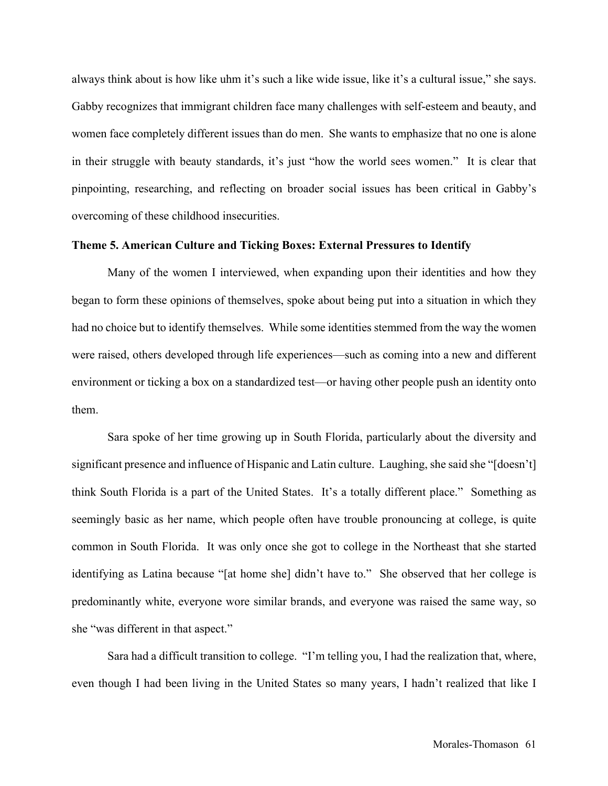always think about is how like uhm it's such a like wide issue, like it's a cultural issue," she says. Gabby recognizes that immigrant children face many challenges with self-esteem and beauty, and women face completely different issues than do men. She wants to emphasize that no one is alone in their struggle with beauty standards, it's just "how the world sees women." It is clear that pinpointing, researching, and reflecting on broader social issues has been critical in Gabby's overcoming of these childhood insecurities.

## **Theme 5. American Culture and Ticking Boxes: External Pressures to Identify**

Many of the women I interviewed, when expanding upon their identities and how they began to form these opinions of themselves, spoke about being put into a situation in which they had no choice but to identify themselves. While some identities stemmed from the way the women were raised, others developed through life experiences—such as coming into a new and different environment or ticking a box on a standardized test—or having other people push an identity onto them.

Sara spoke of her time growing up in South Florida, particularly about the diversity and significant presence and influence of Hispanic and Latin culture. Laughing, she said she "[doesn't] think South Florida is a part of the United States. It's a totally different place." Something as seemingly basic as her name, which people often have trouble pronouncing at college, is quite common in South Florida. It was only once she got to college in the Northeast that she started identifying as Latina because "[at home she] didn't have to." She observed that her college is predominantly white, everyone wore similar brands, and everyone was raised the same way, so she "was different in that aspect."

Sara had a difficult transition to college. "I'm telling you, I had the realization that, where, even though I had been living in the United States so many years, I hadn't realized that like I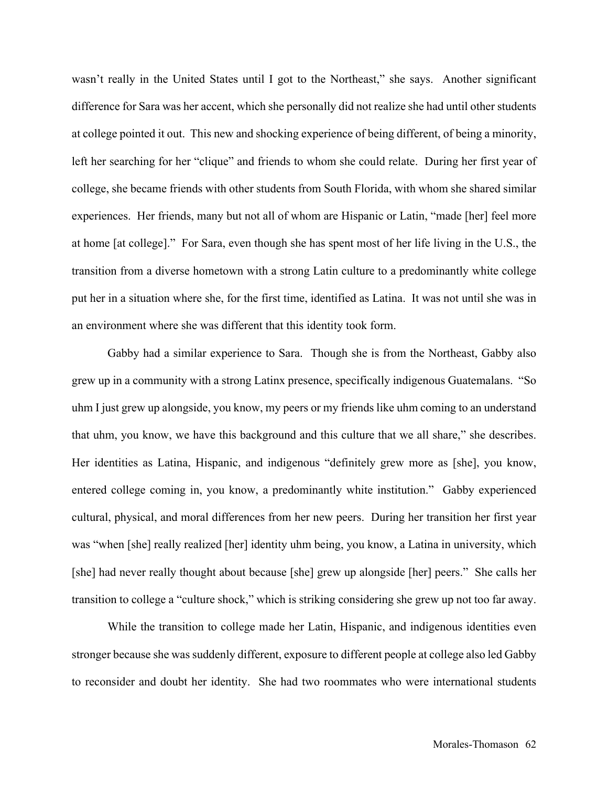wasn't really in the United States until I got to the Northeast," she says. Another significant difference for Sara was her accent, which she personally did not realize she had until other students at college pointed it out. This new and shocking experience of being different, of being a minority, left her searching for her "clique" and friends to whom she could relate. During her first year of college, she became friends with other students from South Florida, with whom she shared similar experiences. Her friends, many but not all of whom are Hispanic or Latin, "made [her] feel more at home [at college]." For Sara, even though she has spent most of her life living in the U.S., the transition from a diverse hometown with a strong Latin culture to a predominantly white college put her in a situation where she, for the first time, identified as Latina. It was not until she was in an environment where she was different that this identity took form.

Gabby had a similar experience to Sara. Though she is from the Northeast, Gabby also grew up in a community with a strong Latinx presence, specifically indigenous Guatemalans. "So uhm I just grew up alongside, you know, my peers or my friends like uhm coming to an understand that uhm, you know, we have this background and this culture that we all share," she describes. Her identities as Latina, Hispanic, and indigenous "definitely grew more as [she], you know, entered college coming in, you know, a predominantly white institution." Gabby experienced cultural, physical, and moral differences from her new peers. During her transition her first year was "when [she] really realized [her] identity uhm being, you know, a Latina in university, which [she] had never really thought about because [she] grew up alongside [her] peers." She calls her transition to college a "culture shock," which is striking considering she grew up not too far away.

While the transition to college made her Latin, Hispanic, and indigenous identities even stronger because she was suddenly different, exposure to different people at college also led Gabby to reconsider and doubt her identity. She had two roommates who were international students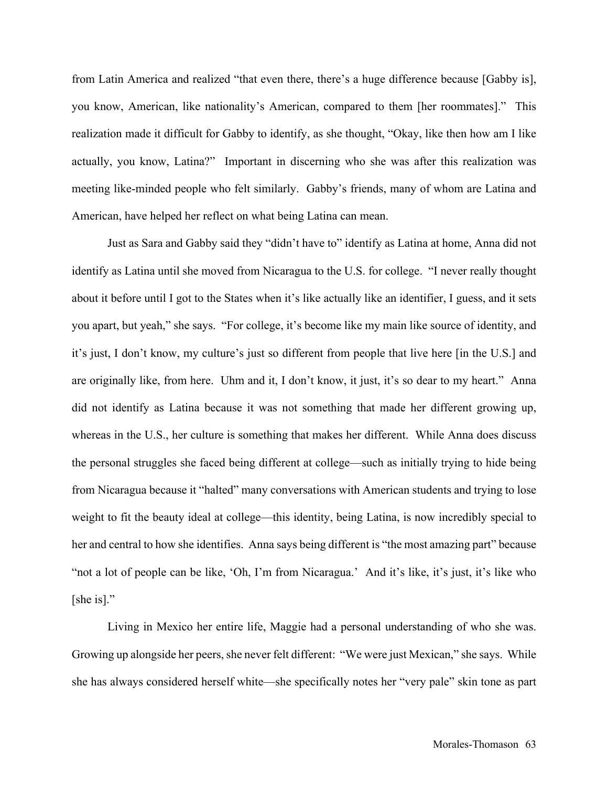from Latin America and realized "that even there, there's a huge difference because [Gabby is], you know, American, like nationality's American, compared to them [her roommates]." This realization made it difficult for Gabby to identify, as she thought, "Okay, like then how am I like actually, you know, Latina?" Important in discerning who she was after this realization was meeting like-minded people who felt similarly. Gabby's friends, many of whom are Latina and American, have helped her reflect on what being Latina can mean.

Just as Sara and Gabby said they "didn't have to" identify as Latina at home, Anna did not identify as Latina until she moved from Nicaragua to the U.S. for college. "I never really thought about it before until I got to the States when it's like actually like an identifier, I guess, and it sets you apart, but yeah," she says. "For college, it's become like my main like source of identity, and it's just, I don't know, my culture's just so different from people that live here [in the U.S.] and are originally like, from here. Uhm and it, I don't know, it just, it's so dear to my heart." Anna did not identify as Latina because it was not something that made her different growing up, whereas in the U.S., her culture is something that makes her different. While Anna does discuss the personal struggles she faced being different at college—such as initially trying to hide being from Nicaragua because it "halted" many conversations with American students and trying to lose weight to fit the beauty ideal at college—this identity, being Latina, is now incredibly special to her and central to how she identifies. Anna says being different is "the most amazing part" because "not a lot of people can be like, 'Oh, I'm from Nicaragua.' And it's like, it's just, it's like who [she is]."

Living in Mexico her entire life, Maggie had a personal understanding of who she was. Growing up alongside her peers, she never felt different: "We were just Mexican," she says. While she has always considered herself white—she specifically notes her "very pale" skin tone as part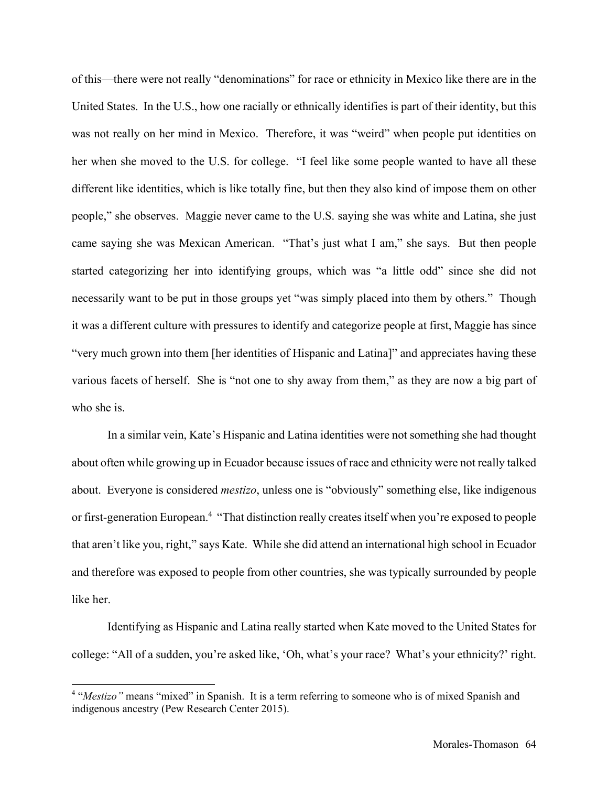of this—there were not really "denominations" for race or ethnicity in Mexico like there are in the United States. In the U.S., how one racially or ethnically identifies is part of their identity, but this was not really on her mind in Mexico. Therefore, it was "weird" when people put identities on her when she moved to the U.S. for college. "I feel like some people wanted to have all these different like identities, which is like totally fine, but then they also kind of impose them on other people," she observes. Maggie never came to the U.S. saying she was white and Latina, she just came saying she was Mexican American. "That's just what I am," she says. But then people started categorizing her into identifying groups, which was "a little odd" since she did not necessarily want to be put in those groups yet "was simply placed into them by others." Though it was a different culture with pressures to identify and categorize people at first, Maggie has since "very much grown into them [her identities of Hispanic and Latina]" and appreciates having these various facets of herself. She is "not one to shy away from them," as they are now a big part of who she is.

In a similar vein, Kate's Hispanic and Latina identities were not something she had thought about often while growing up in Ecuador because issues of race and ethnicity were not really talked about. Everyone is considered *mestizo*, unless one is "obviously" something else, like indigenous or first-generation European.4 "That distinction really creates itself when you're exposed to people that aren't like you, right," says Kate. While she did attend an international high school in Ecuador and therefore was exposed to people from other countries, she was typically surrounded by people like her.

Identifying as Hispanic and Latina really started when Kate moved to the United States for college: "All of a sudden, you're asked like, 'Oh, what's your race? What's your ethnicity?' right.

<sup>4</sup> "*Mestizo"* means "mixed" in Spanish. It is a term referring to someone who is of mixed Spanish and indigenous ancestry (Pew Research Center 2015).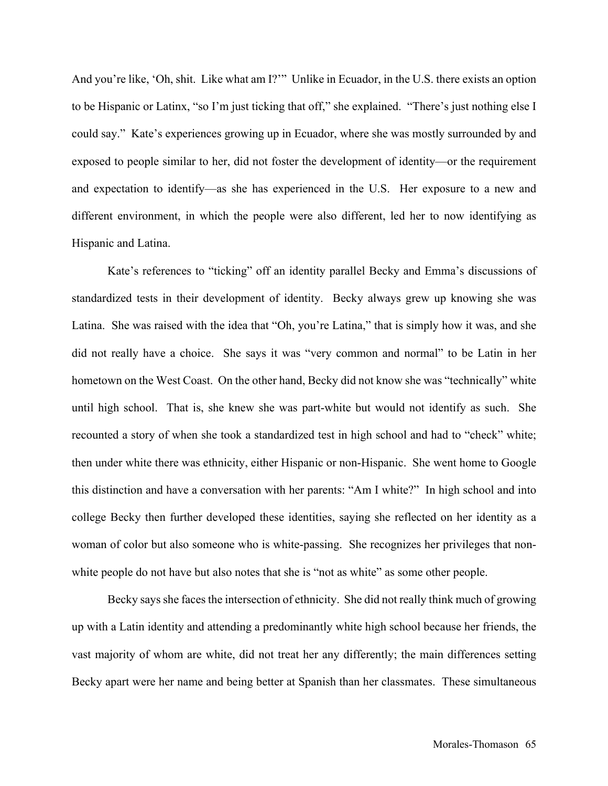And you're like, 'Oh, shit. Like what am I?'" Unlike in Ecuador, in the U.S. there exists an option to be Hispanic or Latinx, "so I'm just ticking that off," she explained. "There's just nothing else I could say." Kate's experiences growing up in Ecuador, where she was mostly surrounded by and exposed to people similar to her, did not foster the development of identity—or the requirement and expectation to identify—as she has experienced in the U.S. Her exposure to a new and different environment, in which the people were also different, led her to now identifying as Hispanic and Latina.

Kate's references to "ticking" off an identity parallel Becky and Emma's discussions of standardized tests in their development of identity. Becky always grew up knowing she was Latina. She was raised with the idea that "Oh, you're Latina," that is simply how it was, and she did not really have a choice. She says it was "very common and normal" to be Latin in her hometown on the West Coast. On the other hand, Becky did not know she was "technically" white until high school. That is, she knew she was part-white but would not identify as such. She recounted a story of when she took a standardized test in high school and had to "check" white; then under white there was ethnicity, either Hispanic or non-Hispanic. She went home to Google this distinction and have a conversation with her parents: "Am I white?" In high school and into college Becky then further developed these identities, saying she reflected on her identity as a woman of color but also someone who is white-passing. She recognizes her privileges that nonwhite people do not have but also notes that she is "not as white" as some other people.

Becky says she faces the intersection of ethnicity. She did not really think much of growing up with a Latin identity and attending a predominantly white high school because her friends, the vast majority of whom are white, did not treat her any differently; the main differences setting Becky apart were her name and being better at Spanish than her classmates. These simultaneous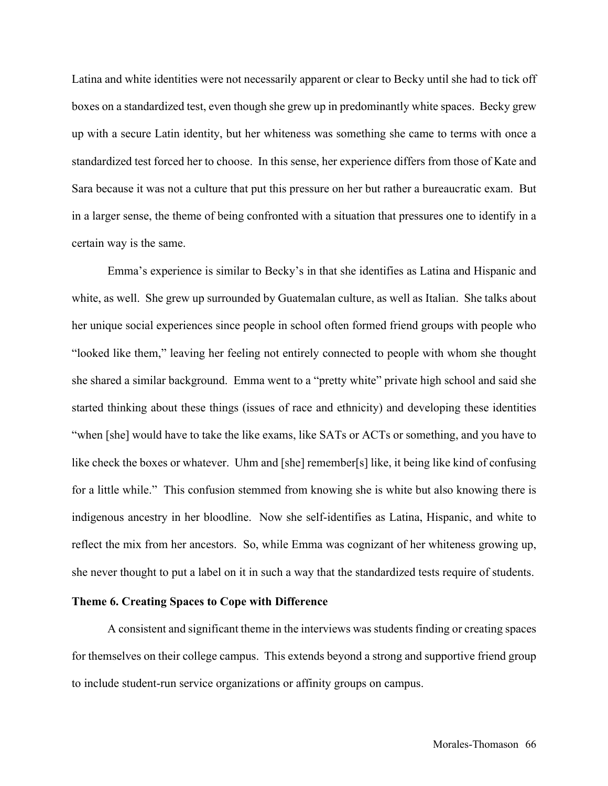Latina and white identities were not necessarily apparent or clear to Becky until she had to tick off boxes on a standardized test, even though she grew up in predominantly white spaces. Becky grew up with a secure Latin identity, but her whiteness was something she came to terms with once a standardized test forced her to choose. In this sense, her experience differs from those of Kate and Sara because it was not a culture that put this pressure on her but rather a bureaucratic exam. But in a larger sense, the theme of being confronted with a situation that pressures one to identify in a certain way is the same.

Emma's experience is similar to Becky's in that she identifies as Latina and Hispanic and white, as well. She grew up surrounded by Guatemalan culture, as well as Italian. She talks about her unique social experiences since people in school often formed friend groups with people who "looked like them," leaving her feeling not entirely connected to people with whom she thought she shared a similar background. Emma went to a "pretty white" private high school and said she started thinking about these things (issues of race and ethnicity) and developing these identities "when [she] would have to take the like exams, like SATs or ACTs or something, and you have to like check the boxes or whatever. Uhm and [she] remember[s] like, it being like kind of confusing for a little while." This confusion stemmed from knowing she is white but also knowing there is indigenous ancestry in her bloodline. Now she self-identifies as Latina, Hispanic, and white to reflect the mix from her ancestors. So, while Emma was cognizant of her whiteness growing up, she never thought to put a label on it in such a way that the standardized tests require of students.

## **Theme 6. Creating Spaces to Cope with Difference**

A consistent and significant theme in the interviews was students finding or creating spaces for themselves on their college campus. This extends beyond a strong and supportive friend group to include student-run service organizations or affinity groups on campus.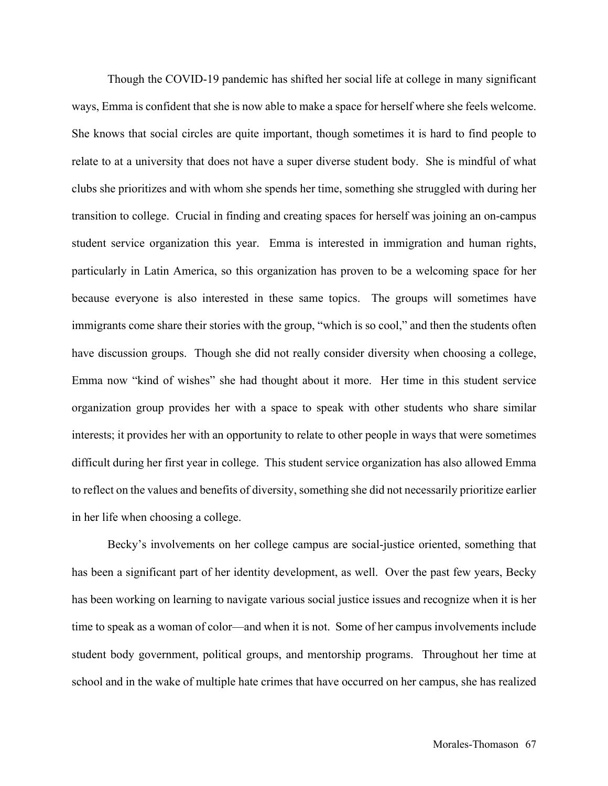Though the COVID-19 pandemic has shifted her social life at college in many significant ways, Emma is confident that she is now able to make a space for herself where she feels welcome. She knows that social circles are quite important, though sometimes it is hard to find people to relate to at a university that does not have a super diverse student body. She is mindful of what clubs she prioritizes and with whom she spends her time, something she struggled with during her transition to college. Crucial in finding and creating spaces for herself was joining an on-campus student service organization this year. Emma is interested in immigration and human rights, particularly in Latin America, so this organization has proven to be a welcoming space for her because everyone is also interested in these same topics. The groups will sometimes have immigrants come share their stories with the group, "which is so cool," and then the students often have discussion groups. Though she did not really consider diversity when choosing a college, Emma now "kind of wishes" she had thought about it more. Her time in this student service organization group provides her with a space to speak with other students who share similar interests; it provides her with an opportunity to relate to other people in ways that were sometimes difficult during her first year in college. This student service organization has also allowed Emma to reflect on the values and benefits of diversity, something she did not necessarily prioritize earlier in her life when choosing a college.

Becky's involvements on her college campus are social-justice oriented, something that has been a significant part of her identity development, as well. Over the past few years, Becky has been working on learning to navigate various social justice issues and recognize when it is her time to speak as a woman of color—and when it is not. Some of her campus involvements include student body government, political groups, and mentorship programs. Throughout her time at school and in the wake of multiple hate crimes that have occurred on her campus, she has realized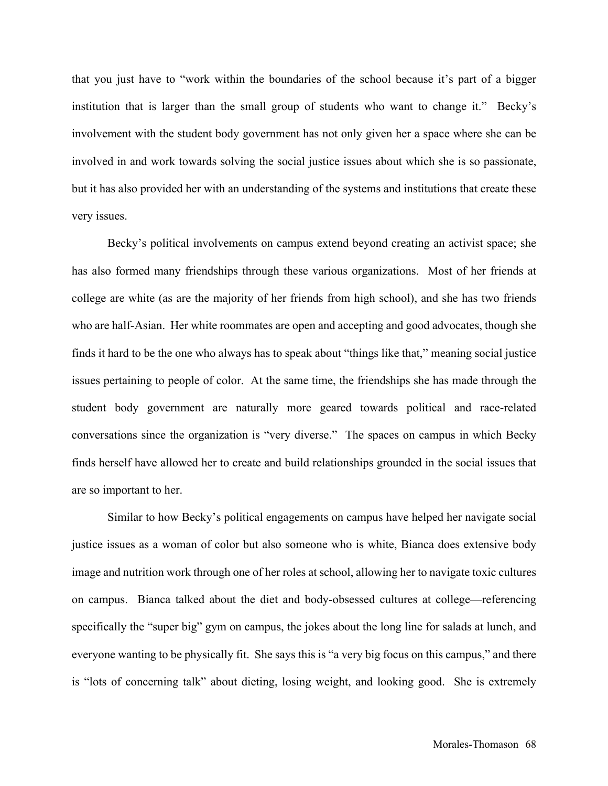that you just have to "work within the boundaries of the school because it's part of a bigger institution that is larger than the small group of students who want to change it." Becky's involvement with the student body government has not only given her a space where she can be involved in and work towards solving the social justice issues about which she is so passionate, but it has also provided her with an understanding of the systems and institutions that create these very issues.

Becky's political involvements on campus extend beyond creating an activist space; she has also formed many friendships through these various organizations. Most of her friends at college are white (as are the majority of her friends from high school), and she has two friends who are half-Asian. Her white roommates are open and accepting and good advocates, though she finds it hard to be the one who always has to speak about "things like that," meaning social justice issues pertaining to people of color. At the same time, the friendships she has made through the student body government are naturally more geared towards political and race-related conversations since the organization is "very diverse." The spaces on campus in which Becky finds herself have allowed her to create and build relationships grounded in the social issues that are so important to her.

Similar to how Becky's political engagements on campus have helped her navigate social justice issues as a woman of color but also someone who is white, Bianca does extensive body image and nutrition work through one of her roles at school, allowing her to navigate toxic cultures on campus. Bianca talked about the diet and body-obsessed cultures at college—referencing specifically the "super big" gym on campus, the jokes about the long line for salads at lunch, and everyone wanting to be physically fit. She says this is "a very big focus on this campus," and there is "lots of concerning talk" about dieting, losing weight, and looking good. She is extremely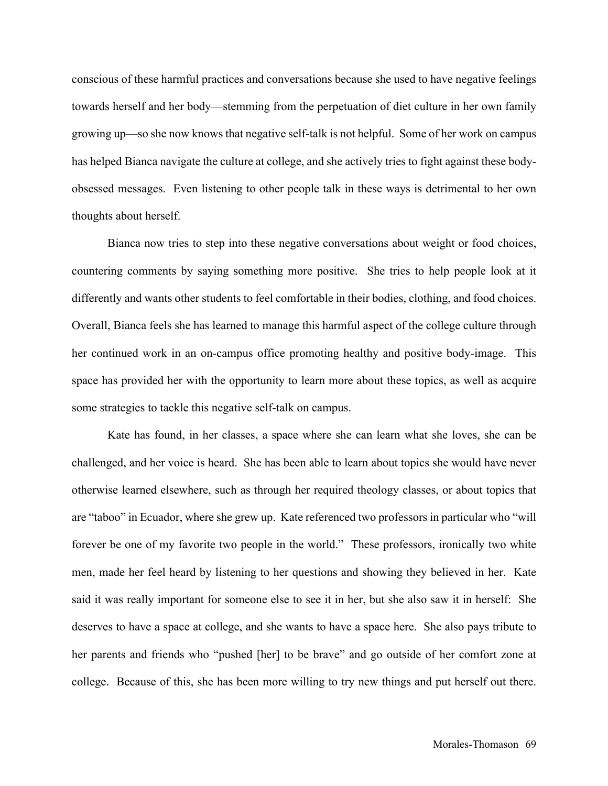conscious of these harmful practices and conversations because she used to have negative feelings towards herself and her body—stemming from the perpetuation of diet culture in her own family growing up—so she now knows that negative self-talk is not helpful. Some of her work on campus has helped Bianca navigate the culture at college, and she actively tries to fight against these bodyobsessed messages. Even listening to other people talk in these ways is detrimental to her own thoughts about herself.

Bianca now tries to step into these negative conversations about weight or food choices, countering comments by saying something more positive. She tries to help people look at it differently and wants other students to feel comfortable in their bodies, clothing, and food choices. Overall, Bianca feels she has learned to manage this harmful aspect of the college culture through her continued work in an on-campus office promoting healthy and positive body-image. This space has provided her with the opportunity to learn more about these topics, as well as acquire some strategies to tackle this negative self-talk on campus.

Kate has found, in her classes, a space where she can learn what she loves, she can be challenged, and her voice is heard. She has been able to learn about topics she would have never otherwise learned elsewhere, such as through her required theology classes, or about topics that are "taboo" in Ecuador, where she grew up. Kate referenced two professors in particular who "will forever be one of my favorite two people in the world." These professors, ironically two white men, made her feel heard by listening to her questions and showing they believed in her. Kate said it was really important for someone else to see it in her, but she also saw it in herself: She deserves to have a space at college, and she wants to have a space here. She also pays tribute to her parents and friends who "pushed [her] to be brave" and go outside of her comfort zone at college. Because of this, she has been more willing to try new things and put herself out there.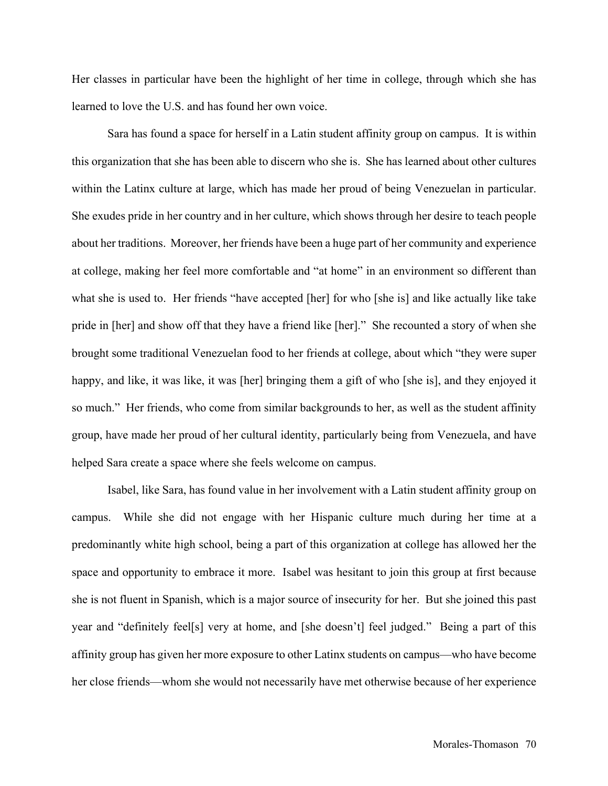Her classes in particular have been the highlight of her time in college, through which she has learned to love the U.S. and has found her own voice.

Sara has found a space for herself in a Latin student affinity group on campus. It is within this organization that she has been able to discern who she is. She has learned about other cultures within the Latinx culture at large, which has made her proud of being Venezuelan in particular. She exudes pride in her country and in her culture, which shows through her desire to teach people about her traditions. Moreover, her friends have been a huge part of her community and experience at college, making her feel more comfortable and "at home" in an environment so different than what she is used to. Her friends "have accepted [her] for who [she is] and like actually like take pride in [her] and show off that they have a friend like [her]." She recounted a story of when she brought some traditional Venezuelan food to her friends at college, about which "they were super happy, and like, it was like, it was [her] bringing them a gift of who [she is], and they enjoyed it so much." Her friends, who come from similar backgrounds to her, as well as the student affinity group, have made her proud of her cultural identity, particularly being from Venezuela, and have helped Sara create a space where she feels welcome on campus.

Isabel, like Sara, has found value in her involvement with a Latin student affinity group on campus. While she did not engage with her Hispanic culture much during her time at a predominantly white high school, being a part of this organization at college has allowed her the space and opportunity to embrace it more. Isabel was hesitant to join this group at first because she is not fluent in Spanish, which is a major source of insecurity for her. But she joined this past year and "definitely feel[s] very at home, and [she doesn't] feel judged." Being a part of this affinity group has given her more exposure to other Latinx students on campus—who have become her close friends—whom she would not necessarily have met otherwise because of her experience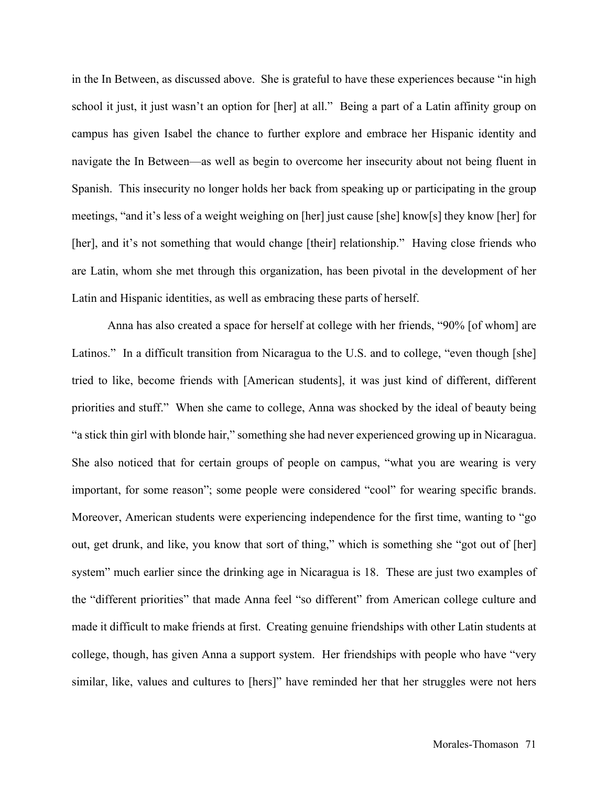in the In Between, as discussed above. She is grateful to have these experiences because "in high school it just, it just wasn't an option for [her] at all." Being a part of a Latin affinity group on campus has given Isabel the chance to further explore and embrace her Hispanic identity and navigate the In Between—as well as begin to overcome her insecurity about not being fluent in Spanish. This insecurity no longer holds her back from speaking up or participating in the group meetings, "and it's less of a weight weighing on [her] just cause [she] know[s] they know [her] for [her], and it's not something that would change [their] relationship." Having close friends who are Latin, whom she met through this organization, has been pivotal in the development of her Latin and Hispanic identities, as well as embracing these parts of herself.

Anna has also created a space for herself at college with her friends, "90% [of whom] are Latinos." In a difficult transition from Nicaragua to the U.S. and to college, "even though [she] tried to like, become friends with [American students], it was just kind of different, different priorities and stuff." When she came to college, Anna was shocked by the ideal of beauty being "a stick thin girl with blonde hair," something she had never experienced growing up in Nicaragua. She also noticed that for certain groups of people on campus, "what you are wearing is very important, for some reason"; some people were considered "cool" for wearing specific brands. Moreover, American students were experiencing independence for the first time, wanting to "go out, get drunk, and like, you know that sort of thing," which is something she "got out of [her] system" much earlier since the drinking age in Nicaragua is 18. These are just two examples of the "different priorities" that made Anna feel "so different" from American college culture and made it difficult to make friends at first. Creating genuine friendships with other Latin students at college, though, has given Anna a support system. Her friendships with people who have "very similar, like, values and cultures to [hers]" have reminded her that her struggles were not hers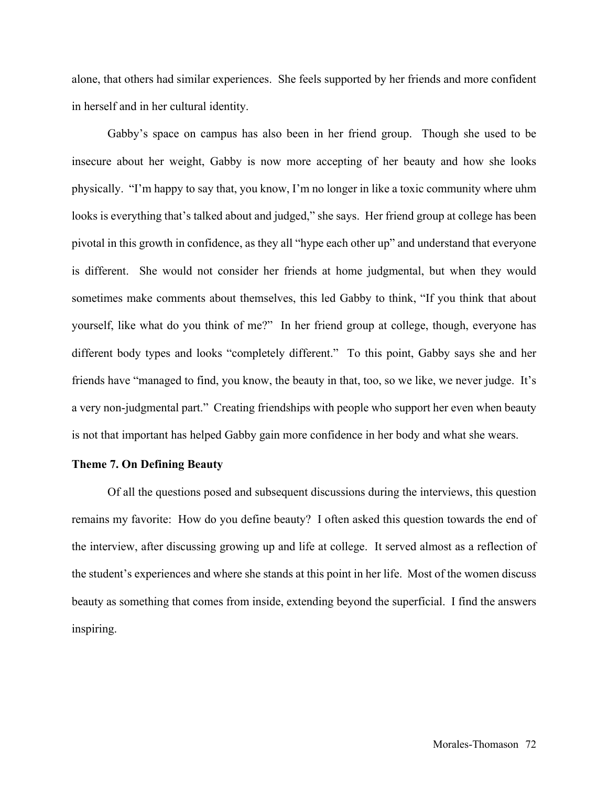alone, that others had similar experiences. She feels supported by her friends and more confident in herself and in her cultural identity.

Gabby's space on campus has also been in her friend group. Though she used to be insecure about her weight, Gabby is now more accepting of her beauty and how she looks physically. "I'm happy to say that, you know, I'm no longer in like a toxic community where uhm looks is everything that's talked about and judged," she says. Her friend group at college has been pivotal in this growth in confidence, as they all "hype each other up" and understand that everyone is different. She would not consider her friends at home judgmental, but when they would sometimes make comments about themselves, this led Gabby to think, "If you think that about yourself, like what do you think of me?" In her friend group at college, though, everyone has different body types and looks "completely different." To this point, Gabby says she and her friends have "managed to find, you know, the beauty in that, too, so we like, we never judge. It's a very non-judgmental part." Creating friendships with people who support her even when beauty is not that important has helped Gabby gain more confidence in her body and what she wears.

### **Theme 7. On Defining Beauty**

Of all the questions posed and subsequent discussions during the interviews, this question remains my favorite: How do you define beauty? I often asked this question towards the end of the interview, after discussing growing up and life at college. It served almost as a reflection of the student's experiences and where she stands at this point in her life. Most of the women discuss beauty as something that comes from inside, extending beyond the superficial. I find the answers inspiring.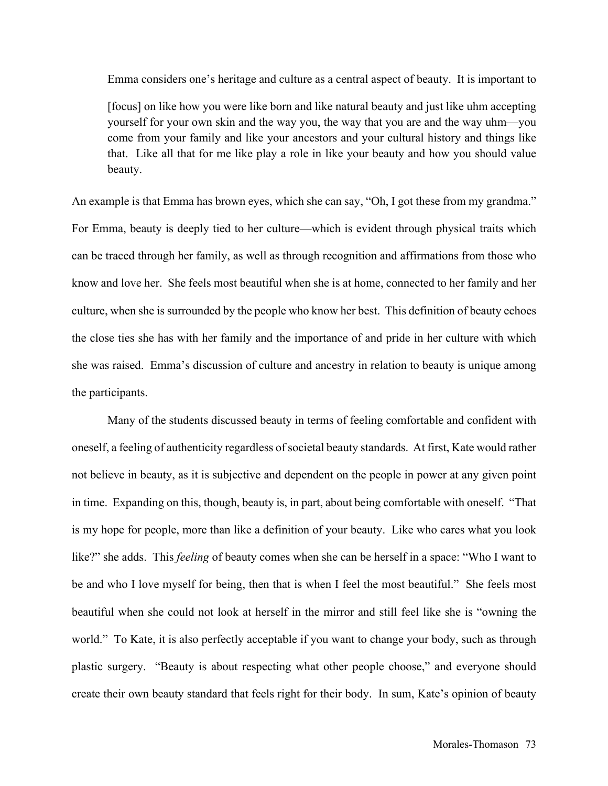Emma considers one's heritage and culture as a central aspect of beauty. It is important to

[focus] on like how you were like born and like natural beauty and just like uhm accepting yourself for your own skin and the way you, the way that you are and the way uhm—you come from your family and like your ancestors and your cultural history and things like that. Like all that for me like play a role in like your beauty and how you should value beauty.

An example is that Emma has brown eyes, which she can say, "Oh, I got these from my grandma." For Emma, beauty is deeply tied to her culture—which is evident through physical traits which can be traced through her family, as well as through recognition and affirmations from those who know and love her. She feels most beautiful when she is at home, connected to her family and her culture, when she is surrounded by the people who know her best. This definition of beauty echoes the close ties she has with her family and the importance of and pride in her culture with which she was raised. Emma's discussion of culture and ancestry in relation to beauty is unique among the participants.

Many of the students discussed beauty in terms of feeling comfortable and confident with oneself, a feeling of authenticity regardless of societal beauty standards. At first, Kate would rather not believe in beauty, as it is subjective and dependent on the people in power at any given point in time. Expanding on this, though, beauty is, in part, about being comfortable with oneself. "That is my hope for people, more than like a definition of your beauty. Like who cares what you look like?" she adds. This *feeling* of beauty comes when she can be herself in a space: "Who I want to be and who I love myself for being, then that is when I feel the most beautiful." She feels most beautiful when she could not look at herself in the mirror and still feel like she is "owning the world." To Kate, it is also perfectly acceptable if you want to change your body, such as through plastic surgery. "Beauty is about respecting what other people choose," and everyone should create their own beauty standard that feels right for their body. In sum, Kate's opinion of beauty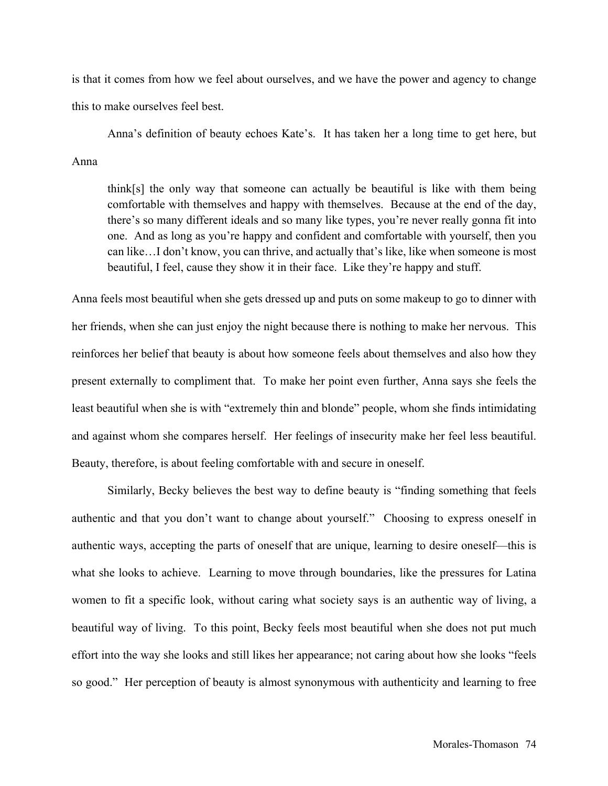is that it comes from how we feel about ourselves, and we have the power and agency to change this to make ourselves feel best.

Anna's definition of beauty echoes Kate's. It has taken her a long time to get here, but Anna

think[s] the only way that someone can actually be beautiful is like with them being comfortable with themselves and happy with themselves. Because at the end of the day, there's so many different ideals and so many like types, you're never really gonna fit into one. And as long as you're happy and confident and comfortable with yourself, then you can like…I don't know, you can thrive, and actually that's like, like when someone is most beautiful, I feel, cause they show it in their face. Like they're happy and stuff.

Anna feels most beautiful when she gets dressed up and puts on some makeup to go to dinner with her friends, when she can just enjoy the night because there is nothing to make her nervous. This reinforces her belief that beauty is about how someone feels about themselves and also how they present externally to compliment that. To make her point even further, Anna says she feels the least beautiful when she is with "extremely thin and blonde" people, whom she finds intimidating and against whom she compares herself. Her feelings of insecurity make her feel less beautiful. Beauty, therefore, is about feeling comfortable with and secure in oneself.

Similarly, Becky believes the best way to define beauty is "finding something that feels authentic and that you don't want to change about yourself." Choosing to express oneself in authentic ways, accepting the parts of oneself that are unique, learning to desire oneself—this is what she looks to achieve. Learning to move through boundaries, like the pressures for Latina women to fit a specific look, without caring what society says is an authentic way of living, a beautiful way of living. To this point, Becky feels most beautiful when she does not put much effort into the way she looks and still likes her appearance; not caring about how she looks "feels so good." Her perception of beauty is almost synonymous with authenticity and learning to free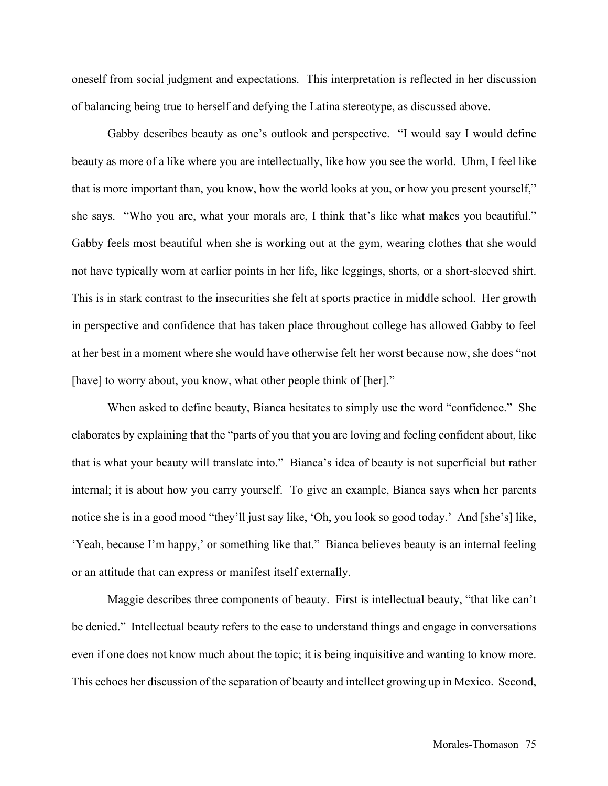oneself from social judgment and expectations. This interpretation is reflected in her discussion of balancing being true to herself and defying the Latina stereotype, as discussed above.

Gabby describes beauty as one's outlook and perspective. "I would say I would define beauty as more of a like where you are intellectually, like how you see the world. Uhm, I feel like that is more important than, you know, how the world looks at you, or how you present yourself," she says. "Who you are, what your morals are, I think that's like what makes you beautiful." Gabby feels most beautiful when she is working out at the gym, wearing clothes that she would not have typically worn at earlier points in her life, like leggings, shorts, or a short-sleeved shirt. This is in stark contrast to the insecurities she felt at sports practice in middle school. Her growth in perspective and confidence that has taken place throughout college has allowed Gabby to feel at her best in a moment where she would have otherwise felt her worst because now, she does "not [have] to worry about, you know, what other people think of [her]."

When asked to define beauty, Bianca hesitates to simply use the word "confidence." She elaborates by explaining that the "parts of you that you are loving and feeling confident about, like that is what your beauty will translate into." Bianca's idea of beauty is not superficial but rather internal; it is about how you carry yourself. To give an example, Bianca says when her parents notice she is in a good mood "they'll just say like, 'Oh, you look so good today.' And [she's] like, 'Yeah, because I'm happy,' or something like that." Bianca believes beauty is an internal feeling or an attitude that can express or manifest itself externally.

Maggie describes three components of beauty. First is intellectual beauty, "that like can't be denied." Intellectual beauty refers to the ease to understand things and engage in conversations even if one does not know much about the topic; it is being inquisitive and wanting to know more. This echoes her discussion of the separation of beauty and intellect growing up in Mexico. Second,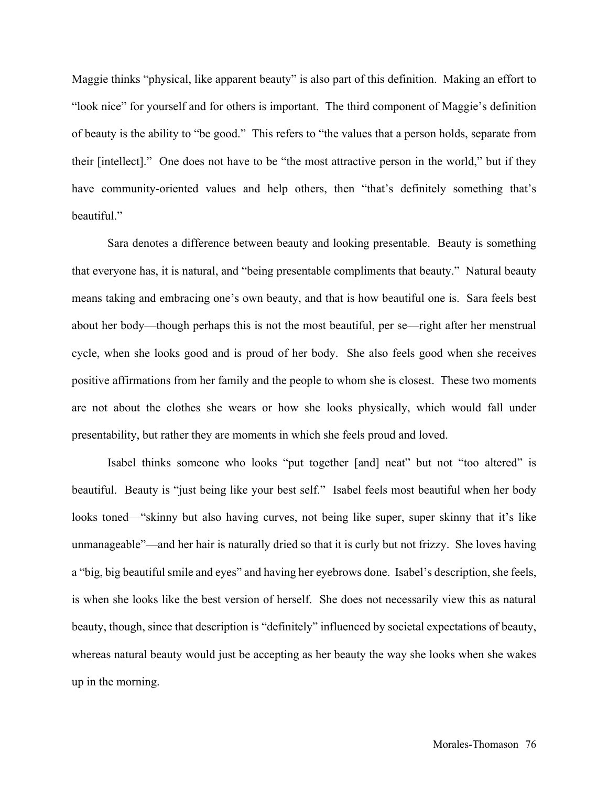Maggie thinks "physical, like apparent beauty" is also part of this definition. Making an effort to "look nice" for yourself and for others is important. The third component of Maggie's definition of beauty is the ability to "be good." This refers to "the values that a person holds, separate from their [intellect]." One does not have to be "the most attractive person in the world," but if they have community-oriented values and help others, then "that's definitely something that's beautiful."

Sara denotes a difference between beauty and looking presentable. Beauty is something that everyone has, it is natural, and "being presentable compliments that beauty." Natural beauty means taking and embracing one's own beauty, and that is how beautiful one is. Sara feels best about her body—though perhaps this is not the most beautiful, per se—right after her menstrual cycle, when she looks good and is proud of her body. She also feels good when she receives positive affirmations from her family and the people to whom she is closest. These two moments are not about the clothes she wears or how she looks physically, which would fall under presentability, but rather they are moments in which she feels proud and loved.

Isabel thinks someone who looks "put together [and] neat" but not "too altered" is beautiful. Beauty is "just being like your best self." Isabel feels most beautiful when her body looks toned—"skinny but also having curves, not being like super, super skinny that it's like unmanageable"—and her hair is naturally dried so that it is curly but not frizzy. She loves having a "big, big beautiful smile and eyes" and having her eyebrows done. Isabel's description, she feels, is when she looks like the best version of herself. She does not necessarily view this as natural beauty, though, since that description is "definitely" influenced by societal expectations of beauty, whereas natural beauty would just be accepting as her beauty the way she looks when she wakes up in the morning.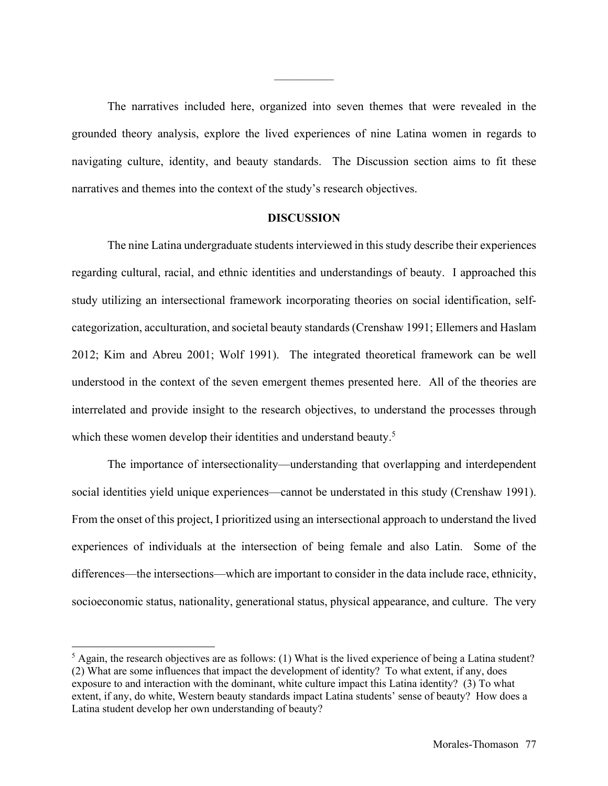The narratives included here, organized into seven themes that were revealed in the grounded theory analysis, explore the lived experiences of nine Latina women in regards to navigating culture, identity, and beauty standards. The Discussion section aims to fit these narratives and themes into the context of the study's research objectives.

—————

### **DISCUSSION**

The nine Latina undergraduate students interviewed in this study describe their experiences regarding cultural, racial, and ethnic identities and understandings of beauty. I approached this study utilizing an intersectional framework incorporating theories on social identification, selfcategorization, acculturation, and societal beauty standards (Crenshaw 1991; Ellemers and Haslam 2012; Kim and Abreu 2001; Wolf 1991). The integrated theoretical framework can be well understood in the context of the seven emergent themes presented here. All of the theories are interrelated and provide insight to the research objectives, to understand the processes through which these women develop their identities and understand beauty.<sup>5</sup>

The importance of intersectionality—understanding that overlapping and interdependent social identities yield unique experiences—cannot be understated in this study (Crenshaw 1991). From the onset of this project, I prioritized using an intersectional approach to understand the lived experiences of individuals at the intersection of being female and also Latin. Some of the differences—the intersections—which are important to consider in the data include race, ethnicity, socioeconomic status, nationality, generational status, physical appearance, and culture. The very

 $<sup>5</sup>$  Again, the research objectives are as follows: (1) What is the lived experience of being a Latina student?</sup> (2) What are some influences that impact the development of identity? To what extent, if any, does exposure to and interaction with the dominant, white culture impact this Latina identity? (3) To what extent, if any, do white, Western beauty standards impact Latina students' sense of beauty? How does a Latina student develop her own understanding of beauty?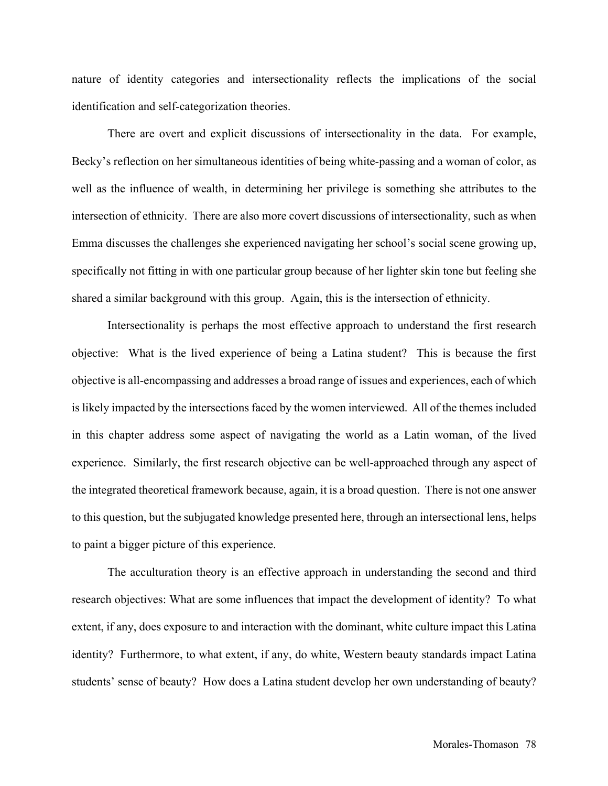nature of identity categories and intersectionality reflects the implications of the social identification and self-categorization theories.

There are overt and explicit discussions of intersectionality in the data. For example, Becky's reflection on her simultaneous identities of being white-passing and a woman of color, as well as the influence of wealth, in determining her privilege is something she attributes to the intersection of ethnicity. There are also more covert discussions of intersectionality, such as when Emma discusses the challenges she experienced navigating her school's social scene growing up, specifically not fitting in with one particular group because of her lighter skin tone but feeling she shared a similar background with this group. Again, this is the intersection of ethnicity.

Intersectionality is perhaps the most effective approach to understand the first research objective: What is the lived experience of being a Latina student? This is because the first objective is all-encompassing and addresses a broad range of issues and experiences, each of which is likely impacted by the intersections faced by the women interviewed. All of the themes included in this chapter address some aspect of navigating the world as a Latin woman, of the lived experience. Similarly, the first research objective can be well-approached through any aspect of the integrated theoretical framework because, again, it is a broad question. There is not one answer to this question, but the subjugated knowledge presented here, through an intersectional lens, helps to paint a bigger picture of this experience.

The acculturation theory is an effective approach in understanding the second and third research objectives: What are some influences that impact the development of identity? To what extent, if any, does exposure to and interaction with the dominant, white culture impact this Latina identity? Furthermore, to what extent, if any, do white, Western beauty standards impact Latina students' sense of beauty? How does a Latina student develop her own understanding of beauty?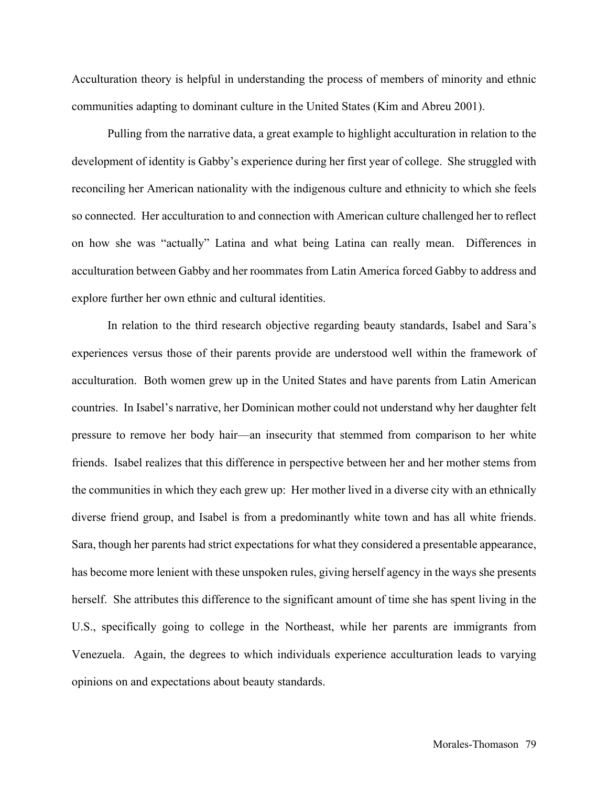Acculturation theory is helpful in understanding the process of members of minority and ethnic communities adapting to dominant culture in the United States (Kim and Abreu 2001).

Pulling from the narrative data, a great example to highlight acculturation in relation to the development of identity is Gabby's experience during her first year of college. She struggled with reconciling her American nationality with the indigenous culture and ethnicity to which she feels so connected. Her acculturation to and connection with American culture challenged her to reflect on how she was "actually" Latina and what being Latina can really mean. Differences in acculturation between Gabby and her roommates from Latin America forced Gabby to address and explore further her own ethnic and cultural identities.

In relation to the third research objective regarding beauty standards, Isabel and Sara's experiences versus those of their parents provide are understood well within the framework of acculturation. Both women grew up in the United States and have parents from Latin American countries. In Isabel's narrative, her Dominican mother could not understand why her daughter felt pressure to remove her body hair—an insecurity that stemmed from comparison to her white friends. Isabel realizes that this difference in perspective between her and her mother stems from the communities in which they each grew up: Her mother lived in a diverse city with an ethnically diverse friend group, and Isabel is from a predominantly white town and has all white friends. Sara, though her parents had strict expectations for what they considered a presentable appearance, has become more lenient with these unspoken rules, giving herself agency in the ways she presents herself. She attributes this difference to the significant amount of time she has spent living in the U.S., specifically going to college in the Northeast, while her parents are immigrants from Venezuela. Again, the degrees to which individuals experience acculturation leads to varying opinions on and expectations about beauty standards.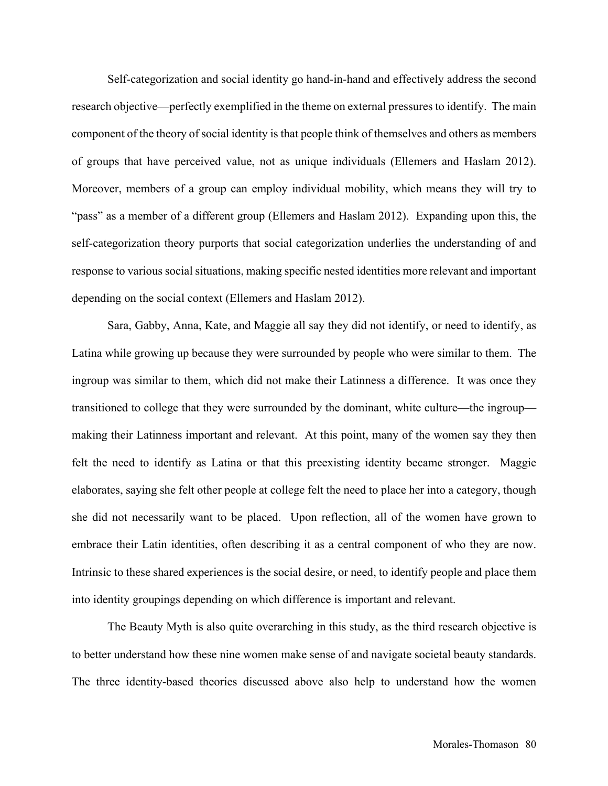Self-categorization and social identity go hand-in-hand and effectively address the second research objective—perfectly exemplified in the theme on external pressures to identify. The main component of the theory of social identity is that people think of themselves and others as members of groups that have perceived value, not as unique individuals (Ellemers and Haslam 2012). Moreover, members of a group can employ individual mobility, which means they will try to "pass" as a member of a different group (Ellemers and Haslam 2012). Expanding upon this, the self-categorization theory purports that social categorization underlies the understanding of and response to various social situations, making specific nested identities more relevant and important depending on the social context (Ellemers and Haslam 2012).

Sara, Gabby, Anna, Kate, and Maggie all say they did not identify, or need to identify, as Latina while growing up because they were surrounded by people who were similar to them. The ingroup was similar to them, which did not make their Latinness a difference. It was once they transitioned to college that they were surrounded by the dominant, white culture—the ingroup making their Latinness important and relevant. At this point, many of the women say they then felt the need to identify as Latina or that this preexisting identity became stronger. Maggie elaborates, saying she felt other people at college felt the need to place her into a category, though she did not necessarily want to be placed. Upon reflection, all of the women have grown to embrace their Latin identities, often describing it as a central component of who they are now. Intrinsic to these shared experiences is the social desire, or need, to identify people and place them into identity groupings depending on which difference is important and relevant.

The Beauty Myth is also quite overarching in this study, as the third research objective is to better understand how these nine women make sense of and navigate societal beauty standards. The three identity-based theories discussed above also help to understand how the women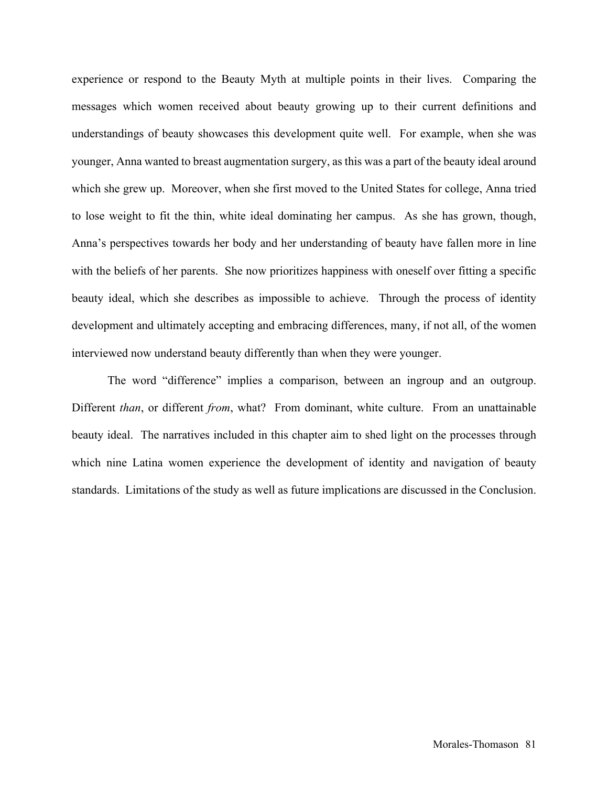experience or respond to the Beauty Myth at multiple points in their lives. Comparing the messages which women received about beauty growing up to their current definitions and understandings of beauty showcases this development quite well. For example, when she was younger, Anna wanted to breast augmentation surgery, as this was a part of the beauty ideal around which she grew up. Moreover, when she first moved to the United States for college, Anna tried to lose weight to fit the thin, white ideal dominating her campus. As she has grown, though, Anna's perspectives towards her body and her understanding of beauty have fallen more in line with the beliefs of her parents. She now prioritizes happiness with oneself over fitting a specific beauty ideal, which she describes as impossible to achieve. Through the process of identity development and ultimately accepting and embracing differences, many, if not all, of the women interviewed now understand beauty differently than when they were younger.

The word "difference" implies a comparison, between an ingroup and an outgroup. Different *than*, or different *from*, what? From dominant, white culture. From an unattainable beauty ideal. The narratives included in this chapter aim to shed light on the processes through which nine Latina women experience the development of identity and navigation of beauty standards. Limitations of the study as well as future implications are discussed in the Conclusion.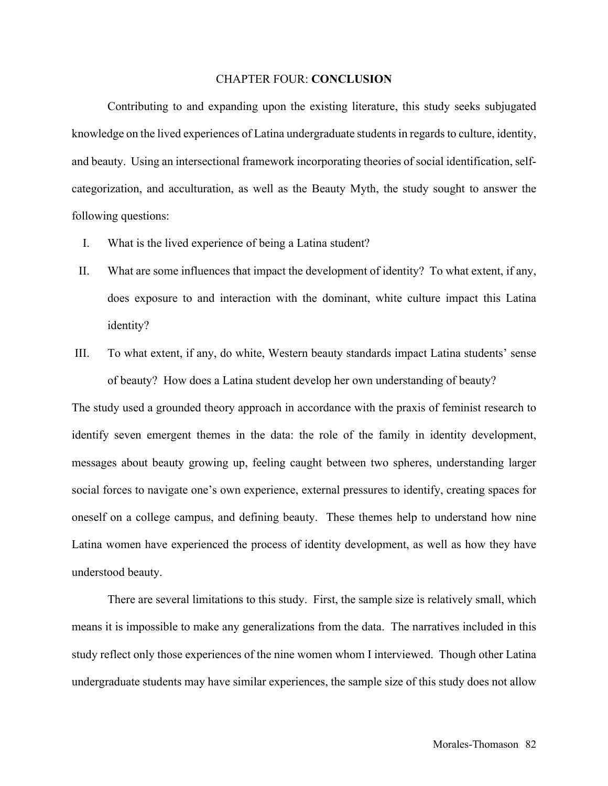# CHAPTER FOUR: **CONCLUSION**

Contributing to and expanding upon the existing literature, this study seeks subjugated knowledge on the lived experiences of Latina undergraduate studentsin regards to culture, identity, and beauty. Using an intersectional framework incorporating theories of social identification, selfcategorization, and acculturation, as well as the Beauty Myth, the study sought to answer the following questions:

- I. What is the lived experience of being a Latina student?
- II. What are some influences that impact the development of identity? To what extent, if any, does exposure to and interaction with the dominant, white culture impact this Latina identity?
- III. To what extent, if any, do white, Western beauty standards impact Latina students' sense of beauty? How does a Latina student develop her own understanding of beauty?

The study used a grounded theory approach in accordance with the praxis of feminist research to identify seven emergent themes in the data: the role of the family in identity development, messages about beauty growing up, feeling caught between two spheres, understanding larger social forces to navigate one's own experience, external pressures to identify, creating spaces for oneself on a college campus, and defining beauty. These themes help to understand how nine Latina women have experienced the process of identity development, as well as how they have understood beauty.

There are several limitations to this study. First, the sample size is relatively small, which means it is impossible to make any generalizations from the data. The narratives included in this study reflect only those experiences of the nine women whom I interviewed. Though other Latina undergraduate students may have similar experiences, the sample size of this study does not allow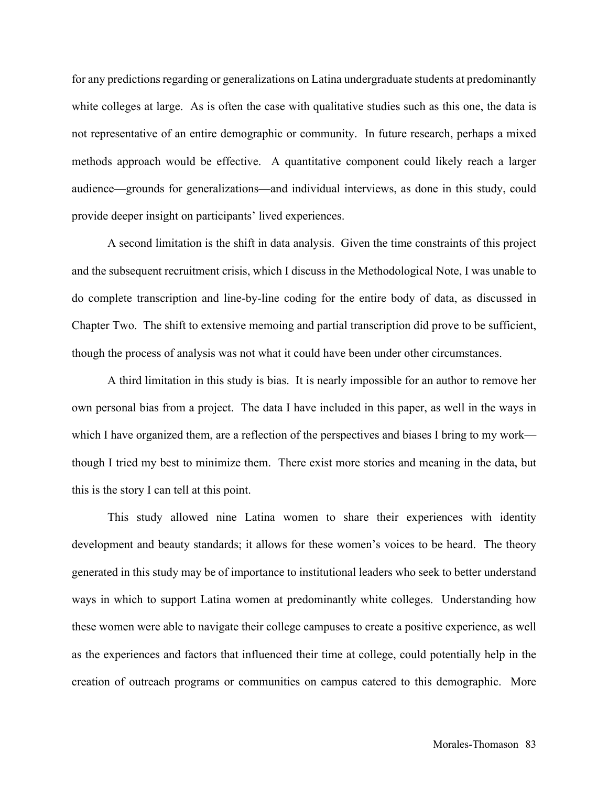for any predictions regarding or generalizations on Latina undergraduate students at predominantly white colleges at large. As is often the case with qualitative studies such as this one, the data is not representative of an entire demographic or community. In future research, perhaps a mixed methods approach would be effective. A quantitative component could likely reach a larger audience—grounds for generalizations—and individual interviews, as done in this study, could provide deeper insight on participants' lived experiences.

A second limitation is the shift in data analysis. Given the time constraints of this project and the subsequent recruitment crisis, which I discuss in the Methodological Note, I was unable to do complete transcription and line-by-line coding for the entire body of data, as discussed in Chapter Two. The shift to extensive memoing and partial transcription did prove to be sufficient, though the process of analysis was not what it could have been under other circumstances.

A third limitation in this study is bias. It is nearly impossible for an author to remove her own personal bias from a project. The data I have included in this paper, as well in the ways in which I have organized them, are a reflection of the perspectives and biases I bring to my work though I tried my best to minimize them. There exist more stories and meaning in the data, but this is the story I can tell at this point.

This study allowed nine Latina women to share their experiences with identity development and beauty standards; it allows for these women's voices to be heard. The theory generated in this study may be of importance to institutional leaders who seek to better understand ways in which to support Latina women at predominantly white colleges. Understanding how these women were able to navigate their college campuses to create a positive experience, as well as the experiences and factors that influenced their time at college, could potentially help in the creation of outreach programs or communities on campus catered to this demographic. More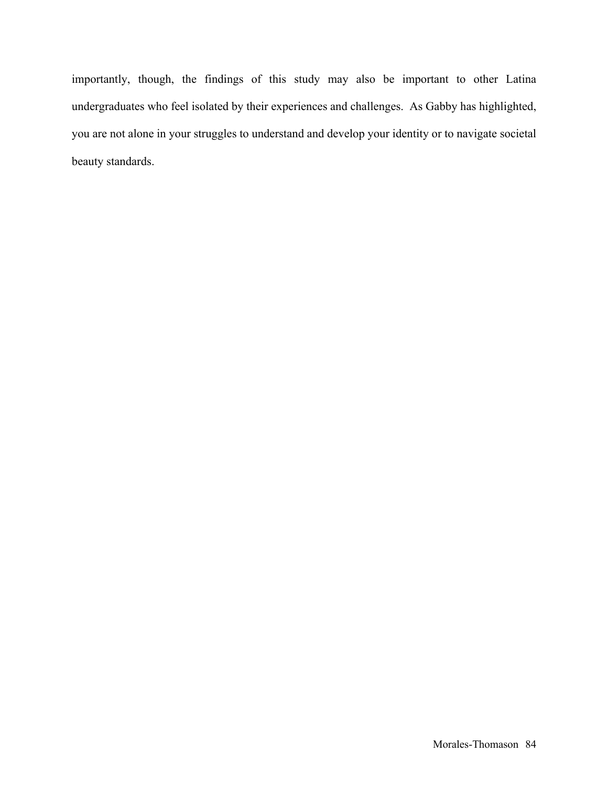importantly, though, the findings of this study may also be important to other Latina undergraduates who feel isolated by their experiences and challenges. As Gabby has highlighted, you are not alone in your struggles to understand and develop your identity or to navigate societal beauty standards.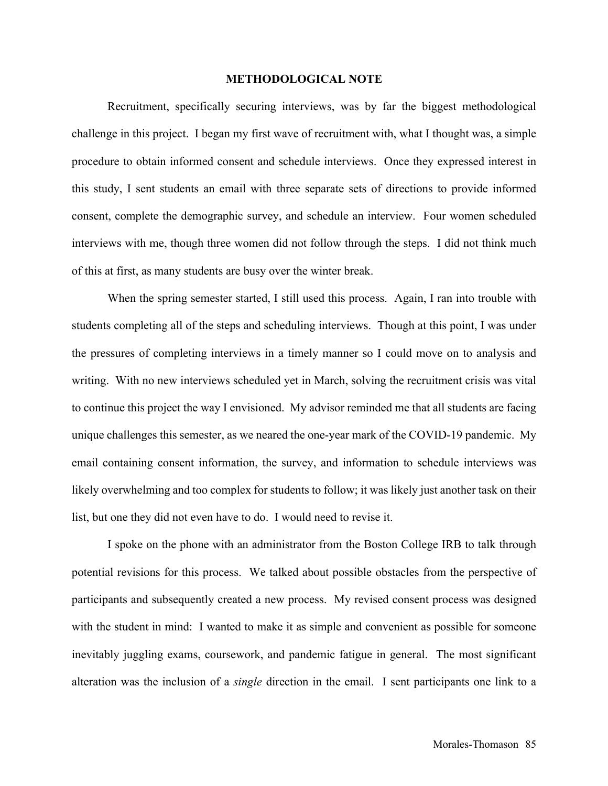## **METHODOLOGICAL NOTE**

Recruitment, specifically securing interviews, was by far the biggest methodological challenge in this project. I began my first wave of recruitment with, what I thought was, a simple procedure to obtain informed consent and schedule interviews. Once they expressed interest in this study, I sent students an email with three separate sets of directions to provide informed consent, complete the demographic survey, and schedule an interview. Four women scheduled interviews with me, though three women did not follow through the steps. I did not think much of this at first, as many students are busy over the winter break.

When the spring semester started, I still used this process. Again, I ran into trouble with students completing all of the steps and scheduling interviews. Though at this point, I was under the pressures of completing interviews in a timely manner so I could move on to analysis and writing. With no new interviews scheduled yet in March, solving the recruitment crisis was vital to continue this project the way I envisioned. My advisor reminded me that all students are facing unique challenges this semester, as we neared the one-year mark of the COVID-19 pandemic. My email containing consent information, the survey, and information to schedule interviews was likely overwhelming and too complex for students to follow; it was likely just another task on their list, but one they did not even have to do. I would need to revise it.

I spoke on the phone with an administrator from the Boston College IRB to talk through potential revisions for this process. We talked about possible obstacles from the perspective of participants and subsequently created a new process. My revised consent process was designed with the student in mind: I wanted to make it as simple and convenient as possible for someone inevitably juggling exams, coursework, and pandemic fatigue in general. The most significant alteration was the inclusion of a *single* direction in the email. I sent participants one link to a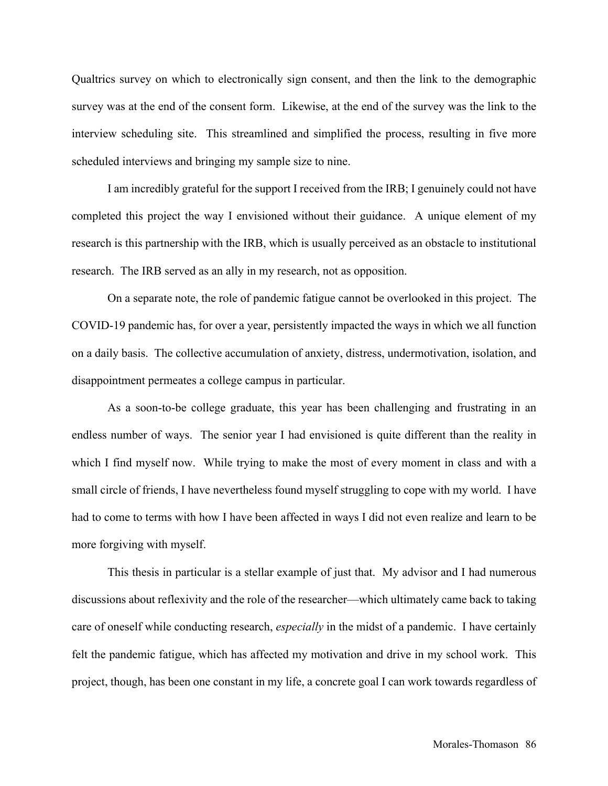Qualtrics survey on which to electronically sign consent, and then the link to the demographic survey was at the end of the consent form. Likewise, at the end of the survey was the link to the interview scheduling site. This streamlined and simplified the process, resulting in five more scheduled interviews and bringing my sample size to nine.

I am incredibly grateful for the support I received from the IRB; I genuinely could not have completed this project the way I envisioned without their guidance. A unique element of my research is this partnership with the IRB, which is usually perceived as an obstacle to institutional research. The IRB served as an ally in my research, not as opposition.

On a separate note, the role of pandemic fatigue cannot be overlooked in this project. The COVID-19 pandemic has, for over a year, persistently impacted the ways in which we all function on a daily basis. The collective accumulation of anxiety, distress, undermotivation, isolation, and disappointment permeates a college campus in particular.

As a soon-to-be college graduate, this year has been challenging and frustrating in an endless number of ways. The senior year I had envisioned is quite different than the reality in which I find myself now. While trying to make the most of every moment in class and with a small circle of friends, I have nevertheless found myself struggling to cope with my world. I have had to come to terms with how I have been affected in ways I did not even realize and learn to be more forgiving with myself.

This thesis in particular is a stellar example of just that. My advisor and I had numerous discussions about reflexivity and the role of the researcher—which ultimately came back to taking care of oneself while conducting research, *especially* in the midst of a pandemic. I have certainly felt the pandemic fatigue, which has affected my motivation and drive in my school work. This project, though, has been one constant in my life, a concrete goal I can work towards regardless of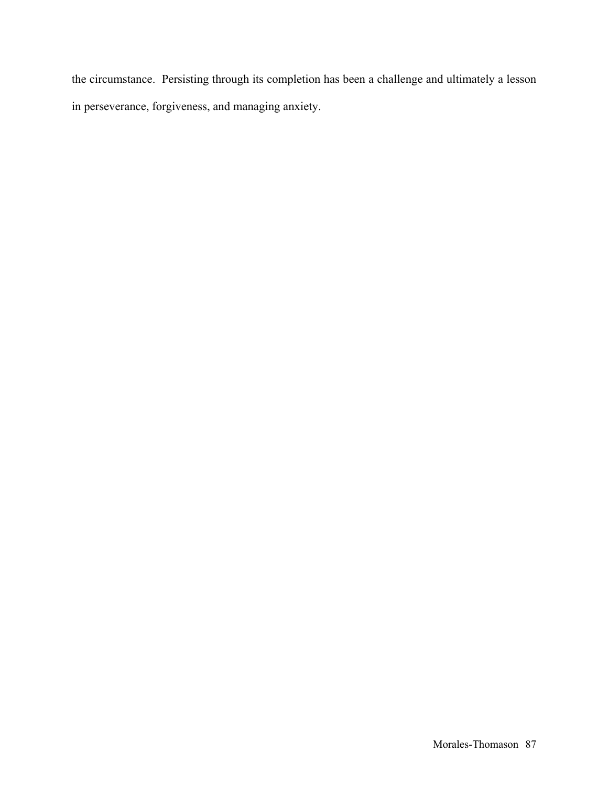the circumstance. Persisting through its completion has been a challenge and ultimately a lesson in perseverance, forgiveness, and managing anxiety.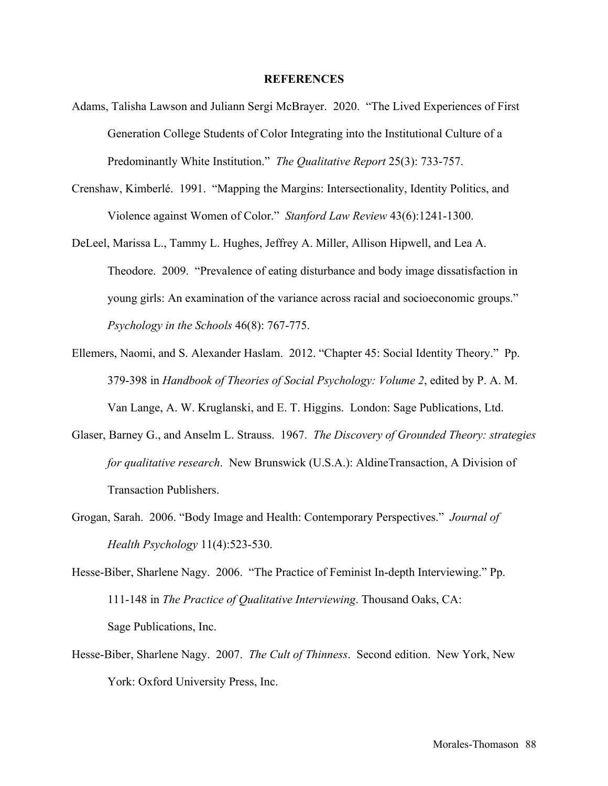### **REFERENCES**

- Adams, Talisha Lawson and Juliann Sergi McBrayer. 2020. "The Lived Experiences of First Generation College Students of Color Integrating into the Institutional Culture of a Predominantly White Institution." *The Qualitative Report* 25(3): 733-757.
- Crenshaw, Kimberlé. 1991. "Mapping the Margins: Intersectionality, Identity Politics, and Violence against Women of Color." *Stanford Law Review* 43(6):1241-1300.
- DeLeel, Marissa L., Tammy L. Hughes, Jeffrey A. Miller, Allison Hipwell, and Lea A. Theodore. 2009. "Prevalence of eating disturbance and body image dissatisfaction in young girls: An examination of the variance across racial and socioeconomic groups." *Psychology in the Schools* 46(8): 767-775.
- Ellemers, Naomi, and S. Alexander Haslam. 2012. "Chapter 45: Social Identity Theory." Pp. 379-398 in *Handbook of Theories of Social Psychology: Volume 2*, edited by P. A. M. Van Lange, A. W. Kruglanski, and E. T. Higgins. London: Sage Publications, Ltd.
- Glaser, Barney G., and Anselm L. Strauss. 1967. *The Discovery of Grounded Theory: strategies for qualitative research*. New Brunswick (U.S.A.): AldineTransaction, A Division of Transaction Publishers.
- Grogan, Sarah. 2006. "Body Image and Health: Contemporary Perspectives." *Journal of Health Psychology* 11(4):523-530.
- Hesse-Biber, Sharlene Nagy. 2006. "The Practice of Feminist In-depth Interviewing." Pp. 111-148 in *The Practice of Qualitative Interviewing*. Thousand Oaks, CA: Sage Publications, Inc.
- Hesse-Biber, Sharlene Nagy. 2007. *The Cult of Thinness*. Second edition. New York, New York: Oxford University Press, Inc.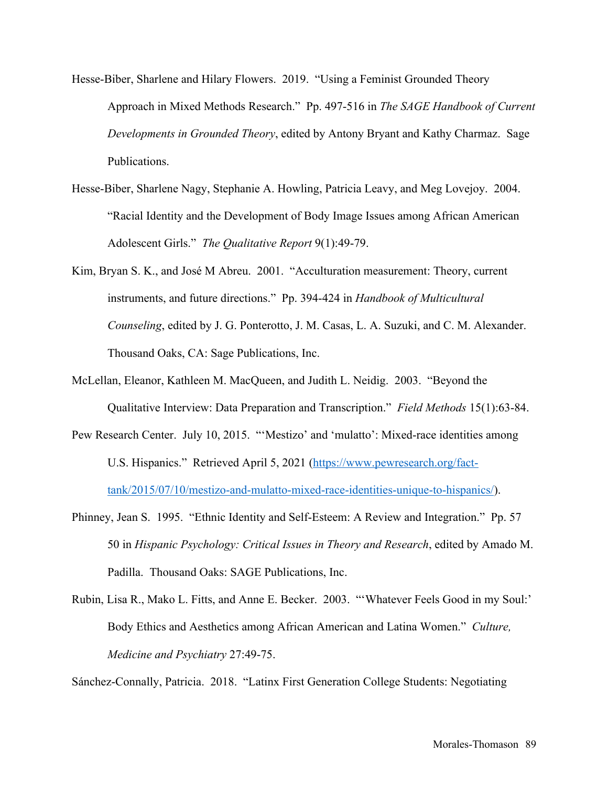- Hesse-Biber, Sharlene and Hilary Flowers. 2019. "Using a Feminist Grounded Theory Approach in Mixed Methods Research." Pp. 497-516 in *The SAGE Handbook of Current Developments in Grounded Theory*, edited by Antony Bryant and Kathy Charmaz. Sage Publications.
- Hesse-Biber, Sharlene Nagy, Stephanie A. Howling, Patricia Leavy, and Meg Lovejoy. 2004. "Racial Identity and the Development of Body Image Issues among African American Adolescent Girls." *The Qualitative Report* 9(1):49-79.
- Kim, Bryan S. K., and José M Abreu. 2001. "Acculturation measurement: Theory, current instruments, and future directions." Pp. 394-424 in *Handbook of Multicultural Counseling*, edited by J. G. Ponterotto, J. M. Casas, L. A. Suzuki, and C. M. Alexander. Thousand Oaks, CA: Sage Publications, Inc.
- McLellan, Eleanor, Kathleen M. MacQueen, and Judith L. Neidig. 2003. "Beyond the Qualitative Interview: Data Preparation and Transcription." *Field Methods* 15(1):63-84.
- Pew Research Center. July 10, 2015. "'Mestizo' and 'mulatto': Mixed-race identities among U.S. Hispanics." Retrieved April 5, 2021 (https://www.pewresearch.org/facttank/2015/07/10/mestizo-and-mulatto-mixed-race-identities-unique-to-hispanics/).
- Phinney, Jean S. 1995. "Ethnic Identity and Self-Esteem: A Review and Integration." Pp. 57 50 in *Hispanic Psychology: Critical Issues in Theory and Research*, edited by Amado M. Padilla. Thousand Oaks: SAGE Publications, Inc.
- Rubin, Lisa R., Mako L. Fitts, and Anne E. Becker. 2003. "'Whatever Feels Good in my Soul:' Body Ethics and Aesthetics among African American and Latina Women." *Culture, Medicine and Psychiatry* 27:49-75.

Sánchez-Connally, Patricia. 2018. "Latinx First Generation College Students: Negotiating